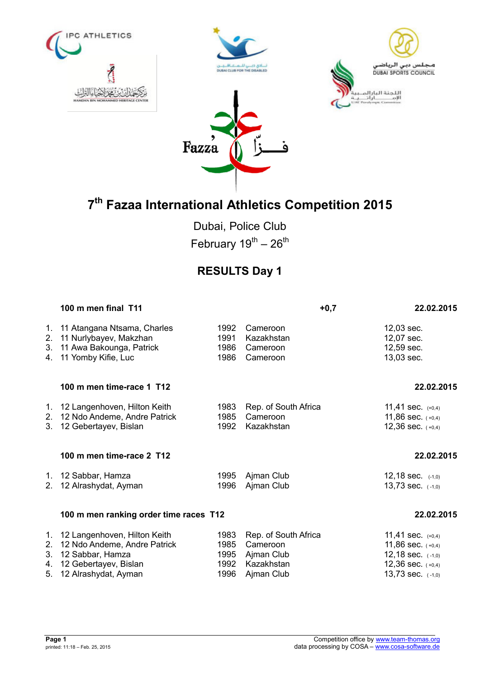







Dubai, Police Club February  $19^{th} - 26^{th}$ 

## **RESULTS Day 1**

|                      | 100 m men final T11                                                                                                                  |                                      | $+0,7$                                                                     | 22.02.2015                                                                                                      |
|----------------------|--------------------------------------------------------------------------------------------------------------------------------------|--------------------------------------|----------------------------------------------------------------------------|-----------------------------------------------------------------------------------------------------------------|
| 2.<br>3.             | 1. 11 Atangana Ntsama, Charles<br>11 Nurlybayev, Makzhan<br>11 Awa Bakounga, Patrick<br>4. 11 Yomby Kifie, Luc                       | 1992<br>1991<br>1986<br>1986         | Cameroon<br>Kazakhstan<br>Cameroon<br>Cameroon                             | 12,03 sec.<br>12,07 sec.<br>12,59 sec.<br>13,03 sec.                                                            |
|                      | 100 m men time-race 1 T12                                                                                                            |                                      |                                                                            | 22.02.2015                                                                                                      |
| 2.<br>3.             | 1. 12 Langenhoven, Hilton Keith<br>12 Ndo Andeme, Andre Patrick<br>12 Gebertayev, Bislan                                             | 1983<br>1985<br>1992                 | Rep. of South Africa<br>Cameroon<br>Kazakhstan                             | 11,41 sec. $(+0,4)$<br>11,86 sec. $(+0,4)$<br>12,36 sec. $(+0,4)$                                               |
|                      | 100 m men time-race 2 T12                                                                                                            |                                      |                                                                            | 22.02.2015                                                                                                      |
| $2_{-}$              | 1. 12 Sabbar, Hamza<br>12 Alrashydat, Ayman                                                                                          | 1995<br>1996                         | Ajman Club<br>Ajman Club                                                   | 12,18 sec. $(-1,0)$<br>13,73 sec. $(-1,0)$                                                                      |
|                      | 100 m men ranking order time races T12                                                                                               |                                      |                                                                            | 22.02.2015                                                                                                      |
| 2.<br>3.<br>4.<br>5. | 1. 12 Langenhoven, Hilton Keith<br>12 Ndo Andeme, Andre Patrick<br>12 Sabbar, Hamza<br>12 Gebertayev, Bislan<br>12 Alrashydat, Ayman | 1983<br>1985<br>1995<br>1992<br>1996 | Rep. of South Africa<br>Cameroon<br>Ajman Club<br>Kazakhstan<br>Ajman Club | 11,41 sec. $(+0,4)$<br>11,86 sec. $(+0,4)$<br>12,18 sec. $(-1,0)$<br>12,36 sec. $(+0,4)$<br>13,73 sec. $(-1,0)$ |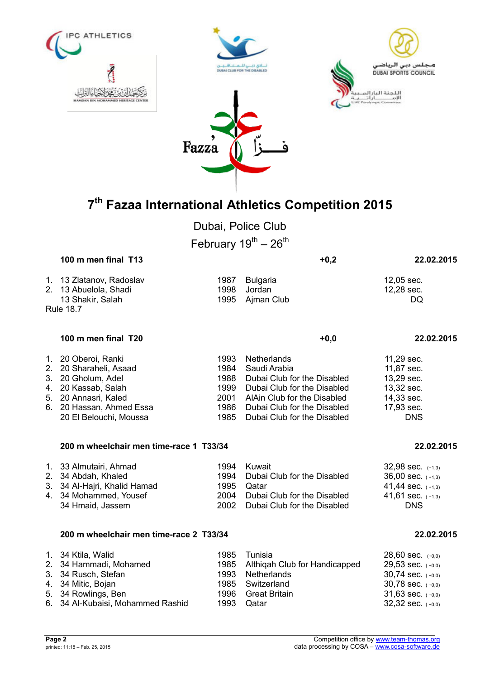

Dubai, Police Club

February  $19^{th} - 26^{th}$ 

| 100 m men final T13      |      |                 | $+0,2$ | 22.02.2015 |
|--------------------------|------|-----------------|--------|------------|
| 1. 13 Zlatanov, Radoslav | 1987 | Bulgaria        |        | 12.05 sec. |
| 2. 13 Abuelola, Shadi    | 1998 | Jordan          |        | 12,28 sec. |
| 13 Shakir, Salah         |      | 1995 Aiman Club |        | DQ         |
| <b>Rule 18.7</b>         |      |                 |        |            |

### **100 m men final T20 +0,0 22.02.2015**

| 1. 20 Oberoi, Ranki      | 1993 Netherlands                 | 11,29 sec. |
|--------------------------|----------------------------------|------------|
| 2. 20 Sharaheli, Asaad   | 1984 Saudi Arabia                | 11,87 sec. |
| 3. 20 Gholum, Adel       | 1988 Dubai Club for the Disabled | 13,29 sec. |
| 4. 20 Kassab, Salah      | 1999 Dubai Club for the Disabled | 13,32 sec. |
| 5. 20 Annasri, Kaled     | 2001 AlAin Club for the Disabled | 14,33 sec. |
| 6. 20 Hassan, Ahmed Essa | 1986 Dubai Club for the Disabled | 17,93 sec. |
| 20 El Belouchi, Moussa   | 1985 Dubai Club for the Disabled | <b>DNS</b> |
|                          |                                  |            |

### **200 m wheelchair men time-race 1 T33/34 22.02.2015**

### **200 m wheelchair men time-race 2 T33/34 22.02.2015**

| 1. 34 Ktila, Walid                | 1985 Tunisia                       | $28,60$ sec. $(+0,0)$ |
|-----------------------------------|------------------------------------|-----------------------|
| 2. 34 Hammadi, Mohamed            | 1985 Althigah Club for Handicapped | $29,53$ sec. $(+0,0)$ |
| 3. 34 Rusch, Stefan               | 1993 Netherlands                   | $30,74$ sec. $(+0,0)$ |
| 4. 34 Mitic, Bojan                | 1985 Switzerland                   | $30,78$ sec. $(+0,0)$ |
| 5. 34 Rowlings, Ben               | 1996 Great Britain                 | 31,63 sec. $(+0,0)$   |
| 6. 34 Al-Kubaisi, Mohammed Rashid | 1993 Qatar                         | $32,32$ sec. $(+0,0)$ |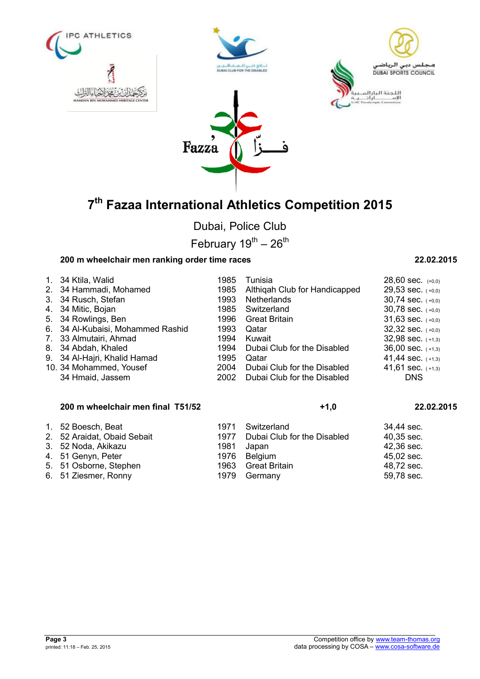







Dubai, Police Club

February  $19^{th} - 26^{th}$ 

## **200 m wheelchair men ranking order time races 22.02.2015**

|             | 200 m wheelchair men final T51/52 |      | $+1,0$                        | 22.02.2015            |
|-------------|-----------------------------------|------|-------------------------------|-----------------------|
|             | 34 Hmaid, Jassem                  | 2002 | Dubai Club for the Disabled   | <b>DNS</b>            |
|             | 10. 34 Mohammed, Yousef           | 2004 | Dubai Club for the Disabled   | 41,61 sec. $(+1,3)$   |
|             | 9. 34 Al-Hajri, Khalid Hamad      | 1995 | Qatar                         | 41,44 sec. $(+1,3)$   |
| 8.          | 34 Abdah, Khaled                  | 1994 | Dubai Club for the Disabled   | $36,00$ sec. $(+1,3)$ |
| 7.          | 33 Almutairi, Ahmad               | 1994 | Kuwait                        | $32,98$ sec. $(+1,3)$ |
| 6.          | 34 Al-Kubaisi, Mohammed Rashid    | 1993 | Qatar                         | $32,32$ sec. $(+0,0)$ |
| 5.          | 34 Rowlings, Ben                  | 1996 | <b>Great Britain</b>          | 31,63 sec. $(+0,0)$   |
| 4.          | 34 Mitic, Bojan                   | 1985 | Switzerland                   | $30,78$ sec. $(+0,0)$ |
| $3_{-}$     | 34 Rusch, Stefan                  | 1993 | <b>Netherlands</b>            | $30,74$ sec. $(+0,0)$ |
|             | 2. 34 Hammadi, Mohamed            | 1985 | Althigah Club for Handicapped | $29,53$ sec. $(+0,0)$ |
| $1_{\cdot}$ | 34 Ktila, Walid                   | 1985 | Tunisia                       | $28,60$ sec. $(+0,0)$ |
|             |                                   |      |                               |                       |

|  |  | 1. 52 Boesch, Beat |  |
|--|--|--------------------|--|
|--|--|--------------------|--|

- 
- 
- 
- 
- 6. 51 Ziesmer, Ronny 1979 Germany

## 1971 Switzerland 34,44 sec.<br>1977 Dubai Club for the Disabled 40.35 sec. 2. 52 Araidat, Obaid Sebait 1977 Dubai Club for the Disabled 40,35 sec.<br>3. 52 Noda, Akikazu 1981 Japan 1981 3. 52 Noda, Akikazu 3. 52 Noda, Akikazu 1981 Japan 42,36 sec. 4. 51 Genyn, Peter 1976 Belgium 1976 Belgium 45,02 sec.<br>5. 51 Osborne, Stephen 1963 Great Britain 48,72 sec. 5. 51 Osborne, Stephen 1963 Great Britain 196. 51 Osborne, Stephen 1963 Great Britain 48,72 sec.<br>6. 51 Ziesmer. Ronny 1979 Germany 1979 Sec.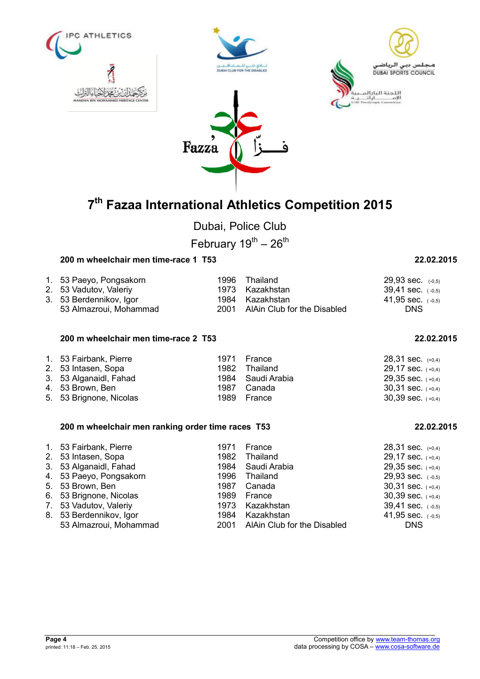

Dubai, Police Club

February  $19^{th} - 26^{th}$ 

### **200 m wheelchair men time-race 1 T53 22.02.2015**

| 1. 53 Paeyo, Pongsakorn | 1996 Thailand                    | $29,93$ sec. $(-0,5)$ |
|-------------------------|----------------------------------|-----------------------|
| 2. 53 Vadutov, Valeriy  | 1973 Kazakhstan                  | $39,41$ sec. $(-0,5)$ |
| 3. 53 Berdennikov, Igor | 1984 Kazakhstan                  | 41,95 sec. $(-0.5)$   |
| 53 Almazroui, Mohammad  | 2001 AlAin Club for the Disabled | <b>DNS</b>            |

### **200 m wheelchair men time-race 2 T53 22.02.2015**

| 1. 53 Fairbank, Pierre<br>2. 53 Intasen, Sopa<br>3. 53 Alganaidl, Fahad<br>4. 53 Brown, Ben | 1971 France<br>1982 Thailand<br>1984 Saudi Arabia<br>1987 Canada | $28,31$ sec. $(+0,4)$<br>29,17 sec. $(+0,4)$<br>$29,35$ sec. $(+0,4)$<br>$30,31$ sec. $(+0,4)$ |
|---------------------------------------------------------------------------------------------|------------------------------------------------------------------|------------------------------------------------------------------------------------------------|
|                                                                                             |                                                                  |                                                                                                |
| 5. 53 Brignone, Nicolas                                                                     | 1989 France                                                      | $30,39$ sec. $(+0,4)$                                                                          |

### **200 m wheelchair men ranking order time races T53 22.02.2015**

|                        | 1971                                                                                                                                                                                                   | France | $28,31$ sec. $(+0,4)$                                                                                                                                     |
|------------------------|--------------------------------------------------------------------------------------------------------------------------------------------------------------------------------------------------------|--------|-----------------------------------------------------------------------------------------------------------------------------------------------------------|
|                        |                                                                                                                                                                                                        |        | 29,17 sec. $(+0,4)$                                                                                                                                       |
|                        |                                                                                                                                                                                                        |        | $29,35$ sec. $(+0,4)$                                                                                                                                     |
|                        |                                                                                                                                                                                                        |        | $29,93$ sec. $(-0,5)$                                                                                                                                     |
|                        |                                                                                                                                                                                                        |        | $30,31$ sec. $(+0,4)$                                                                                                                                     |
|                        |                                                                                                                                                                                                        |        | $30,39$ sec. $(+0,4)$                                                                                                                                     |
|                        |                                                                                                                                                                                                        |        | $39,41$ sec. $(-0,5)$                                                                                                                                     |
|                        | 1984                                                                                                                                                                                                   |        | 41,95 sec. $(-0.5)$                                                                                                                                       |
| 53 Almazroui, Mohammad |                                                                                                                                                                                                        |        | <b>DNS</b>                                                                                                                                                |
|                        | 1. 53 Fairbank, Pierre<br>2. 53 Intasen, Sopa<br>3. 53 Alganaidl, Fahad<br>4. 53 Paeyo, Pongsakorn<br>5. 53 Brown, Ben<br>6. 53 Brignone, Nicolas<br>7. 53 Vadutov, Valeriy<br>8. 53 Berdennikov, Igor |        | 1982 Thailand<br>1984 Saudi Arabia<br>1996 Thailand<br>Canada<br>1987<br>1989 France<br>1973 Kazakhstan<br>Kazakhstan<br>2001 AlAin Club for the Disabled |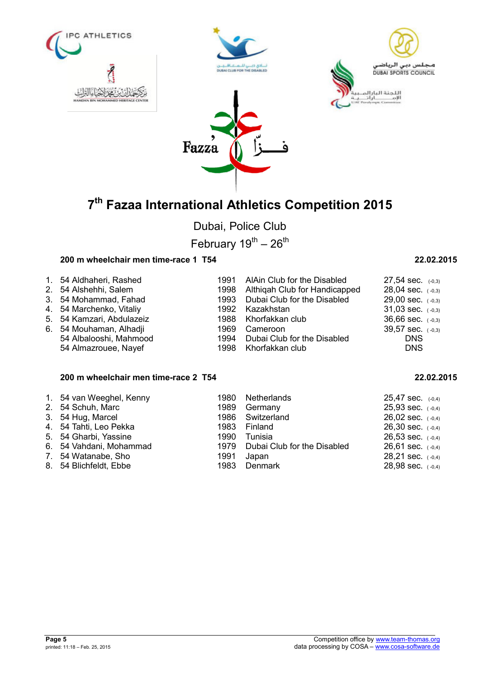







Dubai, Police Club

February  $19^{th} - 26^{th}$ 

## **200 m wheelchair men time-race 1 T54 22.02.2015**

| 1. 54 Aldhaheri, Rashed   | 1969. | 1991 AlAin Club for the Disabled   | $27,54$ sec. $(-0,3)$ |
|---------------------------|-------|------------------------------------|-----------------------|
| 2. 54 Alshehhi, Salem     |       | 1998 Althigah Club for Handicapped | $28,04$ sec. $(-0,3)$ |
| 3. 54 Mohammad, Fahad     |       | 1993 Dubai Club for the Disabled   | $29,00$ sec. $(-0,3)$ |
| 4. 54 Marchenko, Vitaliy  |       | 1992 Kazakhstan                    | $31,03$ sec. $(-0,3)$ |
| 5. 54 Kamzari, Abdulazeiz |       | 1988 Khorfakkan club               | $36,66$ sec. $(-0,3)$ |
| 6. 54 Mouhaman, Alhadji   |       | Cameroon                           | $39,57$ sec. $(-0,3)$ |
| 54 Albalooshi, Mahmood    |       | 1994 Dubai Club for the Disabled   | <b>DNS</b>            |
| 54 Almazrouee, Nayef      |       | 1998 Khorfakkan club               | <b>DNS</b>            |

## **200 m wheelchair men time-race 2 T54 22.02.2015**

| 1. 54 van Weeghel, Kenny<br>2. 54 Schuh, Marc<br>3. 54 Hug, Marcel<br>4. 54 Tahti, Leo Pekka<br>5. 54 Gharbi, Yassine<br>6. 54 Vahdani, Mohammad | 1980 Netherlands<br>1989 Germany<br>1986 Switzerland<br>1983 Finland<br>1990 Tunisia<br>1979 Dubai Club for the Disabled | $25,47$ sec. $(-0,4)$<br>$25,93$ sec. $(-0,4)$<br>$26,02$ sec. $(-0,4)$<br>$26,30$ sec. $(-0,4)$<br>$26,53$ sec. $(-0,4)$<br>$26,61$ sec. $(-0,4)$ |
|--------------------------------------------------------------------------------------------------------------------------------------------------|--------------------------------------------------------------------------------------------------------------------------|----------------------------------------------------------------------------------------------------------------------------------------------------|
| 7. 54 Watanabe, Sho<br>8. 54 Blichfeldt, Ebbe                                                                                                    | 1991 Japan<br>1983 Denmark                                                                                               | $28,21$ sec. $(-0,4)$<br>$28,98$ sec. $(-0,4)$                                                                                                     |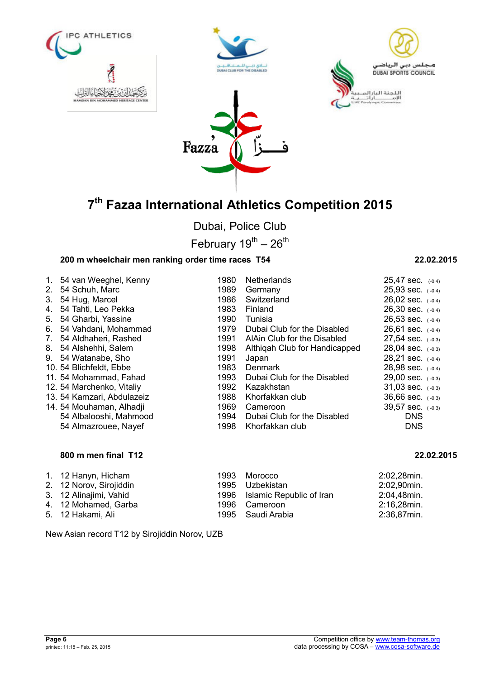





Fazza

Dubai, Police Club

February  $19^{\text{th}} - 26^{\text{th}}$ 

## **200 m wheelchair men ranking order time races T54 22.02.2015**

|                                  | 1. 54 van Weeghel, Kenny   | 1980 | <b>Netherlands</b>            | $25,47$ sec. $(-0,4)$ |
|----------------------------------|----------------------------|------|-------------------------------|-----------------------|
| 2 <sub>1</sub>                   | 54 Schuh, Marc             | 1989 | Germany                       | $25,93$ sec. $(-0,4)$ |
| 3.                               | 54 Hug, Marcel             | 1986 | Switzerland                   | $26,02$ sec. $(-0,4)$ |
| 4.                               | 54 Tahti, Leo Pekka        | 1983 | Finland                       | $26,30$ sec. $(-0,4)$ |
| 5.                               | 54 Gharbi, Yassine         | 1990 | Tunisia                       | $26,53$ sec. $(-0,4)$ |
| 6.                               | 54 Vahdani, Mohammad       | 1979 | Dubai Club for the Disabled   | 26,61 sec. $(-0,4)$   |
| $7_{\scriptscriptstyle{\ddots}}$ | 54 Aldhaheri, Rashed       | 1991 | AlAin Club for the Disabled   | $27,54$ sec. $(-0,3)$ |
|                                  | 8. 54 Alshehhi, Salem      | 1998 | Althigah Club for Handicapped | $28,04$ sec. $(-0,3)$ |
|                                  | 9. 54 Watanabe, Sho        | 1991 | Japan                         | 28,21 sec. $(-0,4)$   |
|                                  | 10. 54 Blichfeldt, Ebbe    | 1983 | <b>Denmark</b>                | $28,98$ sec. $(-0,4)$ |
|                                  | 11. 54 Mohammad, Fahad     | 1993 | Dubai Club for the Disabled   | $29,00$ sec. $(-0,3)$ |
|                                  | 12. 54 Marchenko, Vitaliy  | 1992 | Kazakhstan                    | $31,03$ sec. $(-0,3)$ |
|                                  | 13. 54 Kamzari, Abdulazeiz | 1988 | Khorfakkan club               | $36,66$ sec. $(-0,3)$ |
|                                  | 14. 54 Mouhaman, Alhadji   | 1969 | Cameroon                      | 39,57 sec. (-0,3)     |
|                                  | 54 Albalooshi, Mahmood     | 1994 | Dubai Club for the Disabled   | <b>DNS</b>            |
|                                  | 54 Almazrouee, Nayef       | 1998 | Khorfakkan club               | <b>DNS</b>            |
|                                  |                            |      |                               |                       |

### **800 m men final T12 22.02.2015**

| 1. 12 Hanyn, Hicham<br>2. 12 Norov, Sirojiddin<br>3. 12 Alinajimi, Vahid | 1993 Morocco<br>1995 Uzbekistan<br>1996 Islamic Republic of Iran | 2:02,28min.<br>2:02,90min.<br>2:04,48min. |
|--------------------------------------------------------------------------|------------------------------------------------------------------|-------------------------------------------|
| 4. 12 Mohamed, Garba                                                     | 1996 Cameroon                                                    | 2:16,28min.                               |
| 5. 12 Hakami, Ali                                                        | 1995 Saudi Arabia                                                | 2:36,87min.                               |

New Asian record T12 by Sirojiddin Norov, UZB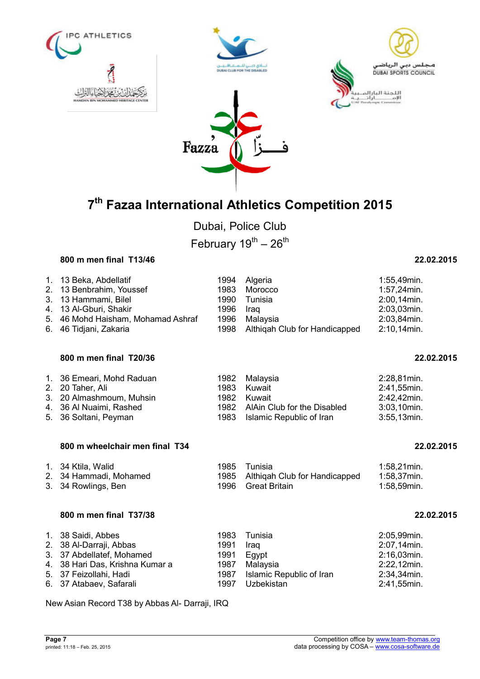







Dubai, Police Club February  $19^{th} - 26^{th}$ 

### **800 m men final T13/46 22.02.2015**

| 1.<br>2.<br>3.<br>4.<br>5.<br>6. | 13 Beka, Abdellatif<br>13 Benbrahim, Youssef<br>13 Hammami, Bilel<br>13 Al-Gburi, Shakir<br>46 Mohd Haisham, Mohamad Ashraf<br>46 Tidjani, Zakaria | 1994<br>1983<br>1990<br>1996<br>1996<br>1998 | Algeria<br>Morocco<br>Tunisia<br>Iraq<br>Malaysia<br>Althigah Club for Handicapped      | 1:55,49min.<br>1:57,24min.<br>2:00,14min.<br>2:03,03min.<br>2:03,84min.<br>2:10,14min. |
|----------------------------------|----------------------------------------------------------------------------------------------------------------------------------------------------|----------------------------------------------|-----------------------------------------------------------------------------------------|----------------------------------------------------------------------------------------|
|                                  | 800 m men final T20/36                                                                                                                             |                                              |                                                                                         | 22.02.2015                                                                             |
| 1.<br>2.<br>4.<br>5.             | 36 Emeari, Mohd Raduan<br>20 Taher, Ali<br>3. 20 Almashmoum, Muhsin<br>36 Al Nuaimi, Rashed<br>36 Soltani, Peyman                                  | 1982<br>1983<br>1982<br>1982<br>1983         | Malaysia<br>Kuwait<br>Kuwait<br>AlAin Club for the Disabled<br>Islamic Republic of Iran | 2:28,81min.<br>2:41,55min.<br>2:42,42min.<br>3:03,10min.<br>3:55,13min.                |
|                                  | 800 m wheelchair men final T34                                                                                                                     |                                              |                                                                                         | 22.02.2015                                                                             |
| 2.<br>3.                         | 1. 34 Ktila, Walid<br>34 Hammadi, Mohamed<br>34 Rowlings, Ben                                                                                      | 1985<br>1985<br>1996                         | Tunisia<br>Althigah Club for Handicapped<br><b>Great Britain</b>                        | 1:58,21min.<br>1:58,37min.<br>1:58,59min.                                              |
|                                  |                                                                                                                                                    |                                              |                                                                                         |                                                                                        |
|                                  | 800 m men final T37/38                                                                                                                             |                                              |                                                                                         | 22.02.2015                                                                             |

New Asian Record T38 by Abbas Al- Darraji, IRQ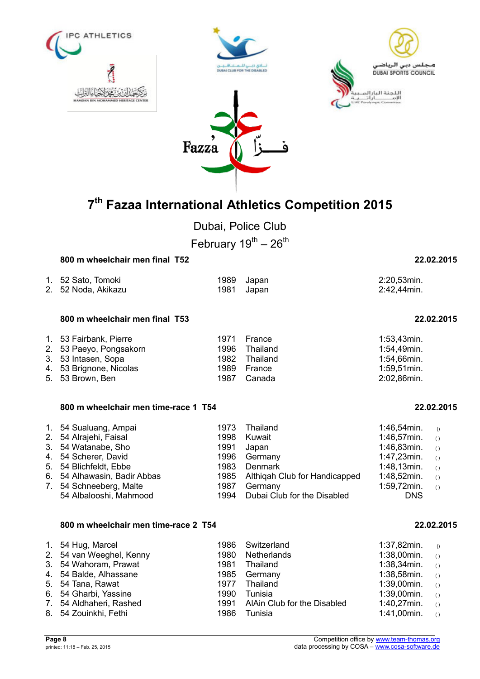



Dubai, Police Club

February  $19^{th} - 26^{th}$ 

| 800 m wheelchair men final T52 | 22.02.2015 |
|--------------------------------|------------|
|                                |            |

| 1. 52 Sato, Tomoki  | 1989 Japan | 2:20,53min. |
|---------------------|------------|-------------|
| 2. 52 Noda, Akikazu | 1981 Japan | 2:42,44min. |

### **800 m wheelchair men final T53 22.02.2015**

| 1. 53 Fairbank, Pierre  | 1971 France   | $1:53,43$ min. |
|-------------------------|---------------|----------------|
| 2. 53 Paeyo, Pongsakorn | 1996 Thailand | 1:54,49min.    |
| 3. 53 Intasen, Sopa     | 1982 Thailand | 1:54,66min.    |
| 4. 53 Brignone, Nicolas | 1989 France   | $1:59,51$ min. |
| 5. 53 Brown, Ben        | 1987 Canada   | 2:02,86min.    |

### **800 m wheelchair men time-race 1 T54 22.02.2015**

| 1. 54 Sualuang, Ampai        | 1973 | Thailand                           | 1:46,54min.       | $\bigcirc$                                    |
|------------------------------|------|------------------------------------|-------------------|-----------------------------------------------|
| 2. 54 Alrajehi, Faisal       | 1998 | Kuwait                             | $1:46,57$ min. () |                                               |
| 3. 54 Watanabe, Sho          | 1991 | Japan                              | 1:46,83min.       | $\left( \begin{array}{c} \end{array} \right)$ |
| 4. 54 Scherer, David         |      | 1996 Germany                       | 1:47,23min.       | $\left( \begin{array}{c} \end{array} \right)$ |
| 5. 54 Blichfeldt, Ebbe       | 1983 | Denmark                            | $1:48,13$ min. () |                                               |
| 6. 54 Alhawasin, Badir Abbas |      | 1985 Althigah Club for Handicapped | 1:48,52min.       | $\left( \begin{array}{c} \end{array} \right)$ |
| 7. 54 Schneeberg, Malte      | 1987 | Germany                            | 1:59,72min.       | $\left( \begin{array}{c} \end{array} \right)$ |
| 54 Albalooshi, Mahmood       |      | 1994 Dubai Club for the Disabled   | <b>DNS</b>        |                                               |

### **800 m wheelchair men time-race 2 T54 22.02.2015**

|  | 1. 54 Hug, Marcel<br>2. 54 van Weeghel, Kenny<br>3. 54 Wahoram, Prawat<br>4. 54 Balde, Alhassane<br>5. 54 Tana, Rawat<br>6. 54 Gharbi, Yassine<br>7. 54 Aldhaheri, Rashed<br>8. 54 Zouinkhi, Fethi | 1980<br>1981<br>1977<br>1990<br>1986 | 1986 Switzerland<br>Netherlands<br>Thailand<br>1985 Germany<br>Thailand<br>Tunisia<br>1991 AlAin Club for the Disabled<br>Tunisia | 1:37,82min.<br>$1:38,00$ min. ()<br>$1:38,34$ min. ()<br>$1:38,58$ min. ()<br>$1:39,00$ min. ()<br>$1:39,00$ min. ()<br>1:40,27min.<br>1:41,00min. | $\bigcirc$<br>$\left( \right)$<br>$\left( \right)$ |
|--|----------------------------------------------------------------------------------------------------------------------------------------------------------------------------------------------------|--------------------------------------|-----------------------------------------------------------------------------------------------------------------------------------|----------------------------------------------------------------------------------------------------------------------------------------------------|----------------------------------------------------|
|--|----------------------------------------------------------------------------------------------------------------------------------------------------------------------------------------------------|--------------------------------------|-----------------------------------------------------------------------------------------------------------------------------------|----------------------------------------------------------------------------------------------------------------------------------------------------|----------------------------------------------------|

| 1:46,54min. | (                |
|-------------|------------------|
| 1:46,57min. | $\overline{(\ }$ |
| 1:46,83min. | $\overline{(\ }$ |
| 1:47,23min. | $\overline{(\ }$ |
| 1:48,13min. | $\overline{(\ }$ |
| 1:48,52min. | $\overline{(\ }$ |
| 1:59,72min. | $\overline{(\ }$ |
| DNS         |                  |
|             |                  |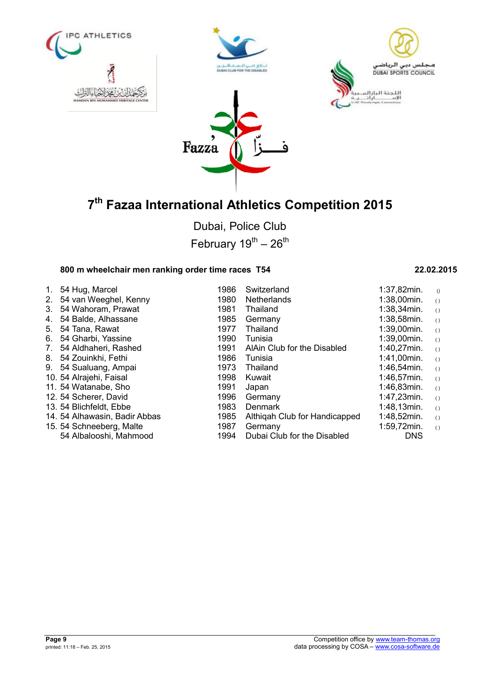







Dubai, Police Club February  $19^{th} - 26^{th}$ 

## **800 m wheelchair men ranking order time races T54 22.02.2015**

| 1. | 54 Hug, Marcel                | 1986 | Switzerland                   | $1:37,82$ min. | $\left( \right)$ |
|----|-------------------------------|------|-------------------------------|----------------|------------------|
| 2. | 54 van Weeghel, Kenny         | 1980 | <b>Netherlands</b>            | 1:38,00min.    | ( )              |
| 3. | 54 Wahoram, Prawat            | 1981 | Thailand                      | 1:38,34min.    | ( )              |
| 4. | 54 Balde, Alhassane           | 1985 | Germany                       | 1:38,58min.    | ( )              |
| 5. | 54 Tana, Rawat                | 1977 | Thailand                      | 1:39,00min.    | ( )              |
| 6. | 54 Gharbi, Yassine            | 1990 | Tunisia                       | 1:39,00min.    | ( )              |
| 7. | 54 Aldhaheri, Rashed          | 1991 | AlAin Club for the Disabled   | 1:40,27min.    | ( )              |
| 8. | 54 Zouinkhi, Fethi            | 1986 | Tunisia                       | 1:41,00min.    | ( )              |
| 9. | 54 Sualuang, Ampai            | 1973 | Thailand                      | 1:46,54min.    | ( )              |
|    | 10. 54 Alrajehi, Faisal       | 1998 | Kuwait                        | 1:46,57min.    | ( )              |
|    | 11. 54 Watanabe, Sho          | 1991 | Japan                         | 1:46,83min.    | ( )              |
|    | 12. 54 Scherer, David         | 1996 | Germany                       | 1:47,23min.    | ( )              |
|    | 13. 54 Blichfeldt, Ebbe       | 1983 | Denmark                       | 1:48,13min.    | ( )              |
|    | 14. 54 Alhawasin, Badir Abbas | 1985 | Althigah Club for Handicapped | 1:48,52min.    | ( )              |
|    | 15. 54 Schneeberg, Malte      | 1987 | Germany                       | 1:59,72min.    | ( )              |
|    | 54 Albalooshi, Mahmood        | 1994 | Dubai Club for the Disabled   | <b>DNS</b>     |                  |
|    |                               |      |                               |                |                  |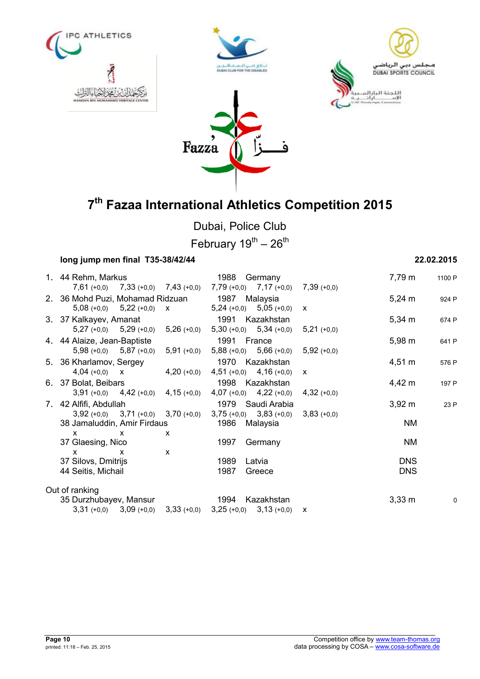







Dubai, Police Club

February  $19^{th} - 26^{th}$ 

| long jump men final T35-38/42/44                |                                               | 22.02.2015                 |   |
|-------------------------------------------------|-----------------------------------------------|----------------------------|---|
| 1. 44 Rehm, Markus                              | 1988 Germany                                  | 7,79 m<br>1100 P           |   |
| $7,61 (+0,0)$ $7,33 (+0,0)$ $7,43 (+0,0)$       | $7,79$ (+0,0) $7,17$ (+0,0)<br>$7,39(+0,0)$   |                            |   |
| 2. 36 Mohd Puzi, Mohamad Ridzuan                | 1987<br>Malaysia                              | $5,24 \; m$<br>924 P       |   |
| $5,08 (+0,0)$ $5,22 (+0,0)$ x                   | $5,24 (+0,0)$ $5,05 (+0,0)$<br>$\mathsf{x}$   |                            |   |
| 3. 37 Kalkayev, Amanat                          | 1991<br>Kazakhstan                            | $5,34 \; m$<br>674 P       |   |
| $5,27 (+0,0)$ $5,29 (+0,0)$<br>$5,26(+0,0)$     | $5,30 (+0,0)$ $5,34 (+0,0)$ $5,21 (+0,0)$     |                            |   |
| 4. 44 Alaize, Jean-Baptiste                     | 1991 France                                   | $5,98 \; m$<br>641 P       |   |
| $5,98 (+0,0)$ $5,87 (+0,0)$<br>$5,91 (+0,0)$    | $5,88 (+0,0)$ $5,66 (+0,0)$<br>$5,92 (+0,0)$  |                            |   |
| 5. 36 Kharlamov, Sergey                         | 1970 Kazakhstan                               | $4,51 \; m$<br>576 P       |   |
| $4,04 (+0,0)$ X<br>$4,20 (+0,0)$                | $4,51 (+0,0)$ $4,16 (+0,0)$<br>$\mathsf{x}$   |                            |   |
| 6. 37 Bolat, Beibars                            | 1998 Kazakhstan                               | 4,42 m<br>197 P            |   |
| $3,91 (+0,0)$ $4,42 (+0,0)$<br>$4,15 (+0,0)$    | $4,07 (+0,0)$ $4,22 (+0,0)$<br>$4,32 (+0,0)$  |                            |   |
| 7. 42 Alfifi, Abdullah                          | 1979 Saudi Arabia                             | $3,92 \, \text{m}$<br>23 P |   |
| $3,92 (+0,0)$ $3,71 (+0,0)$<br>$3,70 (+0,0)$    | $3,75 (+0,0)$ $3,83 (+0,0)$<br>$3,83 (+0,0)$  |                            |   |
| 38 Jamaluddin, Amir Firdaus                     | 1986<br>Malaysia                              | <b>NM</b>                  |   |
| X<br>x<br>X                                     |                                               |                            |   |
| 37 Glaesing, Nico                               | 1997<br>Germany                               | <b>NM</b>                  |   |
| X<br>$\mathsf{x}$<br>X                          |                                               |                            |   |
| 37 Silovs, Dmitrijs                             | 1989<br>Latvia                                | <b>DNS</b>                 |   |
| 44 Seitis, Michail                              | 1987<br>Greece                                | <b>DNS</b>                 |   |
| Out of ranking                                  |                                               |                            |   |
| 35 Durzhubayev, Mansur                          | 1994<br>Kazakhstan                            | $3,33 \, \text{m}$         | 0 |
| $3,31 (+0,0)$<br>$3,09 (+0,0)$<br>$3,33 (+0,0)$ | $3,25 (+0,0)$<br>$3,13(+0,0)$<br>$\mathsf{x}$ |                            |   |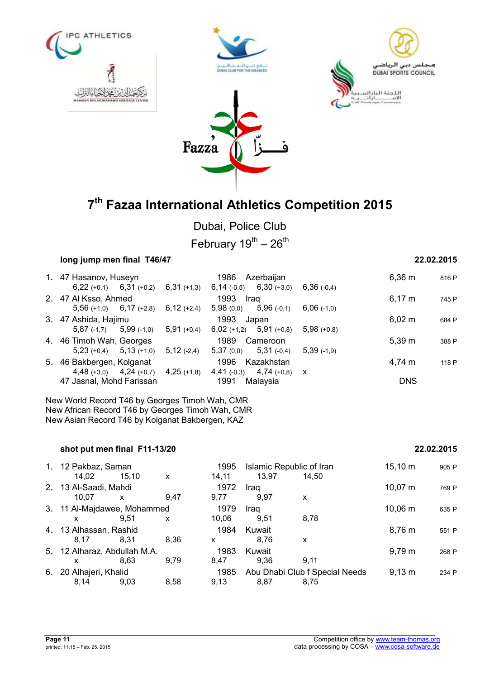







Dubai, Police Club

February  $19^{th} - 26^{th}$ 

| long jump men final T46/47 |                                              |                                                                                                                                                                                                                                        |                                                   |                                                                                                                                               | 22.02.2015      |            |  |
|----------------------------|----------------------------------------------|----------------------------------------------------------------------------------------------------------------------------------------------------------------------------------------------------------------------------------------|---------------------------------------------------|-----------------------------------------------------------------------------------------------------------------------------------------------|-----------------|------------|--|
|                            |                                              | 1986                                                                                                                                                                                                                                   |                                                   |                                                                                                                                               | $6,36 \; m$     | 816 P      |  |
|                            |                                              |                                                                                                                                                                                                                                        |                                                   | $6,36(-0,4)$                                                                                                                                  |                 |            |  |
|                            |                                              | 1993                                                                                                                                                                                                                                   |                                                   |                                                                                                                                               | $6,17 \; m$     | 745 P      |  |
|                            | $6,12 (+2,4)$                                | 5,98(0,0)                                                                                                                                                                                                                              | $5,96(-0,1)$                                      | $6,06$ (-1,0)                                                                                                                                 |                 |            |  |
|                            |                                              | 1993                                                                                                                                                                                                                                   |                                                   |                                                                                                                                               | $6,02 \; m$     | 684 P      |  |
|                            | $5,91 (+0,4)$                                | $6,02 (+1,2)$                                                                                                                                                                                                                          |                                                   | $5,98(+0,8)$                                                                                                                                  |                 |            |  |
|                            |                                              | 1989                                                                                                                                                                                                                                   |                                                   |                                                                                                                                               | $5,39 \; m$     | 388 P      |  |
|                            | $5,12(-2,4)$                                 |                                                                                                                                                                                                                                        |                                                   | $5,39$ (-1,9)                                                                                                                                 |                 |            |  |
|                            |                                              | 1996                                                                                                                                                                                                                                   |                                                   |                                                                                                                                               | 4,74 m          | 118 P      |  |
|                            | $4,25$ (+1,8)                                | $4,41$ (-0,3)                                                                                                                                                                                                                          |                                                   |                                                                                                                                               |                 |            |  |
|                            |                                              |                                                                                                                                                                                                                                        |                                                   |                                                                                                                                               |                 |            |  |
|                            | 2. 47 Al Ksso, Ahmed<br>3. 47 Ashida, Hajimu | 1. 47 Hasanov, Huseyn<br>$5,56 (+1,0)$ $6,17 (+2,8)$<br>$5,87$ (-1,7) $5,99$ (-1,0)<br>4. 46 Timoh Wah, Georges<br>$5,23 (+0,4)$ $5,13 (+1,0)$<br>5. 46 Bakbergen, Kolganat<br>$4,48$ (+3,0) $4,24$ (+0,7)<br>47 Jasnal, Mohd Farissan | $6,22 (+0,1)$ $6,31 (+0,2)$ $6,31 (+1,3)$<br>1991 | Azerbaijan<br>$6,14$ (-0,5) $6,30$ (+3,0)<br>Iraq<br>Japan<br>$5,91$ (+0,8)<br>Cameroon<br>$5,37(0,0)$ $5,31(-0,4)$<br>Kazakhstan<br>Malaysia | $4,74 (+0,8)$ X | <b>DNS</b> |  |

New World Record T46 by Georges Timoh Wah, CMR New African Record T46 by Georges Timoh Wah, CMR New Asian Record T46 by Kolganat Bakbergen, KAZ

### **shot put men final F11-13/20 22.02.2015**

|    | 1. 12 Pakbaz, Saman<br>14,02      | 15,10 | X    | 1995<br>14,11 | 13.97          | Islamic Republic of Iran<br>14.50      | $15,10 \; m$ | 905 P |
|----|-----------------------------------|-------|------|---------------|----------------|----------------------------------------|--------------|-------|
|    | 2. 13 Al-Saadi, Mahdi<br>10.07    | X     | 9.47 | 1972<br>9.77  | Iraq<br>9.97   | X                                      | $10,07 \; m$ | 769 P |
|    | 3. 11 Al-Majdawee, Mohammed<br>X  | 9.51  | X    | 1979<br>10.06 | Iraq<br>9.51   | 8.78                                   | $10,06 \; m$ | 635 P |
|    | 4. 13 Alhassan, Rashid<br>8.17    | 8.31  | 8.36 | 1984<br>X     | Kuwait<br>8.76 | x                                      | 8.76 m       | 551 P |
|    | 5. 12 Alharaz, Abdullah M.A.<br>x | 8.63  | 9,79 | 1983<br>8.47  | Kuwait<br>9,36 | 9.11                                   | $9,79 \; m$  | 268 P |
| 6. | 20 Alhajeri, Khalid<br>8.14       | 9.03  | 8.58 | 1985<br>9.13  | 8.87           | Abu Dhabi Club f Special Needs<br>8.75 | $9,13 \; m$  | 234 P |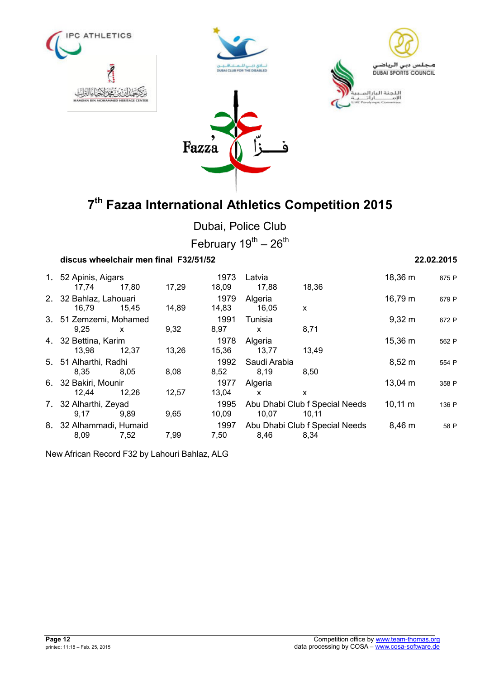







Dubai, Police Club February  $19^{th} - 26^{th}$ 

| discus wheelchair men final F32/51/52 |       |       |               |                      |                                         |              | 22.02.2015 |
|---------------------------------------|-------|-------|---------------|----------------------|-----------------------------------------|--------------|------------|
| 1. 52 Apinis, Aigars<br>17,74         | 17,80 | 17,29 | 1973<br>18,09 | Latvia<br>17,88      | 18,36                                   | 18,36 m      | 875 P      |
| 2. 32 Bahlaz, Lahouari<br>16,79       | 15,45 | 14,89 | 1979<br>14,83 | Algeria<br>16,05     | $\mathsf{x}$                            | 16,79 m      | 679 P      |
| 3. 51 Zemzemi, Mohamed<br>9,25        | X     | 9,32  | 1991<br>8,97  | Tunisia<br>X         | 8,71                                    | $9,32 \, m$  | 672 P      |
| 4. 32 Bettina, Karim<br>13,98         | 12.37 | 13,26 | 1978<br>15,36 | Algeria<br>13,77     | 13,49                                   | 15,36 m      | 562 P      |
| 5. 51 Alharthi, Radhi<br>8.35         | 8.05  | 8,08  | 1992<br>8,52  | Saudi Arabia<br>8,19 | 8,50                                    | $8,52 \; m$  | 554 P      |
| 6. 32 Bakiri, Mounir<br>12,44         | 12,26 | 12,57 | 1977<br>13,04 | Algeria<br>X         | X                                       | $13,04 \; m$ | 358 P      |
| 7. 32 Alharthi, Zeyad<br>9,17         | 9,89  | 9,65  | 1995<br>10,09 | 10,07                | Abu Dhabi Club f Special Needs<br>10,11 | $10,11 \; m$ | 136 P      |
| 8. 32 Alhammadi, Humaid<br>8,09       | 7,52  | 7,99  | 1997<br>7,50  | 8,46                 | Abu Dhabi Club f Special Needs<br>8,34  | 8,46 m       | 58 P       |

New African Record F32 by Lahouri Bahlaz, ALG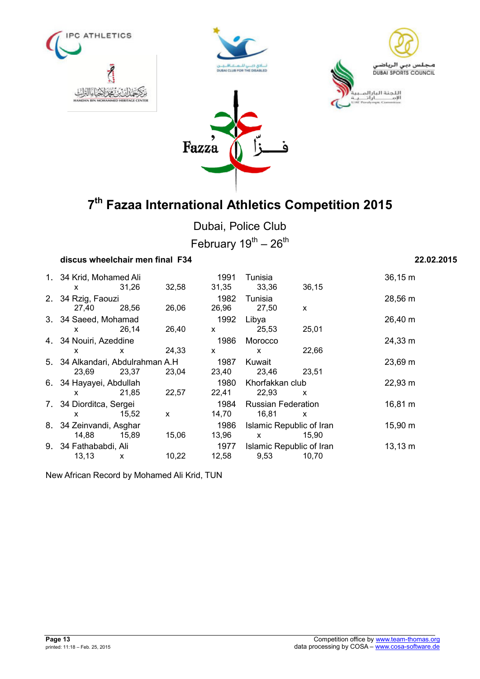







Dubai, Police Club February  $19^{th} - 26^{th}$ 

| discus wheelchair men final F34           |       |       |                      |                                    |                                   | 22.02.2015   |
|-------------------------------------------|-------|-------|----------------------|------------------------------------|-----------------------------------|--------------|
| 1. 34 Krid, Mohamed Ali<br><b>X</b>       | 31,26 | 32,58 | 1991<br>31,35        | Tunisia<br>33,36                   | 36, 15                            | 36,15 m      |
| 2. 34 Rzig, Faouzi<br>27,40               | 28,56 | 26,06 | 1982<br>26,96        | Tunisia<br>27,50                   | X                                 | 28,56 m      |
| 3. 34 Saeed, Mohamad<br><b>X</b>          | 26,14 | 26,40 | 1992<br>$\mathsf{X}$ | Libya<br>25,53                     | 25,01                             | 26,40 m      |
| 4. 34 Nouiri, Azeddine<br>X.              | X     | 24,33 | 1986<br>X.           | Morocco<br>X                       | 22,66                             | 24,33 m      |
| 5. 34 Alkandari, Abdulrahman A.H<br>23,69 | 23,37 | 23,04 | 1987<br>23,40        | Kuwait<br>23,46                    | 23,51                             | 23,69 m      |
| 6. 34 Hayayei, Abdullah<br>X.             | 21,85 | 22,57 | 1980<br>22,41        | Khorfakkan club<br>22,93           | X                                 | 22,93 m      |
| 7. 34 Diorditca, Sergei<br>x              | 15,52 | X     | 1984<br>14,70        | <b>Russian Federation</b><br>16,81 | X                                 | 16,81 m      |
| 8. 34 Zeinvandi, Asghar<br>14,88          | 15,89 | 15,06 | 1986<br>13,96        | $\mathsf{x}$                       | Islamic Republic of Iran<br>15,90 | 15,90 m      |
| 9. 34 Fathababdi, Ali<br>13, 13           | х     | 10,22 | 1977<br>12,58        | 9,53                               | Islamic Republic of Iran<br>10,70 | $13,13 \; m$ |

New African Record by Mohamed Ali Krid, TUN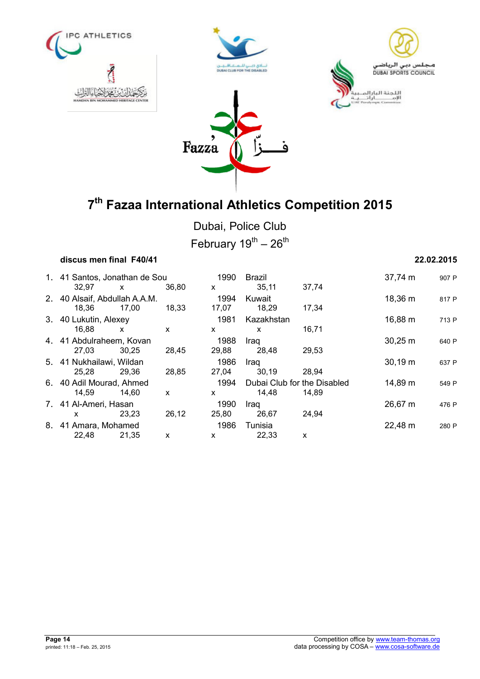







Dubai, Police Club February  $19^{th} - 26^{th}$ 

## **discus men final F40/41 22.02.2015** 1. 41 Santos, Jonathan de Sou 1990 Brazil 37,74 m <sup>907</sup> <sup>P</sup> 32,97 x 36,80 x 35,11 37,74 2. 40 Alsaif, Abdullah A.A.M. 1994 Kuwait 18,36 m <sup>817</sup> <sup>P</sup> 18,36 17,00 18,33 17,07 18,29 17,34 3. 40 Lukutin, Alexey 1981 Kazakhstan 16,88 m <sup>713</sup> <sup>P</sup> 16,88 x x x x 16,71 4. 41 Abdulraheem, Kovan 1988 Iraq 30,25 m <sup>640</sup> <sup>P</sup> 27,03 30,25 28,45 29,88 28,48 29,53 5. 41 Nukhailawi, Wildan 1986 Iraq 30,19 m <sup>637</sup> <sup>P</sup> 25,28 29,36 28,85 27,04 30,19 28,94 6. 40 Adil Mourad, Ahmed 1994 Dubai Club for the Disabled 14,89 m 549 P<br>14,59 14,60 x x 14,48 14,89 14,59 14,60 x x 14,48 14,89 7. 41 Al-Ameri, Hasan 1990 Iraq 1990 Iraq 26,67 m 476 P x 23,23 26,12 25,80 26,67 24,94 8. 41 Amara, Mohamed 1986 Tunisia 22,48 m <sup>280</sup> <sup>P</sup> 22,48 21,35 x x 22,33 x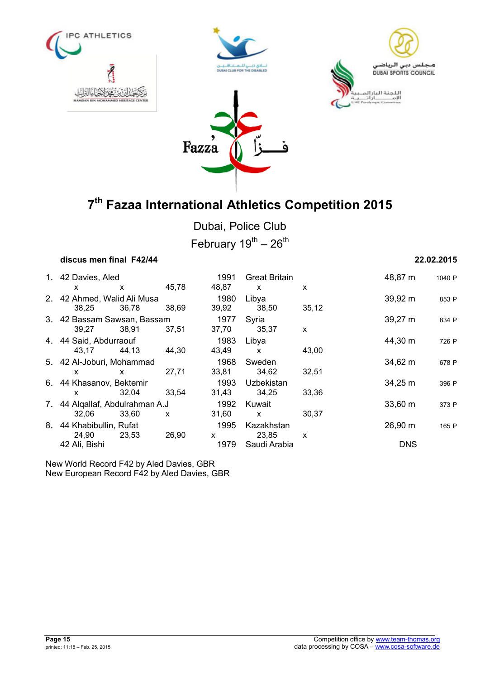







Dubai, Police Club February  $19^{th} - 26^{th}$ 

| discus men final F42/44                  |       |       |               |                                      |       |            | 22.02.2015 |
|------------------------------------------|-------|-------|---------------|--------------------------------------|-------|------------|------------|
| 1. 42 Davies, Aled<br>x                  | X     | 45,78 | 1991<br>48,87 | <b>Great Britain</b><br>$\mathsf{x}$ | X     | 48,87 m    | 1040 P     |
| 2. 42 Ahmed, Walid Ali Musa<br>38.25     | 36,78 | 38,69 | 1980<br>39,92 | Libya<br>38,50                       | 35,12 | 39,92 m    | 853 P      |
| 3. 42 Bassam Sawsan, Bassam<br>39,27     | 38,91 | 37,51 | 1977<br>37,70 | Syria<br>35,37                       | X     | 39,27 m    | 834 P      |
| 4. 44 Said, Abdurraouf<br>43,17          | 44,13 | 44,30 | 1983<br>43,49 | Libya<br>X                           | 43,00 | 44,30 m    | 726 P      |
| 5. 42 Al-Joburi, Mohammad<br>x           | X     | 27,71 | 1968<br>33,81 | Sweden<br>34,62                      | 32,51 | 34,62 m    | 678 P      |
| 6. 44 Khasanov, Bektemir<br><b>X</b>     | 32,04 | 33,54 | 1993<br>31,43 | Uzbekistan<br>34,25                  | 33,36 | 34,25 m    | 396 P      |
| 7. 44 Algallaf, Abdulrahman A.J<br>32,06 | 33,60 | X     | 1992<br>31,60 | Kuwait<br>X                          | 30.37 | 33,60 m    | 373 P      |
| 8. 44 Khabibullin, Rufat<br>24,90        | 23,53 | 26,90 | 1995<br>X     | Kazakhstan<br>23,85                  | X     | 26,90 m    | 165 P      |
| 42 Ali, Bishi                            |       |       | 1979          | Saudi Arabia                         |       | <b>DNS</b> |            |

New World Record F42 by Aled Davies, GBR New European Record F42 by Aled Davies, GBR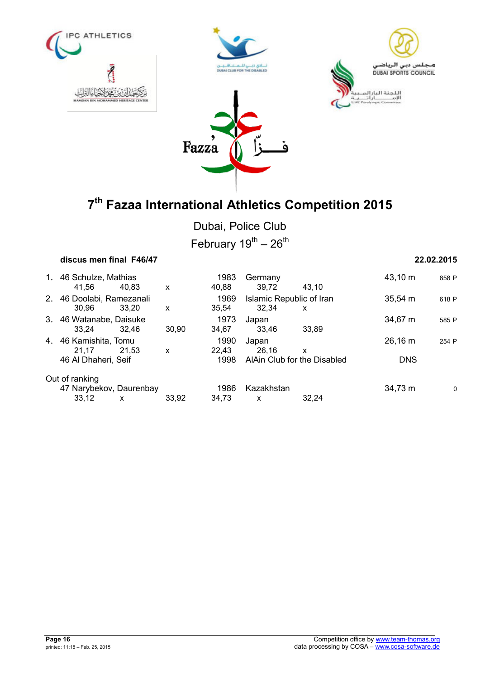







Dubai, Police Club February  $19^{th} - 26^{th}$ 

| discus men final F46/47                                            |       |                       |                                   |                                  |                       | 22.02.2015 |
|--------------------------------------------------------------------|-------|-----------------------|-----------------------------------|----------------------------------|-----------------------|------------|
| 1. 46 Schulze, Mathias<br>41.56<br>40.83                           | X     | 1983<br>40,88         | Germany<br>39,72                  | 43.10                            | 43,10 m               | 858 P      |
| 2. 46 Doolabi, Ramezanali<br>30.96<br>33.20                        | X     | 1969<br>35.54         | Islamic Republic of Iran<br>32.34 | x                                | $35,54 \, m$          | 618 P      |
| 3. 46 Watanabe, Daisuke<br>33,24<br>32.46                          | 30.90 | 1973<br>34.67         | Japan<br>33.46                    | 33.89                            | 34,67 m               | 585 P      |
| 4. 46 Kamishita, Tomu<br>21.17<br>21.53<br>46 Al Dhaheri, Seif     | X     | 1990<br>22.43<br>1998 | Japan<br>26,16                    | X<br>AlAin Club for the Disabled | 26,16 m<br><b>DNS</b> | 254 P      |
| Out of ranking<br>47 Narybekov, Daurenbay<br>33.12<br>$\mathsf{x}$ | 33,92 | 1986<br>34.73         | Kazakhstan<br>$\mathsf{x}$        | 32.24                            | 34,73 m               | 0          |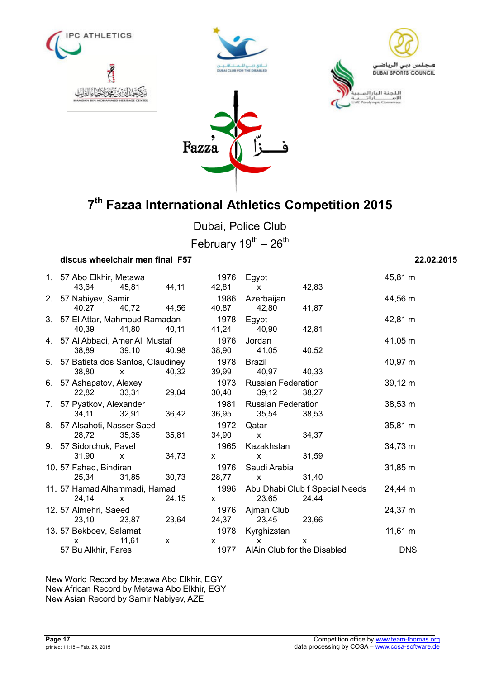







Dubai, Police Club February  $19^{th} - 26^{th}$ 

### **discus wheelchair men final F57 22.02.2015**

|  | 1. 57 Abo Elkhir, Metawa            |                                                                                                                                                                                                                                                                                                  |              | 1976                                                                                                                                                                                                                                                                                             | Egypt                                                                                                                                                                                                                                                                                            |                                     | 45,81 m      |
|--|-------------------------------------|--------------------------------------------------------------------------------------------------------------------------------------------------------------------------------------------------------------------------------------------------------------------------------------------------|--------------|--------------------------------------------------------------------------------------------------------------------------------------------------------------------------------------------------------------------------------------------------------------------------------------------------|--------------------------------------------------------------------------------------------------------------------------------------------------------------------------------------------------------------------------------------------------------------------------------------------------|-------------------------------------|--------------|
|  |                                     | 43,64 45,81 44,11                                                                                                                                                                                                                                                                                |              | 42,81                                                                                                                                                                                                                                                                                            | $\mathsf{X}$                                                                                                                                                                                                                                                                                     | 42,83                               |              |
|  | 2. 57 Nabiyev, Samir                |                                                                                                                                                                                                                                                                                                  |              | 1986                                                                                                                                                                                                                                                                                             | Azerbaijan                                                                                                                                                                                                                                                                                       |                                     | 44,56 m      |
|  |                                     | 40,27 40,72 44,56                                                                                                                                                                                                                                                                                |              | 40,87                                                                                                                                                                                                                                                                                            | 42,80                                                                                                                                                                                                                                                                                            | 41,87                               |              |
|  | 3. 57 El Attar, Mahmoud Ramadan     |                                                                                                                                                                                                                                                                                                  |              | 1978                                                                                                                                                                                                                                                                                             | Egypt                                                                                                                                                                                                                                                                                            |                                     | 42,81 m      |
|  |                                     | 40,39 41,80 40,11                                                                                                                                                                                                                                                                                |              | 41,24                                                                                                                                                                                                                                                                                            | 40,90                                                                                                                                                                                                                                                                                            | 42,81                               |              |
|  | 4. 57 Al Abbadi, Amer Ali Mustaf    |                                                                                                                                                                                                                                                                                                  |              | 1976                                                                                                                                                                                                                                                                                             | Jordan                                                                                                                                                                                                                                                                                           |                                     | 41,05 m      |
|  | 38,89 39,10                         |                                                                                                                                                                                                                                                                                                  | 40,98        |                                                                                                                                                                                                                                                                                                  | 38,90 41,05                                                                                                                                                                                                                                                                                      | 40.52                               |              |
|  | 5. 57 Batista dos Santos, Claudiney |                                                                                                                                                                                                                                                                                                  |              | 1978                                                                                                                                                                                                                                                                                             | <b>Brazil</b>                                                                                                                                                                                                                                                                                    |                                     | 40,97 m      |
|  | 38,80                               | $\mathsf{X}$ and $\mathsf{X}$ and $\mathsf{X}$ are $\mathsf{X}$ and $\mathsf{X}$ are $\mathsf{X}$ and $\mathsf{X}$ are $\mathsf{X}$ and $\mathsf{X}$ are $\mathsf{X}$ and $\mathsf{X}$ are $\mathsf{X}$ and $\mathsf{X}$ are $\mathsf{X}$ and $\mathsf{X}$ are $\mathsf{X}$ and $\mathsf{X}$ are | 40,32        | 39,99                                                                                                                                                                                                                                                                                            | 40,97 40,33                                                                                                                                                                                                                                                                                      |                                     |              |
|  | 6. 57 Ashapatov, Alexey             |                                                                                                                                                                                                                                                                                                  |              | 1973                                                                                                                                                                                                                                                                                             | <b>Russian Federation</b>                                                                                                                                                                                                                                                                        |                                     | $39,12 \; m$ |
|  |                                     | 22,82 33,31                                                                                                                                                                                                                                                                                      | 29,04        | 30,40                                                                                                                                                                                                                                                                                            | 39,12 38,27                                                                                                                                                                                                                                                                                      |                                     |              |
|  | 7. 57 Pyatkov, Alexander            |                                                                                                                                                                                                                                                                                                  |              |                                                                                                                                                                                                                                                                                                  | 1981 Russian Federation                                                                                                                                                                                                                                                                          |                                     | $38,53 \; m$ |
|  |                                     | 34,11 32,91                                                                                                                                                                                                                                                                                      | 36,42        | 36,95                                                                                                                                                                                                                                                                                            | 35,54 38,53                                                                                                                                                                                                                                                                                      |                                     |              |
|  | 8. 57 Alsahoti, Nasser Saed         |                                                                                                                                                                                                                                                                                                  |              |                                                                                                                                                                                                                                                                                                  | 1972 Qatar                                                                                                                                                                                                                                                                                       |                                     | 35,81 m      |
|  | 28,72 35,35                         |                                                                                                                                                                                                                                                                                                  | 35,81        |                                                                                                                                                                                                                                                                                                  | $34,90 \times$                                                                                                                                                                                                                                                                                   | 34,37                               |              |
|  | 9. 57 Sidorchuk, Pavel              |                                                                                                                                                                                                                                                                                                  |              |                                                                                                                                                                                                                                                                                                  | 1965 Kazakhstan                                                                                                                                                                                                                                                                                  |                                     | 34,73 m      |
|  | 31,90                               | $\mathsf{X}$ and $\mathsf{X}$ and $\mathsf{X}$ are the set of $\mathsf{X}$                                                                                                                                                                                                                       | 34,73        | $\mathsf{X}$ and $\mathsf{X}$ and $\mathsf{X}$ are $\mathsf{X}$ and $\mathsf{X}$ are $\mathsf{X}$ and $\mathsf{X}$ are $\mathsf{X}$ and $\mathsf{X}$ are $\mathsf{X}$ and $\mathsf{X}$ are $\mathsf{X}$ and $\mathsf{X}$ are $\mathsf{X}$ and $\mathsf{X}$ are $\mathsf{X}$ and $\mathsf{X}$ are | $\mathsf{X}$ and $\mathsf{X}$ and $\mathsf{X}$ are $\mathsf{X}$ and $\mathsf{X}$ are $\mathsf{X}$ and $\mathsf{X}$ are $\mathsf{X}$ and $\mathsf{X}$ are $\mathsf{X}$ and $\mathsf{X}$ are $\mathsf{X}$ and $\mathsf{X}$ are $\mathsf{X}$ and $\mathsf{X}$ are $\mathsf{X}$ and $\mathsf{X}$ are | 31,59                               |              |
|  | 10.57 Fahad, Bindiran               |                                                                                                                                                                                                                                                                                                  |              | 1976                                                                                                                                                                                                                                                                                             | Saudi Arabia                                                                                                                                                                                                                                                                                     |                                     | $31,85 \; m$ |
|  |                                     | 25,34 31,85                                                                                                                                                                                                                                                                                      | 30,73        | 28,77                                                                                                                                                                                                                                                                                            | $\mathsf{x}$                                                                                                                                                                                                                                                                                     | 31,40                               |              |
|  | 11. 57 Hamad Alhammadi, Hamad       |                                                                                                                                                                                                                                                                                                  |              |                                                                                                                                                                                                                                                                                                  |                                                                                                                                                                                                                                                                                                  | 1996 Abu Dhabi Club f Special Needs | 24,44 m      |
|  |                                     | 24,14 x 24,15                                                                                                                                                                                                                                                                                    |              | $\mathsf{X}$ and $\mathsf{X}$ and $\mathsf{X}$ are $\mathsf{X}$ and $\mathsf{X}$ are $\mathsf{X}$ and $\mathsf{X}$ are $\mathsf{X}$ and $\mathsf{X}$ are $\mathsf{X}$ and $\mathsf{X}$ are $\mathsf{X}$ and $\mathsf{X}$ are $\mathsf{X}$ and $\mathsf{X}$ are $\mathsf{X}$ and $\mathsf{X}$ are | 23,65                                                                                                                                                                                                                                                                                            | 24,44                               |              |
|  | 12.57 Almehri, Saeed                |                                                                                                                                                                                                                                                                                                  |              |                                                                                                                                                                                                                                                                                                  | 1976 Ajman Club                                                                                                                                                                                                                                                                                  |                                     | 24,37 m      |
|  | 23,10 23,87                         |                                                                                                                                                                                                                                                                                                  | 23,64        |                                                                                                                                                                                                                                                                                                  | 24,37 23,45 23,66                                                                                                                                                                                                                                                                                |                                     |              |
|  | 13.57 Bekboev, Salamat              |                                                                                                                                                                                                                                                                                                  |              |                                                                                                                                                                                                                                                                                                  | 1978 Kyrghizstan                                                                                                                                                                                                                                                                                 |                                     | $11,61 \; m$ |
|  | X                                   | 11,61                                                                                                                                                                                                                                                                                            | $\mathsf{x}$ | $\mathsf{x}$                                                                                                                                                                                                                                                                                     | X                                                                                                                                                                                                                                                                                                | <b>X</b>                            |              |
|  | 57 Bu Alkhir, Fares                 |                                                                                                                                                                                                                                                                                                  |              |                                                                                                                                                                                                                                                                                                  | 1977 AlAin Club for the Disabled                                                                                                                                                                                                                                                                 |                                     | <b>DNS</b>   |
|  |                                     |                                                                                                                                                                                                                                                                                                  |              |                                                                                                                                                                                                                                                                                                  |                                                                                                                                                                                                                                                                                                  |                                     |              |

New World Record by Metawa Abo Elkhir, EGY New African Record by Metawa Abo Elkhir, EGY New Asian Record by Samir Nabiyev, AZE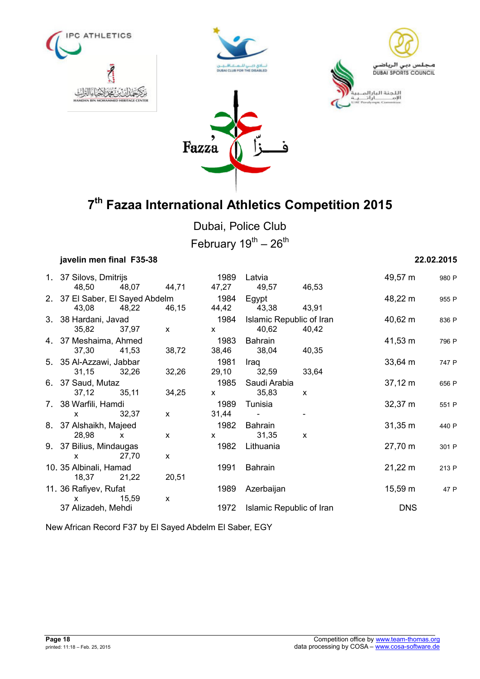







Dubai, Police Club February  $19^{th} - 26^{th}$ 

| javelin men final F35-38                                                                                                                                                                                                                                                                                                    |       |              |                                                                                                                                                                                                                                                                                                          |                                   |              |              | 22.02.2015 |
|-----------------------------------------------------------------------------------------------------------------------------------------------------------------------------------------------------------------------------------------------------------------------------------------------------------------------------|-------|--------------|----------------------------------------------------------------------------------------------------------------------------------------------------------------------------------------------------------------------------------------------------------------------------------------------------------|-----------------------------------|--------------|--------------|------------|
| 1. 37 Silovs, Dmitrijs<br>48,50                                                                                                                                                                                                                                                                                             | 48,07 | 44,71        | 1989                                                                                                                                                                                                                                                                                                     | Latvia<br>47,27 49,57 46,53       |              | 49,57 m      | 980 P      |
| 2. 37 El Saber, El Sayed Abdelm<br>43,08 48,22                                                                                                                                                                                                                                                                              |       | 46,15        | 1984                                                                                                                                                                                                                                                                                                     | Egypt<br>44,42 43,38 43,91        |              | 48,22 m      | 955 P      |
| 3. 38 Hardani, Javad<br>35,82                                                                                                                                                                                                                                                                                               | 37,97 | $\mathsf{x}$ | 1984<br>$\mathbf x$                                                                                                                                                                                                                                                                                      | Islamic Republic of Iran<br>40,62 | 40,42        | 40,62 m      | 836 P      |
| 4. 37 Meshaima, Ahmed<br>37,30                                                                                                                                                                                                                                                                                              | 41,53 | 38,72        | 1983<br>38,46                                                                                                                                                                                                                                                                                            | Bahrain<br>38,04                  | 40,35        | 41,53 m      | 796 P      |
| 5. 35 Al-Azzawi, Jabbar<br>31,15                                                                                                                                                                                                                                                                                            | 32,26 | 32,26        | 1981<br>29,10                                                                                                                                                                                                                                                                                            | Iraq<br>32,59                     | 33,64        | $33,64 \, m$ | 747 P      |
| 6. 37 Saud, Mutaz<br>37,12                                                                                                                                                                                                                                                                                                  | 35,11 | 34,25        | 1985<br>$\mathsf{X}$ and $\mathsf{X}$ and $\mathsf{X}$ are $\mathsf{X}$ and $\mathsf{X}$ are $\mathsf{X}$ and $\mathsf{X}$ are $\mathsf{X}$ and $\mathsf{X}$ are $\mathsf{X}$ and $\mathsf{X}$ are $\mathsf{X}$ and $\mathsf{X}$ are $\mathsf{X}$ and $\mathsf{X}$ are $\mathsf{X}$ and $\mathsf{X}$ are | Saudi Arabia<br>35,83             | $\mathsf{x}$ | $37,12 \; m$ | 656 P      |
| 7. 38 Warfili, Hamdi<br>$\mathsf{x}$                                                                                                                                                                                                                                                                                        | 32,37 | $\mathsf{x}$ | 1989<br>31,44                                                                                                                                                                                                                                                                                            | Tunisia                           |              | $32,37 \; m$ | 551 P      |
| 8. 37 Alshaikh, Majeed<br>28,98 x                                                                                                                                                                                                                                                                                           |       | $\mathsf{x}$ | 1982<br>$\mathsf{X}$ and $\mathsf{X}$ and $\mathsf{X}$ are $\mathsf{X}$ and $\mathsf{X}$ are $\mathsf{X}$ and $\mathsf{X}$ are $\mathsf{X}$ and $\mathsf{X}$ are $\mathsf{X}$ and $\mathsf{X}$ are $\mathsf{X}$ and $\mathsf{X}$ are $\mathsf{X}$ and $\mathsf{X}$ are $\mathsf{X}$ and $\mathsf{X}$ are | Bahrain<br>31,35                  | X            | $31,35 \; m$ | 440 P      |
| 9. 37 Bilius, Mindaugas<br>$\mathsf{X}$ and $\mathsf{X}$ and $\mathsf{X}$ are $\mathsf{X}$ and $\mathsf{X}$ are $\mathsf{X}$ and $\mathsf{X}$ are $\mathsf{X}$ and $\mathsf{X}$ are $\mathsf{X}$ and $\mathsf{X}$ are $\mathsf{X}$ and $\mathsf{X}$ are $\mathsf{X}$ and $\mathsf{X}$ are $\mathsf{X}$ and $\mathsf{X}$ are | 27,70 | $\mathsf{x}$ | 1982                                                                                                                                                                                                                                                                                                     | Lithuania                         |              | 27,70 m      | 301 P      |
| 10. 35 Albinali, Hamad<br>18,37 21,22                                                                                                                                                                                                                                                                                       |       | 20,51        | 1991                                                                                                                                                                                                                                                                                                     | Bahrain                           |              | $21,22 \, m$ | 213 P      |
| 11. 36 Rafiyev, Rufat<br>X.                                                                                                                                                                                                                                                                                                 | 15,59 | X            | 1989                                                                                                                                                                                                                                                                                                     | Azerbaijan                        |              | 15,59 m      | 47 P       |
| 37 Alizadeh, Mehdi                                                                                                                                                                                                                                                                                                          |       |              | 1972                                                                                                                                                                                                                                                                                                     | Islamic Republic of Iran          |              | <b>DNS</b>   |            |

New African Record F37 by El Sayed Abdelm El Saber, EGY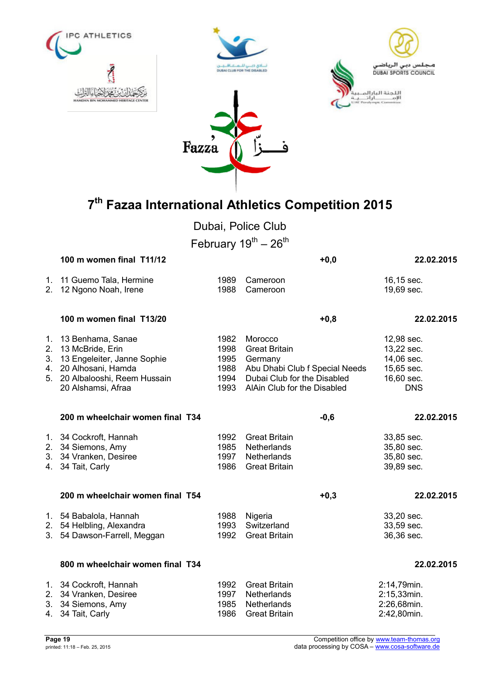







Dubai, Police Club

February  $19^{th} - 26^{th}$ 

|                                  | 100 m women final T11/12                                                                                                                           |                                              | $+0,0$                                                                                                                                     | 22.02.2015                                                                       |
|----------------------------------|----------------------------------------------------------------------------------------------------------------------------------------------------|----------------------------------------------|--------------------------------------------------------------------------------------------------------------------------------------------|----------------------------------------------------------------------------------|
| 1.<br>2.                         | 11 Guemo Tala, Hermine<br>12 Ngono Noah, Irene                                                                                                     | 1989<br>1988                                 | Cameroon<br>Cameroon                                                                                                                       | 16,15 sec.<br>19,69 sec.                                                         |
|                                  | 100 m women final T13/20                                                                                                                           |                                              | $+0,8$                                                                                                                                     | 22.02.2015                                                                       |
| 1 <sub>1</sub><br>2.<br>3.<br>4. | 13 Benhama, Sanae<br>13 McBride, Erin<br>13 Engeleiter, Janne Sophie<br>20 Alhosani, Hamda<br>5. 20 Albalooshi, Reem Hussain<br>20 Alshamsi, Afraa | 1982<br>1998<br>1995<br>1988<br>1994<br>1993 | Morocco<br><b>Great Britain</b><br>Germany<br>Abu Dhabi Club f Special Needs<br>Dubai Club for the Disabled<br>AlAin Club for the Disabled | 12,98 sec.<br>13,22 sec.<br>14,06 sec.<br>15,65 sec.<br>16,60 sec.<br><b>DNS</b> |
|                                  | 200 m wheelchair women final T34                                                                                                                   |                                              | $-0,6$                                                                                                                                     | 22.02.2015                                                                       |
|                                  | 1. 34 Cockroft, Hannah<br>2. 34 Siemons, Amy<br>3. 34 Vranken, Desiree<br>4. 34 Tait, Carly                                                        | 1992<br>1985<br>1997<br>1986                 | <b>Great Britain</b><br>Netherlands<br>Netherlands<br><b>Great Britain</b>                                                                 | 33,85 sec.<br>35,80 sec.<br>35,80 sec.<br>39,89 sec.                             |
|                                  | 200 m wheelchair women final T54                                                                                                                   |                                              | $+0,3$                                                                                                                                     | 22.02.2015                                                                       |
|                                  | 1. 54 Babalola, Hannah<br>2. 54 Helbling, Alexandra<br>3. 54 Dawson-Farrell, Meggan                                                                | 1988<br>1993<br>1992                         | Nigeria<br>Switzerland<br><b>Great Britain</b>                                                                                             | 33,20 sec.<br>33,59 sec.<br>36,36 sec.                                           |
|                                  | 800 m wheelchair women final T34                                                                                                                   |                                              |                                                                                                                                            | 22.02.2015                                                                       |
| 4.                               | 1. 34 Cockroft, Hannah<br>2. 34 Vranken, Desiree<br>3. 34 Siemons, Amy<br>34 Tait, Carly                                                           | 1992<br>1997<br>1985<br>1986                 | <b>Great Britain</b><br>Netherlands<br>Netherlands<br><b>Great Britain</b>                                                                 | 2:14,79min.<br>2:15,33min.<br>2:26,68min.<br>2:42,80min.                         |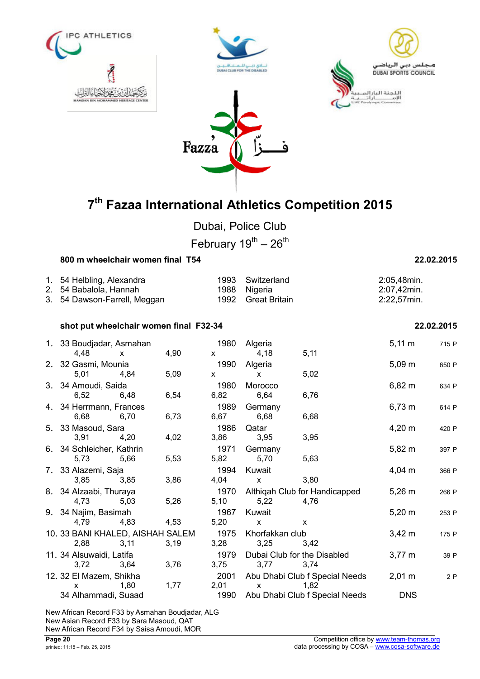







Dubai, Police Club

February  $19^{th} - 26^{th}$ 

| 800 m wheelchair women final T54 |      | 22.02.2015       |                |
|----------------------------------|------|------------------|----------------|
| 1. 54 Helbling, Alexandra        |      | 1993 Switzerland | 2:05,48min.    |
| 2. 54 Babalola, Hannah           |      | 1988 Nigeria     | 2:07,42min.    |
| 3. 54 Dawson-Farrell, Meggan     | 1992 | Great Britain    | $2:22,57$ min. |

### **shot put wheelchair women final F32-34 22.02.2015**

| 1. 33 Boudjadar, Asmahan<br>4,48         | $\mathsf{x}$ | 4,90 | 1980<br>$\mathsf{x}$ | Algeria<br>4,18                     | 5,11                                   | $5,11 \; m$      | 715 P |
|------------------------------------------|--------------|------|----------------------|-------------------------------------|----------------------------------------|------------------|-------|
| 2. 32 Gasmi, Mounia<br>5,01              | 4,84         | 5,09 | 1990<br>$\mathsf{x}$ | Algeria<br>$\mathsf{x}$             | 5,02                                   | $5,09 \; m$      | 650 P |
| 3. 34 Amoudi, Saida<br>6,52              | 6,48         | 6,54 | 1980<br>6,82         | Morocco<br>6,64                     | 6,76                                   | $6,82 \; m$      | 634 P |
| 4. 34 Herrmann, Frances<br>6,68          | 6,70         | 6,73 | 1989<br>6,67         | Germany<br>6,68                     | 6,68                                   | $6,73 \; m$      | 614 P |
| 5. 33 Masoud, Sara<br>3,91               | 4,20         | 4,02 | 1986<br>3,86         | Qatar<br>3,95                       | 3,95                                   | $4,20 \; m$      | 420 P |
| 6. 34 Schleicher, Kathrin<br>5,73        | 5,66         | 5,53 | 1971<br>5,82         | Germany<br>5,70                     | 5,63                                   | $5,82 \; m$      | 397 P |
| 7. 33 Alazemi, Saja<br>3,85              | 3,85         | 3,86 | 1994<br>4,04         | Kuwait<br>$\mathsf{x}$              | 3,80                                   | $4,04 \; m$      | 366 P |
| 8. 34 Alzaabi, Thuraya<br>4,73           | 5,03         | 5,26 | 1970<br>5,10         | 5,22                                | Althiqah Club for Handicapped<br>4,76  | $5,26 \; m$      | 266 P |
| 9. 34 Najim, Basimah<br>4,79             | 4,83         | 4,53 | 1967<br>5,20         | Kuwait<br>$\mathsf{x}$              | $\mathsf{x}$                           | $5,20 \; m$      | 253 P |
| 10. 33 BANI KHALED, AISHAH SALEM<br>2,88 | 3,11         | 3,19 | 1975<br>3,28         | Khorfakkan club<br>3,25             | 3,42                                   | $3,42 \, m$      | 175 P |
| 11. 34 Alsuwaidi, Latifa<br>3,72         | 3,64         | 3,76 | 1979<br>3,75         | Dubai Club for the Disabled<br>3,77 | 3,74                                   | $3,77 \; m$      | 39 P  |
| 12. 32 El Mazem, Shikha<br>X             | 1,80         | 1,77 | 2001<br>2,01         | $\mathbf{x}$                        | Abu Dhabi Club f Special Needs<br>1,82 | $2,01 \text{ m}$ | 2P    |
| 34 Alhammadi, Suaad                      |              |      | 1990                 |                                     | Abu Dhabi Club f Special Needs         | <b>DNS</b>       |       |

New African Record F33 by Asmahan Boudjadar, ALG New Asian Record F33 by Sara Masoud, QAT New African Record F34 by Saisa Amoudi, MOR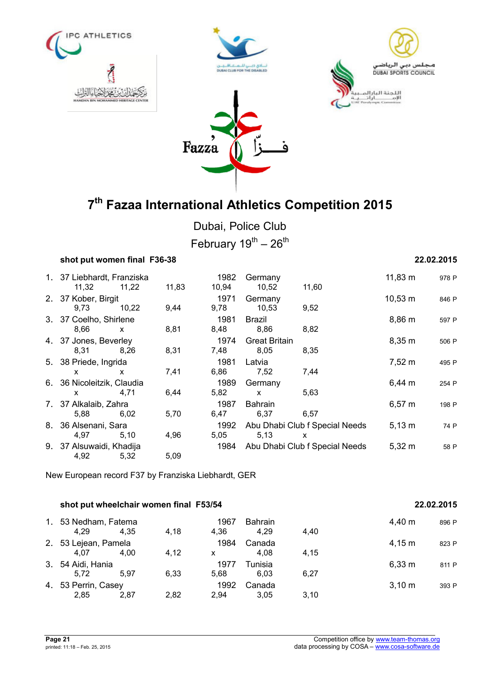







Dubai, Police Club February  $19^{th} - 26^{th}$ 

| shot put women final F36-38         |       |       |               |                              |                                     |              | 22.02.2015 |
|-------------------------------------|-------|-------|---------------|------------------------------|-------------------------------------|--------------|------------|
| 1. 37 Liebhardt, Franziska<br>11,32 | 11,22 | 11,83 | 1982<br>10,94 | Germany<br>10,52             | 11,60                               | $11,83 \; m$ | 978 P      |
| 2. 37 Kober, Birgit<br>9,73         | 10,22 | 9,44  | 1971<br>9,78  | Germany<br>10,53             | 9,52                                | $10,53 \; m$ | 846 P      |
| 3. 37 Coelho, Shirlene<br>8,66      | X     | 8,81  | 1981<br>8,48  | <b>Brazil</b><br>8,86        | 8,82                                | $8,86 \; m$  | 597 P      |
| 4. 37 Jones, Beverley<br>8,31       | 8,26  | 8,31  | 1974<br>7,48  | <b>Great Britain</b><br>8,05 | 8,35                                | 8,35 m       | 506 P      |
| 5. 38 Priede, Ingrida<br>X.         | x     | 7,41  | 1981<br>6,86  | Latvia<br>7,52               | 7,44                                | $7,52 \; m$  | 495 P      |
| 6. 36 Nicoleitzik, Claudia<br>X.    | 4,71  | 6,44  | 1989<br>5,82  | Germany<br>$\mathsf{x}$      | 5,63                                | $6,44 \; m$  | 254 P      |
| 7. 37 Alkalaib, Zahra<br>5,88       | 6,02  | 5,70  | 1987<br>6,47  | <b>Bahrain</b><br>6,37       | 6,57                                | $6,57 \; m$  | 198 P      |
| 8. 36 Alsenani, Sara<br>4,97        | 5,10  | 4,96  | 1992<br>5,05  | 5,13                         | Abu Dhabi Club f Special Needs<br>X | $5,13 \; m$  | 74 P       |
| 9. 37 Alsuwaidi, Khadija<br>4,92    | 5,32  | 5,09  | 1984          |                              | Abu Dhabi Club f Special Needs      | $5,32 \; m$  | 58 P       |

New European record F37 by Franziska Liebhardt, GER

| shot put wheelchair women final F53/54 |      | 22.02.2015 |              |                        |      |                    |       |
|----------------------------------------|------|------------|--------------|------------------------|------|--------------------|-------|
| 1. 53 Nedham, Fatema<br>4.29           | 4.35 | 4,18       | 1967<br>4.36 | <b>Bahrain</b><br>4.29 | 4,40 | 4,40 m             | 896 P |
| 2. 53 Lejean, Pamela<br>4.07           | 4.00 | 4.12       | 1984<br>X    | Canada<br>4.08         | 4,15 | $4,15 \; m$        | 823 P |
| 3. 54 Aidi, Hania<br>5.72              | 5.97 | 6,33       | 1977<br>5.68 | Tunisia<br>6.03        | 6.27 | 6,33 m             | 811 P |
| 4. 53 Perrin, Casey<br>2.85            | 2.87 | 2.82       | 1992<br>2.94 | Canada<br>3.05         | 3.10 | $3,10 \; \text{m}$ | 393 P |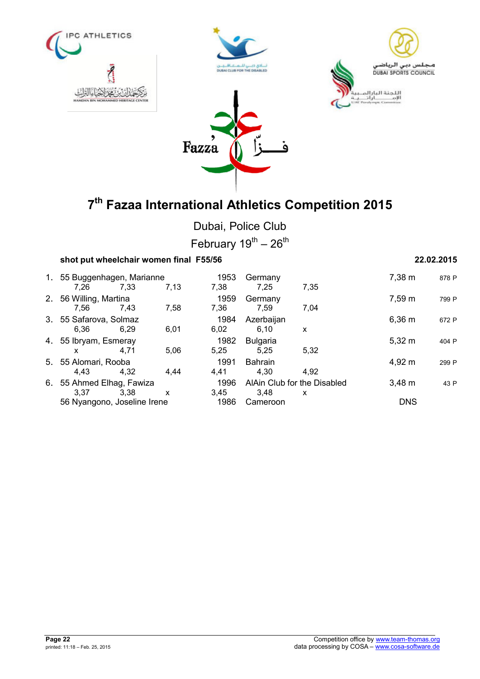







Dubai, Police Club February  $19^{th} - 26^{th}$ 

## **shot put wheelchair women final F55/56 22.02.2015** 1. 55 Buggenhagen, Marianne 1953 Germany 7,38 m <sup>878</sup> <sup>P</sup> 7,26 7,33 7,13 7,38 7,25 7,35 2. 56 Willing, Martina 1959 Germany 7,59 m <sup>799</sup> <sup>P</sup> 7,56 7,43 7,58 7,36 7,59 7,04 3. 55 Safarova, Solmaz 1984 Azerbaijan 6,36 m <sup>672</sup> <sup>P</sup> 6,36 6,29 6,01 6,02 6,10 x 4. 55 Ibryam, Esmeray 1982 Bulgaria 5,32 m <sup>404</sup> <sup>P</sup> x 4,71 5,06 5,25 5,25 5,32 5. 55 Alomari, Rooba 1991 Bahrain 4,92 m <sup>299</sup> <sup>P</sup> 4,43 4,32 4,44 4,41 4,30 4,92 6. 55 Ahmed Elhag, Fawiza 1996 AlAin Club for the Disabled 3,48 m <sup>43</sup> <sup>P</sup> 3,37 3,38 x 3,45 3,48 x 56 Nyangono, Joseline Irene 1986 Cameroon DNS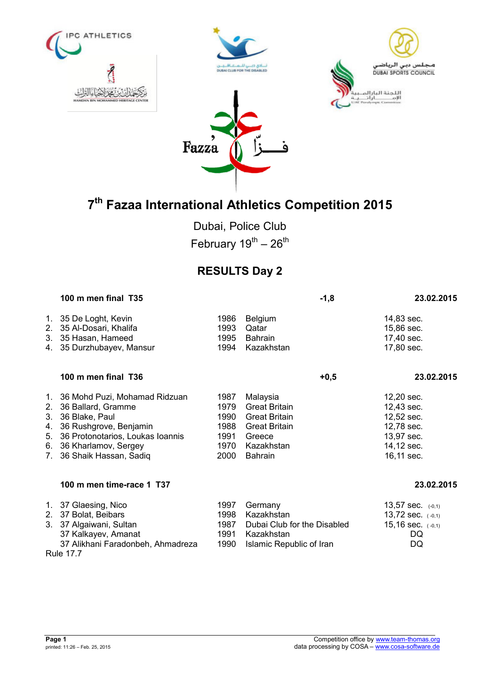







Dubai, Police Club February  $19^{th} - 26^{th}$ 

## **RESULTS Day 2**

|                                                                      | 100 m men final T35                                                                                                                                                                   |                                                      | $-1,8$                                                                                                                     | 23.02.2015                                                                                     |
|----------------------------------------------------------------------|---------------------------------------------------------------------------------------------------------------------------------------------------------------------------------------|------------------------------------------------------|----------------------------------------------------------------------------------------------------------------------------|------------------------------------------------------------------------------------------------|
| $1_{\cdot}$<br>2 <sub>1</sub><br>3.<br>4.                            | 35 De Loght, Kevin<br>35 Al-Dosari, Khalifa<br>35 Hasan, Hameed<br>35 Durzhubayev, Mansur                                                                                             | 1986<br>1993<br>1995<br>1994                         | <b>Belgium</b><br>Qatar<br><b>Bahrain</b><br>Kazakhstan                                                                    | 14,83 sec.<br>15,86 sec.<br>17,40 sec.<br>17,80 sec.                                           |
|                                                                      | 100 m men final T36                                                                                                                                                                   |                                                      | $+0,5$                                                                                                                     | 23.02.2015                                                                                     |
| 1.<br>2.<br>3.<br>4.<br>5.<br>6.<br>$7_{\scriptscriptstyle{\ddots}}$ | 36 Mohd Puzi, Mohamad Ridzuan<br>36 Ballard, Gramme<br>36 Blake, Paul<br>36 Rushgrove, Benjamin<br>36 Protonotarios, Loukas Ioannis<br>36 Kharlamov, Sergey<br>36 Shaik Hassan, Sadiq | 1987<br>1979<br>1990<br>1988<br>1991<br>1970<br>2000 | Malaysia<br><b>Great Britain</b><br><b>Great Britain</b><br><b>Great Britain</b><br>Greece<br>Kazakhstan<br><b>Bahrain</b> | 12,20 sec.<br>12,43 sec.<br>12,52 sec.<br>12,78 sec.<br>13,97 sec.<br>14,12 sec.<br>16,11 sec. |
|                                                                      | 100 m men time-race 1 T37                                                                                                                                                             |                                                      |                                                                                                                            | 23.02.2015                                                                                     |
| 1.<br>2.<br>3.                                                       | 37 Glaesing, Nico<br>37 Bolat, Beibars<br>37 Algaiwani, Sultan<br>37 Kalkayev, Amanat<br>37 Alikhani Faradonbeh, Ahmadreza<br><b>Rule 17.7</b>                                        | 1997<br>1998<br>1987<br>1991<br>1990                 | Germany<br>Kazakhstan<br>Dubai Club for the Disabled<br>Kazakhstan<br>Islamic Republic of Iran                             | 13,57 sec. $(-0,1)$<br>13,72 sec. $(-0,1)$<br>15,16 sec. $(-0,1)$<br>DQ<br>DQ                  |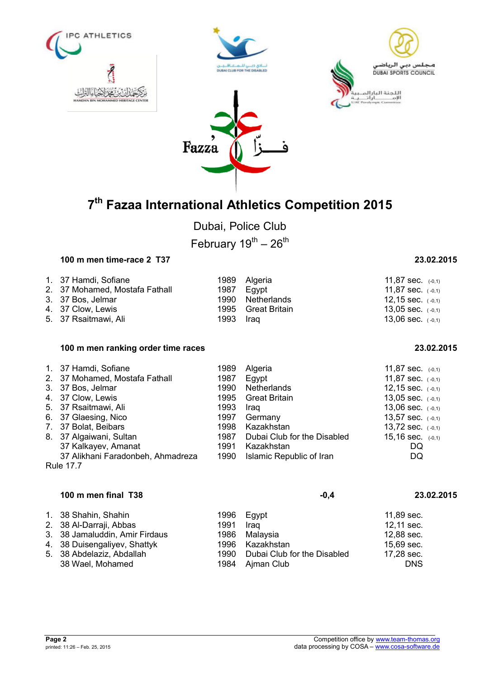







Dubai, Police Club February  $19^{th} - 26^{th}$ 

## **100 m men time-race 2 T37 23.02.2015**

| 1. 37 Hamdi, Sofiane           |           | 1989 Algeria       | 11,87 sec. $(-0,1)$   |
|--------------------------------|-----------|--------------------|-----------------------|
| 2. 37 Mohamed, Mostafa Fathall |           | 1987 Eavpt         | 11,87 sec. $(-0,1)$   |
| 3. 37 Bos, Jelmar              |           | 1990 Netherlands   | 12,15 sec. $(-0,1)$   |
| 4. 37 Clow, Lewis              |           | 1995 Great Britain | 13,05 sec. $(-0,1)$   |
| 5. 37 Rsaitmawi, Ali           | 1993 Iraq |                    | $13,06$ sec. $(-0,1)$ |

### **100 m men ranking order time races 23.02.2015**

| 1. 37 Hamdi, Sofiane                                                                            | 1989 | Algeria                     | 11,87 sec. $(-0,1)$ |  |  |
|-------------------------------------------------------------------------------------------------|------|-----------------------------|---------------------|--|--|
| 2. 37 Mohamed, Mostafa Fathall                                                                  | 1987 | Egypt                       | 11,87 sec. $(-0,1)$ |  |  |
| 3. 37 Bos, Jelmar                                                                               | 1990 | Netherlands                 | 12,15 sec. $(-0,1)$ |  |  |
| 4. 37 Clow, Lewis                                                                               | 1995 | <b>Great Britain</b>        | 13,05 sec. $(-0,1)$ |  |  |
| 5. 37 Rsaitmawi, Ali                                                                            | 1993 | Iraq                        | 13,06 sec. $(-0,1)$ |  |  |
| 6. 37 Glaesing, Nico                                                                            | 1997 | Germany                     | 13,57 sec. $(-0,1)$ |  |  |
| 7. 37 Bolat, Beibars                                                                            | 1998 | Kazakhstan                  | 13,72 sec. $(-0,1)$ |  |  |
| 8. 37 Algaiwani, Sultan                                                                         | 1987 | Dubai Club for the Disabled | 15,16 sec. $(-0,1)$ |  |  |
| 37 Kalkayev, Amanat                                                                             | 1991 | Kazakhstan                  | DQ                  |  |  |
| 37 Alikhani Faradonbeh, Ahmadreza<br>Islamic Republic of Iran<br>1990<br>DQ<br><b>Rule 17.7</b> |      |                             |                     |  |  |

## **100 m men final T38 -0,4 23.02.2015** 1. 38 Shahin, Shahin 1996 Egypt 11,89 sec. 2. 38 Al-Darraji, Abbas 1991 Iraq 12,11 sec. 3. 38 Jamaluddin, Amir Firdaus 1986 Malaysia 12,88 sec. 4. 38 Duisengaliyev, Shattyk 1996 Kazakhstan 15,69 sec.<br>1990 Dubai Club for the Disabled 17,28 sec. Dubai Club for the Disabled 38 Wael, Mohamed 1984 Ajman Club DNS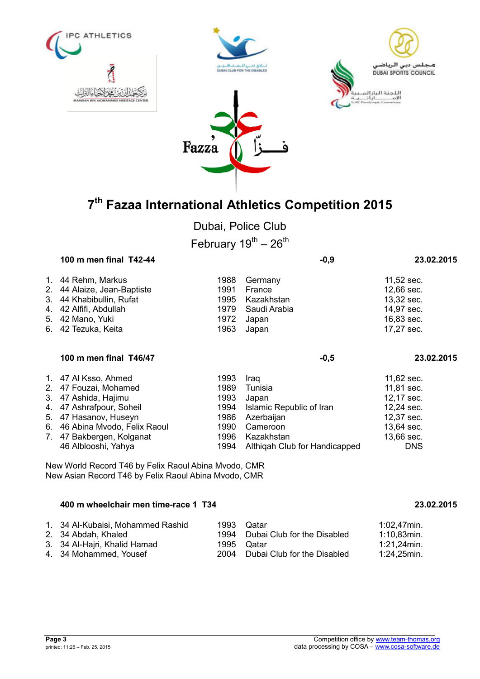

Dubai, Police Club

February  $19^{th} - 26^{th}$ 

| 100 m men final T42-44                                                                                                                                                                                                                                                                                                                                                               |                                              |                                                                   | $-0,9$ | 23.02.2015                                                                         |
|--------------------------------------------------------------------------------------------------------------------------------------------------------------------------------------------------------------------------------------------------------------------------------------------------------------------------------------------------------------------------------------|----------------------------------------------|-------------------------------------------------------------------|--------|------------------------------------------------------------------------------------|
| 1. 44 Rehm, Markus<br>2. 44 Alaize, Jean-Baptiste<br>3. 44 Khabibullin, Rufat<br>4. 42 Alfifi, Abdullah<br>5. 42 Mano, Yuki<br>6. 42 Tezuka, Keita                                                                                                                                                                                                                                   | 1988<br>1991<br>1995<br>1979<br>1972<br>1963 | Germany<br>France<br>Kazakhstan<br>Saudi Arabia<br>Japan<br>Japan |        | $11,52$ sec.<br>12,66 sec.<br>13,32 sec.<br>14,97 sec.<br>16,83 sec.<br>17,27 sec. |
| 100 m men final T46/47                                                                                                                                                                                                                                                                                                                                                               |                                              |                                                                   | $-0,5$ | 23.02.2015                                                                         |
| $\overline{A}$ $\overline{A}$ $\overline{A}$ $\overline{A}$ $\overline{A}$ $\overline{A}$ $\overline{A}$ $\overline{A}$ $\overline{A}$ $\overline{A}$ $\overline{A}$ $\overline{A}$ $\overline{A}$ $\overline{A}$ $\overline{A}$ $\overline{A}$ $\overline{A}$ $\overline{A}$ $\overline{A}$ $\overline{A}$ $\overline{A}$ $\overline{A}$ $\overline{A}$ $\overline{A}$ $\overline{$ |                                              |                                                                   |        | $1100 - 22$                                                                        |

| 1. 47 Al Ksso, Ahmed           | 1993 | Iraq                               | $11,62$ sec. |
|--------------------------------|------|------------------------------------|--------------|
| 2. 47 Fouzai, Mohamed          | 1989 | Tunisia                            | 11,81 sec.   |
| 3. 47 Ashida, Hajimu           | 1993 | Japan                              | 12,17 sec.   |
| 4. 47 Ashrafpour, Soheil       |      | 1994 Islamic Republic of Iran      | 12,24 sec.   |
| 5. 47 Hasanov, Huseyn          |      | 1986 Azerbaijan                    | 12,37 sec.   |
| 6. 46 Abina Mvodo, Felix Raoul |      | 1990 Cameroon                      | 13,64 sec.   |
| 7. 47 Bakbergen, Kolganat      |      | 1996 Kazakhstan                    | 13,66 sec.   |
| 46 Alblooshi, Yahya            |      | 1994 Althigah Club for Handicapped | <b>DNS</b>   |
|                                |      |                                    |              |

New World Record T46 by Felix Raoul Abina Mvodo, CMR New Asian Record T46 by Felix Raoul Abina Mvodo, CMR

### **400 m wheelchair men time-race 1 T34 23.02.2015**

| 1. 34 Al-Kubaisi, Mohammed Rashid | 1993 Qatar                       | 1:02.47min. |
|-----------------------------------|----------------------------------|-------------|
| 2. 34 Abdah, Khaled               | 1994 Dubai Club for the Disabled | 1:10,83min. |
| 3. 34 Al-Hajri, Khalid Hamad      | 1995 Qatar                       | .1:21,24min |
| 4. 34 Mohammed, Yousef            | 2004 Dubai Club for the Disabled | 1:24,25min. |

ں دہی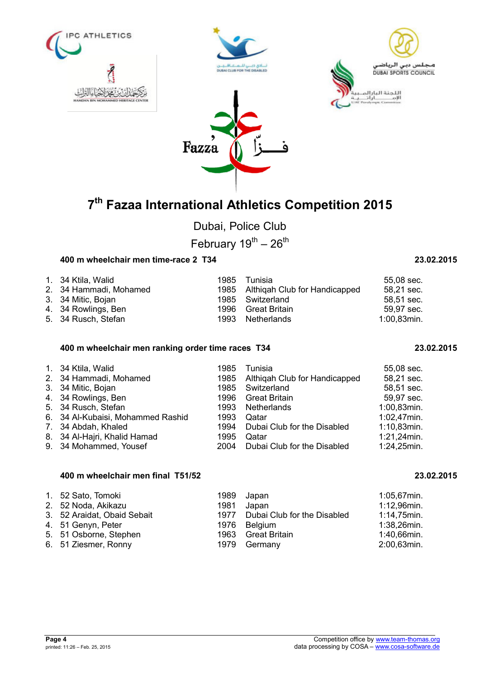



Fazza

Dubai, Police Club

February  $19^{th} - 26^{th}$ 

## **400 m wheelchair men time-race 2 T34 23.02.2015**

| 1. 34 Ktila, Walid     | 1985 | Tunisia                            | 55,08 sec.  |
|------------------------|------|------------------------------------|-------------|
| 2. 34 Hammadi, Mohamed |      | 1985 Althigah Club for Handicapped | 58,21 sec.  |
| 3. 34 Mitic, Bojan     |      | 1985 Switzerland                   | 58,51 sec.  |
| 4. 34 Rowlings, Ben    |      | 1996 Great Britain                 | 59,97 sec.  |
| 5. 34 Rusch, Stefan    |      | 1993 Netherlands                   | 1:00,83min. |

### **400 m wheelchair men ranking order time races T34 23.02.2015**

| 1. 34 Ktila, Walid                | 1985 | Tunisia                            | 55,08 sec.  |
|-----------------------------------|------|------------------------------------|-------------|
| 2. 34 Hammadi, Mohamed            |      | 1985 Althigah Club for Handicapped | 58,21 sec.  |
| 3. 34 Mitic, Bojan                | 1985 | Switzerland                        | 58,51 sec.  |
| 4. 34 Rowlings, Ben               | 1996 | Great Britain                      | 59,97 sec.  |
| 5. 34 Rusch, Stefan               | 1993 | Netherlands                        | 1:00,83min. |
| 6. 34 Al-Kubaisi, Mohammed Rashid | 1993 | Qatar                              | 1:02,47min. |
| 7. 34 Abdah, Khaled               | 1994 | Dubai Club for the Disabled        | 1:10,83min. |
| 8. 34 Al-Hajri, Khalid Hamad      | 1995 | Qatar                              | 1:21,24min. |
| 9. 34 Mohammed, Yousef            | 2004 | Dubai Club for the Disabled        | 1:24,25min. |

## **400 m wheelchair men final T51/52 23.02.2015**

| 1. 52 Sato, Tomoki          |      | 1989 Japan                       | $1:05,67$ min. |
|-----------------------------|------|----------------------------------|----------------|
| 2. 52 Noda, Akikazu         | 1981 | Japan                            | 1:12,96min.    |
| 3. 52 Araidat, Obaid Sebait |      | 1977 Dubai Club for the Disabled | $1:14,75$ min. |
| 4. 51 Genyn, Peter          |      | 1976 Belgium                     | $1:38,26$ min. |
| 5. 51 Osborne, Stephen      |      | 1963 Great Britain               | 1:40,66min.    |
| 6. 51 Ziesmer, Ronny        |      | 1979 Germany                     | 2:00,63min.    |

| <b>IPC ATHLETICS</b>                            |
|-------------------------------------------------|
|                                                 |
| إعالةالث<br>HANDAN BIN MOHAMMED HERITAGE CENTER |

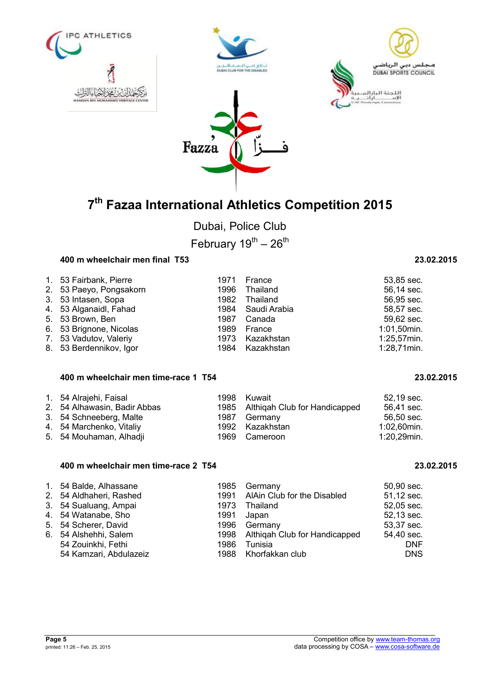



Dubai, Police Club

February  $19^{th} - 26^{th}$ 

### **400 m wheelchair men final T53 23.02.2015**

| 1. 53 Fairbank, Pierre  | 1971 France       | 53,85 sec.  |
|-------------------------|-------------------|-------------|
| 2. 53 Paeyo, Pongsakorn | 1996 Thailand     | 56,14 sec.  |
| 3. 53 Intasen, Sopa     | 1982 Thailand     | 56,95 sec.  |
| 4. 53 Alganaidl, Fahad  | 1984 Saudi Arabia | 58,57 sec.  |
| 5. 53 Brown, Ben        | 1987 Canada       | 59,62 sec.  |
| 6. 53 Brignone, Nicolas | 1989 France       | 1:01,50min. |
| 7. 53 Vadutov, Valeriy  | 1973 Kazakhstan   | 1:25,57min. |
| 8. 53 Berdennikov, Igor | 1984 Kazakhstan   | 1:28,71min. |

### **400 m wheelchair men time-race 1 T54 23.02.2015**

| 1. 54 Alrajehi, Faisal       | 1998 Kuwait                        | 52,19 sec.  |
|------------------------------|------------------------------------|-------------|
| 2. 54 Alhawasin, Badir Abbas | 1985 Althigah Club for Handicapped | 56,41 sec.  |
| 3. 54 Schneeberg, Malte      | 1987 Germany                       | 56,50 sec.  |
| 4. 54 Marchenko, Vitaliy     | 1992 Kazakhstan                    | 1:02,60min. |
| 5. 54 Mouhaman, Alhadji      | 1969 Cameroon                      | 1:20,29min. |
|                              |                                    |             |

### **400 m wheelchair men time-race 2 T54 23.02.2015**

| 1. 54 Balde, Alhassane  | 1985 | Germany                            | 50,90 sec. |
|-------------------------|------|------------------------------------|------------|
| 2. 54 Aldhaheri, Rashed |      | 1991 AlAin Club for the Disabled   | 51,12 sec. |
| 3. 54 Sualuang, Ampai   | 1973 | Thailand                           | 52,05 sec. |
| 4. 54 Watanabe, Sho     | 1991 | Japan                              | 52,13 sec. |
| 5. 54 Scherer, David    | 1996 | Germany                            | 53,37 sec. |
| 6. 54 Alshehhi, Salem   |      | 1998 Althigah Club for Handicapped | 54,40 sec. |
| 54 Zouinkhi, Fethi      | 1986 | Tunisia                            | <b>DNF</b> |
| 54 Kamzari, Abdulazeiz  |      | 1988 Khorfakkan club               | <b>DNS</b> |
|                         |      |                                    |            |

| ວວ.໐ວ ຣ <del>ບ</del> ບ. |
|-------------------------|
| 56,14 sec.              |
| 56,95 sec.              |
| 58,57 sec.              |
| 59,62 sec.              |
| 1:01,50min.             |
| 1:25,57min.             |
| 1:28.71min.             |

|  | 23.02.201 |  |
|--|-----------|--|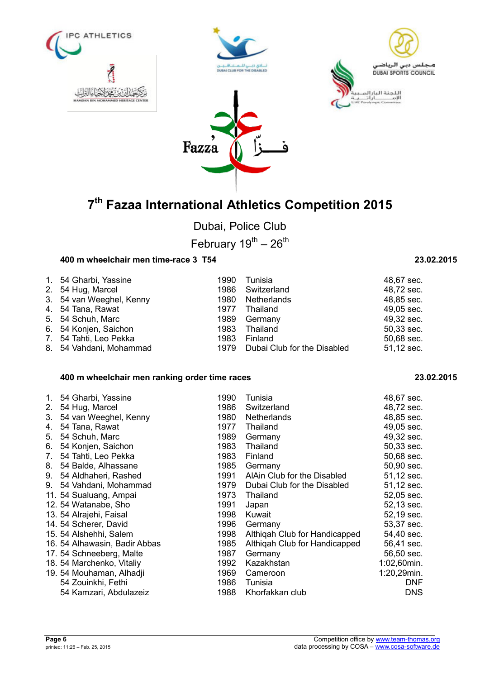



Dubai, Police Club

February  $19^{th} - 26^{th}$ 

### **400 m wheelchair men time-race 3 T54 23.02.2015**

| 1. 54 Gharbi, Yassine    | 1990 | Tunisia                          | 48,67 sec. |
|--------------------------|------|----------------------------------|------------|
| 2. 54 Hug, Marcel        |      | 1986 Switzerland                 | 48,72 sec. |
| 3. 54 van Weeghel, Kenny | 1980 | Netherlands                      | 48,85 sec. |
| 4. 54 Tana, Rawat        | 1977 | Thailand                         | 49,05 sec. |
| 5. 54 Schuh, Marc        | 1989 | Germany                          | 49,32 sec. |
| 6. 54 Konjen, Saichon    | 1983 | Thailand                         | 50,33 sec. |
| 7. 54 Tahti, Leo Pekka   | 1983 | Finland                          | 50,68 sec. |
| 8. 54 Vahdani, Mohammad  |      | 1979 Dubai Club for the Disabled | 51,12 sec. |

### **400 m wheelchair men ranking order time races 23.02.2015**

| 1. | 54 Gharbi, Yassine            | 1990 | Tunisia                       | 48,67 sec.  |
|----|-------------------------------|------|-------------------------------|-------------|
| 2. | 54 Hug, Marcel                | 1986 | Switzerland                   | 48,72 sec.  |
| 3. | 54 van Weeghel, Kenny         | 1980 | <b>Netherlands</b>            | 48,85 sec.  |
| 4. | 54 Tana, Rawat                | 1977 | Thailand                      | 49,05 sec.  |
| 5. | 54 Schuh, Marc                | 1989 | Germany                       | 49,32 sec.  |
| 6. | 54 Konjen, Saichon            | 1983 | Thailand                      | 50,33 sec.  |
| 7. | 54 Tahti, Leo Pekka           | 1983 | Finland                       | 50,68 sec.  |
| 8. | 54 Balde, Alhassane           | 1985 | Germany                       | 50,90 sec.  |
| 9. | 54 Aldhaheri, Rashed          | 1991 | AlAin Club for the Disabled   | 51,12 sec.  |
| 9. | 54 Vahdani, Mohammad          | 1979 | Dubai Club for the Disabled   | 51,12 sec.  |
|    | 11. 54 Sualuang, Ampai        | 1973 | Thailand                      | 52,05 sec.  |
|    | 12.54 Watanabe, Sho           | 1991 | Japan                         | 52,13 sec.  |
|    | 13. 54 Alrajehi, Faisal       | 1998 | Kuwait                        | 52,19 sec.  |
|    | 14. 54 Scherer, David         | 1996 | Germany                       | 53,37 sec.  |
|    | 15. 54 Alshehhi, Salem        | 1998 | Althigah Club for Handicapped | 54,40 sec.  |
|    | 16. 54 Alhawasin, Badir Abbas | 1985 | Althigah Club for Handicapped | 56,41 sec.  |
|    | 17.54 Schneeberg, Malte       | 1987 | Germany                       | 56,50 sec.  |
|    | 18. 54 Marchenko, Vitaliy     | 1992 | Kazakhstan                    | 1:02,60min. |
|    | 19. 54 Mouhaman, Alhadji      | 1969 | Cameroon                      | 1:20,29min. |
|    | 54 Zouinkhi, Fethi            | 1986 | Tunisia                       | <b>DNF</b>  |
|    | 54 Kamzari, Abdulazeiz        | 1988 | Khorfakkan club               | DNS.        |

| 48.72 sec. |  |
|------------|--|
| 48,85 sec. |  |
| 49,05 sec. |  |
| 49,32 sec. |  |
| 50.33 sec. |  |
| 50,68 sec. |  |
| 51,12 sec. |  |
|            |  |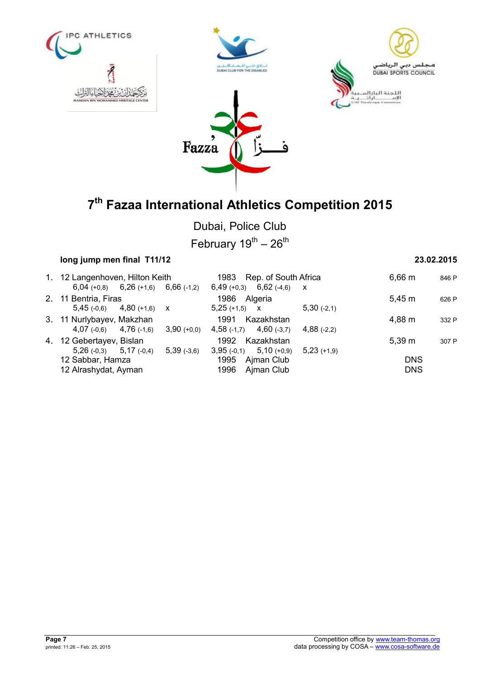







Dubai, Police Club

February  $19^{th} - 26^{th}$ 

## **long jump men final T11/12 23.02.2015**

| 1. 12 Langenhoven, Hilton Keith           |               | 1983 Rep. of South Africa   |               | 6,66 m     | 846 P |
|-------------------------------------------|---------------|-----------------------------|---------------|------------|-------|
| $6,04 (+0,8)$ $6,26 (+1,6)$ $6,66 (+1,2)$ |               | $6,49 (+0,3)$ $6,62 (+4,6)$ | $\mathsf{X}$  |            |       |
| 2. 11 Bentria, Firas                      |               | 1986<br>Algeria             |               | 5.45 m     | 626 P |
| $5,45(-0,6)$ $4,80(+1,6)$ x               |               | $5,25 (+1,5)$ X             | $5,30$ (-2,1) |            |       |
| 3. 11 Nurlybayev, Makzhan                 |               | 1991<br>Kazakhstan          |               | 4,88 m     | 332 P |
| $4,07$ (-0,6) $4,76$ (-1,6)               | $3,90 (+0,0)$ | $4,58$ (-1,7) $4,60$ (-3,7) | $4,88(-2,2)$  |            |       |
| 4. 12 Gebertayev, Bislan                  |               | Kazakhstan<br>1992          |               | 5.39 m     | 307 P |
| $5,26(-0,3)$ $5,17(-0,4)$                 | $5,39$ (-3,6) | $3,95(-0,1)$ $5,10(+0,9)$   | $5,23(+1,9)$  |            |       |
| 12 Sabbar, Hamza                          |               | 1995<br>Ajman Club          |               | <b>DNS</b> |       |
| 12 Alrashydat, Ayman                      |               | 1996<br>Ajman Club          | <b>DNS</b>    |            |       |
|                                           |               |                             |               |            |       |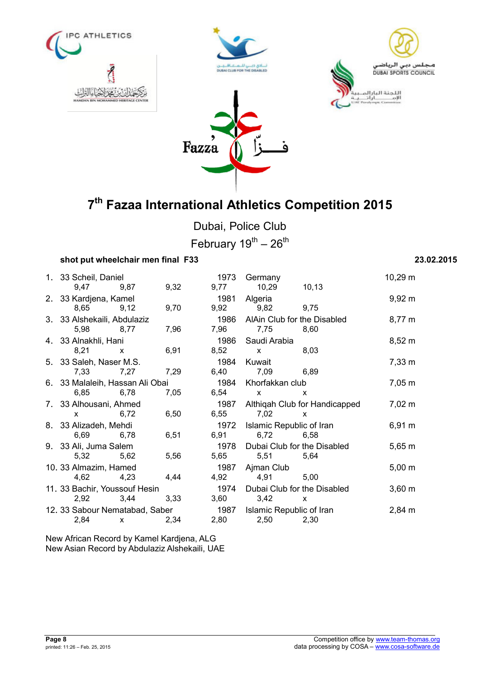







Dubai, Police Club February  $19^{th} - 26^{th}$ 

## **shot put wheelchair men final F33 23.02.2015**

| 1. 33 Scheil, Daniel            |              |      | 1973 | Germany                          |                               | $10,29 \text{ m}$  |
|---------------------------------|--------------|------|------|----------------------------------|-------------------------------|--------------------|
| 9,47                            | 9,87         | 9,32 | 9,77 | 10,29                            | 10, 13                        |                    |
| 2. 33 Kardjena, Kamel           |              |      | 1981 | Algeria                          |                               | $9,92 \, \text{m}$ |
| 8,65                            | 9,12         | 9,70 | 9,92 | 9,82                             | 9,75                          |                    |
| 3. 33 Alshekaili, Abdulaziz     |              |      | 1986 | AlAin Club for the Disabled      |                               | $8,77 \; m$        |
| 5,98<br>8,77                    |              | 7,96 | 7,96 | 7,75                             | 8,60                          |                    |
| 4. 33 Alnakhli, Hani            |              |      | 1986 | Saudi Arabia                     |                               | $8,52 \; m$        |
| 8,21                            | $\mathsf{x}$ | 6,91 | 8,52 | $\mathsf{X}$                     | 8,03                          |                    |
| 5. 33 Saleh, Naser M.S.         |              |      | 1984 | Kuwait                           |                               | $7,33 \; m$        |
| 7,33                            | 7,27         | 7,29 | 6,40 | 7,09                             | 6,89                          |                    |
| 6. 33 Malaleih, Hassan Ali Obai |              |      | 1984 | Khorfakkan club                  |                               | $7,05 \; m$        |
| 6,85                            | 6,78         | 7,05 | 6,54 | $\mathsf{X}$                     | X                             |                    |
| 7. 33 Alhousani, Ahmed          |              |      | 1987 |                                  | Althiqah Club for Handicapped | $7,02 \; m$        |
| $\mathsf{x}$                    | 6,72         | 6,50 | 6,55 | 7,02                             | X                             |                    |
| 8. 33 Alizadeh, Mehdi           |              |      | 1972 |                                  |                               |                    |
| 6,69                            | 6,78         | 6,51 | 6,91 | Islamic Republic of Iran<br>6,72 | 6,58                          | $6,91 \text{ m}$   |
|                                 |              |      |      |                                  |                               |                    |
| 9. 33 Ali, Juma Salem           |              |      | 1978 | Dubai Club for the Disabled      |                               | $5,65 \; m$        |
| 5,32                            | 5,62         | 5,56 | 5,65 | 5,51                             | 5,64                          |                    |
| 10. 33 Almazim, Hamed           |              |      | 1987 | Ajman Club                       |                               | $5,00 \; m$        |
| 4,62                            | 4,23         | 4,44 | 4,92 | 4,91                             | 5,00                          |                    |
| 11. 33 Bachir, Youssouf Hesin   |              |      | 1974 | Dubai Club for the Disabled      |                               | $3,60 \; m$        |
| 2,92                            | 3,44         | 3,33 | 3,60 | 3,42                             | X                             |                    |
| 12. 33 Sabour Nematabad, Saber  |              |      | 1987 | Islamic Republic of Iran         |                               | $2,84 \, \text{m}$ |
| 2,84                            | $\mathsf{X}$ | 2,34 | 2,80 | 2,50                             | 2,30                          |                    |

New African Record by Kamel Kardjena, ALG New Asian Record by Abdulaziz Alshekaili, UAE

| Germany                             |                               | 10,29 m     |
|-------------------------------------|-------------------------------|-------------|
| 10,29                               | 10,13                         |             |
| Algeria                             |                               | 9,92 m      |
| 9,82                                | 9,75                          |             |
| AlAin Club for the Disabled<br>7,75 | 8,60                          | 8,77 m      |
| Saudi Arabia                        |                               | 8,52 m      |
| x                                   | 8,03                          |             |
| Kuwait                              |                               | 7,33 m      |
| 7,09                                | 6,89                          |             |
| Khorfakkan club                     |                               | 7,05 m      |
| X                                   | x                             |             |
|                                     | Althiqah Club for Handicapped | $7,02 \; m$ |
| 7,02                                | x                             |             |
| Islamic Republic of Iran<br>6,72    | 6,58                          | 6,91 m      |
| Dubai Club for the Disabled         |                               | $5,65 \; m$ |
| 5,51                                | 5,64                          |             |
| Ajman Club                          |                               | $5,00 \; m$ |
| 4,91                                | 5,00                          |             |
| Dubai Club for the Disabled         |                               | $3,60 \; m$ |
| 3,42                                | х                             |             |
| Islamic Republic of Iran            |                               | 2,84 m      |
| 2.50<br>2.30                        |                               |             |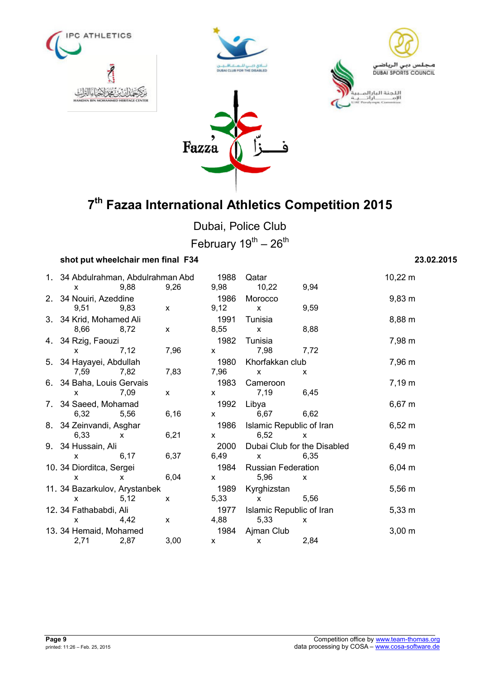







Dubai, Police Club February  $19^{th} - 26^{th}$ 

### **shot put wheelchair men final F34 23.02.2015**

| 1. 34 Abdulrahman, Abdulrahman Abd |                                                                                                                                                                                                                                                                                                  | 1988         |              | Qatar                                                                                                                                                                                                                                                                                            |                                                                                                                                                                                                                                                                                                  | $10,22 \; m$ |             |
|------------------------------------|--------------------------------------------------------------------------------------------------------------------------------------------------------------------------------------------------------------------------------------------------------------------------------------------------|--------------|--------------|--------------------------------------------------------------------------------------------------------------------------------------------------------------------------------------------------------------------------------------------------------------------------------------------------|--------------------------------------------------------------------------------------------------------------------------------------------------------------------------------------------------------------------------------------------------------------------------------------------------|--------------|-------------|
|                                    | 9,88<br>X.                                                                                                                                                                                                                                                                                       |              | 9,26         | 9,98                                                                                                                                                                                                                                                                                             | 10,22                                                                                                                                                                                                                                                                                            | 9,94         |             |
|                                    | 2. 34 Nouiri, Azeddine                                                                                                                                                                                                                                                                           |              |              | 1986                                                                                                                                                                                                                                                                                             | Morocco                                                                                                                                                                                                                                                                                          |              | $9,83 \; m$ |
|                                    | 9,51                                                                                                                                                                                                                                                                                             | 9,83         | $\mathsf{x}$ | 9,12                                                                                                                                                                                                                                                                                             | $\mathsf{x}$                                                                                                                                                                                                                                                                                     | 9,59         |             |
|                                    | 3. 34 Krid, Mohamed Ali                                                                                                                                                                                                                                                                          |              |              | 1991                                                                                                                                                                                                                                                                                             | Tunisia                                                                                                                                                                                                                                                                                          |              | 8,88 m      |
|                                    | 8,66<br>8,72                                                                                                                                                                                                                                                                                     |              | X            | 8,55                                                                                                                                                                                                                                                                                             | $\mathsf{x}$                                                                                                                                                                                                                                                                                     | 8,88         |             |
|                                    | 4. 34 Rzig, Faouzi                                                                                                                                                                                                                                                                               |              |              | 1982                                                                                                                                                                                                                                                                                             | Tunisia                                                                                                                                                                                                                                                                                          |              | 7,98 m      |
|                                    | $\mathsf{x}$                                                                                                                                                                                                                                                                                     | 7,12         | 7,96         | $x -$                                                                                                                                                                                                                                                                                            | 7,98                                                                                                                                                                                                                                                                                             | 7,72         |             |
|                                    | 5. 34 Hayayei, Abdullah                                                                                                                                                                                                                                                                          |              |              | 1980                                                                                                                                                                                                                                                                                             | Khorfakkan club                                                                                                                                                                                                                                                                                  |              | 7,96 m      |
|                                    | 7,59                                                                                                                                                                                                                                                                                             | 7,82         | 7,83         | 7,96                                                                                                                                                                                                                                                                                             | $\mathsf{X}$                                                                                                                                                                                                                                                                                     | X.           |             |
|                                    | 6. 34 Baha, Louis Gervais                                                                                                                                                                                                                                                                        |              |              | 1983                                                                                                                                                                                                                                                                                             | Cameroon                                                                                                                                                                                                                                                                                         |              | $7,19 \; m$ |
|                                    | $\mathsf{x}$                                                                                                                                                                                                                                                                                     | 7,09         | $\mathsf{X}$ | $\mathsf{X}$                                                                                                                                                                                                                                                                                     | 7,19<br>6,45                                                                                                                                                                                                                                                                                     |              |             |
|                                    | 7. 34 Saeed, Mohamad                                                                                                                                                                                                                                                                             |              |              | 1992                                                                                                                                                                                                                                                                                             | Libya                                                                                                                                                                                                                                                                                            |              | $6,67 \; m$ |
|                                    | 6,32 5,56                                                                                                                                                                                                                                                                                        |              | 6,16         | $\mathsf{X}$                                                                                                                                                                                                                                                                                     | 6,67                                                                                                                                                                                                                                                                                             | 6,62         |             |
|                                    | 8. 34 Zeinvandi, Asghar                                                                                                                                                                                                                                                                          |              |              | 1986                                                                                                                                                                                                                                                                                             | Islamic Republic of Iran                                                                                                                                                                                                                                                                         |              | $6,52 \; m$ |
|                                    | 6,33<br>$\mathsf{X}$                                                                                                                                                                                                                                                                             |              | 6,21         | $\mathsf{X}$ and $\mathsf{X}$ and $\mathsf{X}$ are $\mathsf{X}$ and $\mathsf{X}$ are $\mathsf{X}$ and $\mathsf{X}$ are $\mathsf{X}$ and $\mathsf{X}$ are $\mathsf{X}$ and $\mathsf{X}$ are $\mathsf{X}$ and $\mathsf{X}$ are $\mathsf{X}$ and $\mathsf{X}$ are $\mathsf{X}$ and $\mathsf{X}$ are | 6,52                                                                                                                                                                                                                                                                                             | $\mathsf{x}$ |             |
|                                    | 9. 34 Hussain, Ali                                                                                                                                                                                                                                                                               |              |              | 2000                                                                                                                                                                                                                                                                                             | Dubai Club for the Disabled                                                                                                                                                                                                                                                                      |              | $6,49 \; m$ |
|                                    | X.                                                                                                                                                                                                                                                                                               | 6,17         | 6,37         | 6,49                                                                                                                                                                                                                                                                                             | $\mathsf{X}$ and $\mathsf{X}$ and $\mathsf{X}$ are $\mathsf{X}$ and $\mathsf{X}$ are $\mathsf{X}$ and $\mathsf{X}$ are $\mathsf{X}$ and $\mathsf{X}$ are $\mathsf{X}$ and $\mathsf{X}$ are $\mathsf{X}$ and $\mathsf{X}$ are $\mathsf{X}$ and $\mathsf{X}$ are $\mathsf{X}$ and $\mathsf{X}$ are | 6,35         |             |
|                                    | 10. 34 Diorditca, Sergei                                                                                                                                                                                                                                                                         |              |              | 1984                                                                                                                                                                                                                                                                                             | <b>Russian Federation</b>                                                                                                                                                                                                                                                                        |              | $6,04 \, m$ |
|                                    | X.                                                                                                                                                                                                                                                                                               | $\mathsf{X}$ | 6,04         | $x -$                                                                                                                                                                                                                                                                                            | 5,96                                                                                                                                                                                                                                                                                             | $\mathsf{x}$ |             |
|                                    | 11. 34 Bazarkulov, Arystanbek                                                                                                                                                                                                                                                                    |              |              | 1989                                                                                                                                                                                                                                                                                             | Kyrghizstan                                                                                                                                                                                                                                                                                      |              | $5,56 \; m$ |
|                                    | X.                                                                                                                                                                                                                                                                                               | 5,12         | $\mathsf{x}$ | 5,33                                                                                                                                                                                                                                                                                             | $\mathsf{X}$ and $\mathsf{X}$ and $\mathsf{X}$ are $\mathsf{X}$ and $\mathsf{X}$ are $\mathsf{X}$ and $\mathsf{X}$ are $\mathsf{X}$ and $\mathsf{X}$ are $\mathsf{X}$ and $\mathsf{X}$ are $\mathsf{X}$ and $\mathsf{X}$ are $\mathsf{X}$ and $\mathsf{X}$ are $\mathsf{X}$ and $\mathsf{X}$ are | 5,56         |             |
|                                    | 12. 34 Fathababdi, Ali                                                                                                                                                                                                                                                                           |              |              | 1977                                                                                                                                                                                                                                                                                             | Islamic Republic of Iran                                                                                                                                                                                                                                                                         |              | $5,33 \; m$ |
|                                    | $\mathsf{X}$ and $\mathsf{X}$ and $\mathsf{X}$ are $\mathsf{X}$ and $\mathsf{X}$ are $\mathsf{X}$ and $\mathsf{X}$ are $\mathsf{X}$ and $\mathsf{X}$ are $\mathsf{X}$ and $\mathsf{X}$ are $\mathsf{X}$ and $\mathsf{X}$ are $\mathsf{X}$ and $\mathsf{X}$ are $\mathsf{X}$ and $\mathsf{X}$ are | 4,42         | $\mathsf{x}$ | 4,88                                                                                                                                                                                                                                                                                             | 5,33                                                                                                                                                                                                                                                                                             | $\mathsf{x}$ |             |
|                                    | 13. 34 Hemaid, Mohamed                                                                                                                                                                                                                                                                           |              |              |                                                                                                                                                                                                                                                                                                  | 1984 Ajman Club                                                                                                                                                                                                                                                                                  |              | $3,00 \; m$ |
|                                    | 2,71                                                                                                                                                                                                                                                                                             | 2,87         | 3,00         | $\mathsf{X}$                                                                                                                                                                                                                                                                                     | $\mathsf{X}$                                                                                                                                                                                                                                                                                     | 2,84         |             |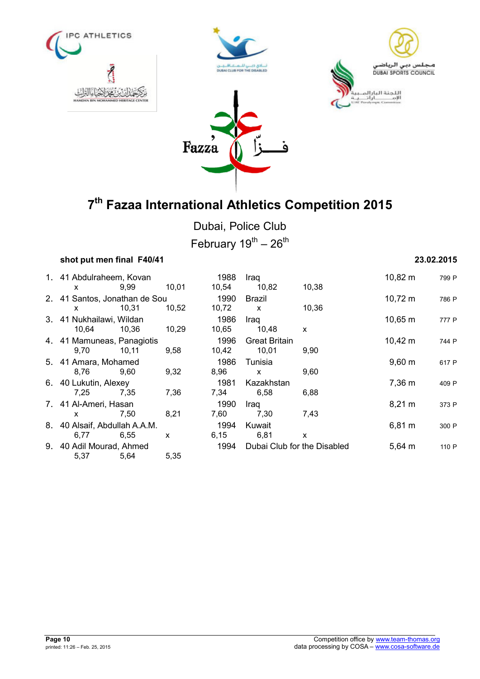







Dubai, Police Club February  $19^{th} - 26^{th}$ 

## **shot put men final F40/41 23.02.2015**

| 1. 41 Abdulraheem, Kovan      |       |       | 1988                        | Iraq                 |             | $10,82 \; m$ | 799 P |
|-------------------------------|-------|-------|-----------------------------|----------------------|-------------|--------------|-------|
| $\mathsf{x}$                  | 9,99  | 10,01 | 10,54                       | 10,82                | 10,38       |              |       |
| 2. 41 Santos, Jonathan de Sou |       |       | 1990                        | Brazil               |             | $10,72 \; m$ | 786 P |
| x                             | 10,31 | 10,52 | 10,72                       | $\mathsf{x}$         | 10,36       |              |       |
| 3. 41 Nukhailawi, Wildan      |       |       | 1986                        | Iraq                 |             | $10,65 \; m$ | 777 P |
| 10,64                         | 10,36 | 10,29 | 10,65                       | 10,48                | X           |              |       |
| 4. 41 Mamuneas, Panagiotis    |       |       | 1996                        | <b>Great Britain</b> |             | $10,42 \; m$ | 744 P |
| 9,70                          | 10,11 | 9,58  | 10,42                       | 10,01                | 9,90        |              |       |
| 5. 41 Amara, Mohamed          |       |       | 1986                        | Tunisia              |             | $9,60 \; m$  | 617 P |
| 8,76                          | 9,60  | 9,32  | 8,96                        | $\mathsf{x}$         | 9,60        |              |       |
| 6. 40 Lukutin, Alexey<br>1981 |       |       |                             | Kazakhstan           |             | 7,36 m       | 409 P |
| 7,25                          | 7,35  | 7,36  | 7.34                        | 6,58                 | 6,88        |              |       |
| 7. 41 Al-Ameri, Hasan         |       |       | 1990                        | Iraq                 |             | $8,21 \; m$  | 373 F |
| X                             | 7.50  | 8,21  | 7,60                        | 7,30                 | 7.43        |              |       |
| 8. 40 Alsaif, Abdullah A.A.M. |       |       | 1994                        | Kuwait               |             | $6,81 \; m$  | 300 F |
| 6,77                          | 6,55  | X     | 6,15                        | 6,81                 | X           |              |       |
| 9. 40 Adil Mourad, Ahmed      |       | 1994  | Dubai Club for the Disabled |                      | $5,64 \; m$ | 110 P        |       |
| 5,37                          | 5,64  | 5,35  |                             |                      |             |              |       |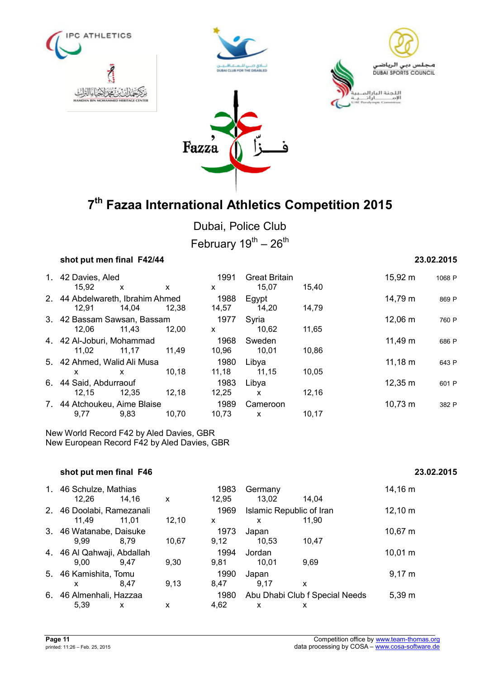







Dubai, Police Club February  $19^{th} - 26^{th}$ 

### **shot put men final F42/44 23.02.2015**

| 1. 42 Davies, Aled<br>15,92               | $\mathsf{x}$ | X     | 1991<br>X     | <b>Great Britain</b><br>15,07 | 15.40 | 15,92 m      | 1068 P |
|-------------------------------------------|--------------|-------|---------------|-------------------------------|-------|--------------|--------|
| 2. 44 Abdelwareth, Ibrahim Ahmed<br>12,91 | 14.04        | 12.38 | 1988<br>14,57 | Egypt<br>14,20                | 14,79 | 14,79 m      | 869 P  |
| 3. 42 Bassam Sawsan, Bassam<br>12.06      | 11,43        | 12,00 | 1977<br>X     | Syria<br>10,62                | 11,65 | 12,06 m      | 760 P  |
| 4. 42 Al-Joburi, Mohammad<br>11.02        | 11.17        | 11.49 | 1968<br>10,96 | Sweden<br>10,01               | 10,86 | $11,49 \; m$ | 686 P  |
| 5. 42 Ahmed, Walid Ali Musa<br>x          | x            | 10.18 | 1980<br>11,18 | Libya<br>11,15                | 10,05 | $11,18 \; m$ | 643 P  |
| 6. 44 Said, Abdurraouf<br>12.15           | 12,35        | 12,18 | 1983<br>12,25 | Libya<br>X                    | 12,16 | $12,35 \; m$ | 601 P  |
| 7. 44 Atchoukeu, Aime Blaise<br>9,77      | 9,83         | 10.70 | 1989<br>10.73 | Cameroon<br>X                 | 10,17 | $10,73 \; m$ | 382 P  |

New World Record F42 by Aled Davies, GBR New European Record F42 by Aled Davies, GBR

## **shot put men final F46 23.02.2015**

|    | 1. 46 Schulze, Mathias<br>12,26    | 14.16 | X     | 1983<br>12,95 | Germany<br>13,02              | 14.04                               | 14,16 m      |
|----|------------------------------------|-------|-------|---------------|-------------------------------|-------------------------------------|--------------|
|    | 2. 46 Doolabi, Ramezanali<br>11.49 | 11.01 | 12,10 | 1969<br>x     | Islamic Republic of Iran<br>X | 11.90                               | $12,10 \; m$ |
|    | 3. 46 Watanabe, Daisuke<br>9.99    | 8.79  | 10,67 | 1973<br>9,12  | Japan<br>10,53                | 10.47                               | $10,67 \; m$ |
|    | 4. 46 Al Qahwaji, Abdallah<br>9,00 | 9.47  | 9,30  | 1994<br>9,81  | Jordan<br>10.01               | 9,69                                | $10,01 \; m$ |
|    | 5. 46 Kamishita, Tomu<br>x         | 8.47  | 9,13  | 1990<br>8,47  | Japan<br>9.17                 | x                                   | $9,17 \; m$  |
| 6. | 46 Almenhali, Hazzaa<br>5,39       | x     | x     | 1980<br>4,62  | x                             | Abu Dhabi Club f Special Needs<br>x | $5,39 \; m$  |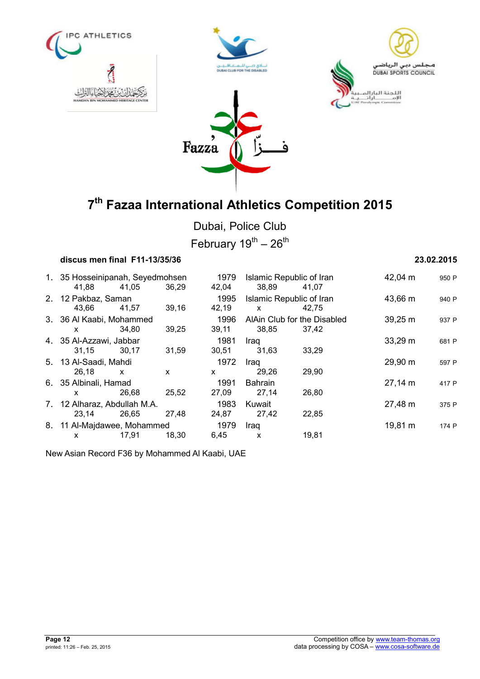







Dubai, Police Club

February  $19^{th} - 26^{th}$ 

## **discus men final F11-13/35/36 23.02.2015**

1. 35 Hosseinipanah, Seyedmohsen 1979 Islamic Republic of Iran 42,04 m <sup>950</sup> <sup>P</sup> 41,88 41,05 36,29 42,04 38,89 41,07 2. 12 Pakbaz, Saman 1995 Islamic Republic of Iran 43,66 m <sup>940</sup> <sup>P</sup> 43,66 41,57 39,16 42,19 x 42,75 3. 36 Al Kaabi, Mohammed 1996 AlAin Club for the Disabled 39,25 m 937 P x 34,80 39,25 39,11 38,85 37,42 4. 35 Al-Azzawi, Jabbar 1981 Iraq 33,29 m <sup>681</sup> <sup>P</sup> 31,15 30,17 31,59 30,51 31,63 33,29 5. 13 Al-Saadi, Mahdi 1972 Iraq 29,90 m <sup>597</sup> <sup>P</sup> 26,18 x x x 29,26 29,90 6. 35 Albinali, Hamad 1991 Bahrain 27,14 m <sup>417</sup> <sup>P</sup> x 26,68 25,52 27,09 27,14 26,80 7. 12 Alharaz, Abdullah M.A. 1983 Kuwait 27,48 m <sup>375</sup> <sup>P</sup> 23,14 26,65 27,48 24,87 27,42 22,85 8. 11 Al-Majdawee, Mohammed 1979 Iraq 19,81 m <sup>174</sup> <sup>P</sup> x 17,91 18,30 6,45 x 19,81

New Asian Record F36 by Mohammed Al Kaabi, UAE

| Page 12 |                                |
|---------|--------------------------------|
|         | printed: 11:26 - Feb. 25, 2015 |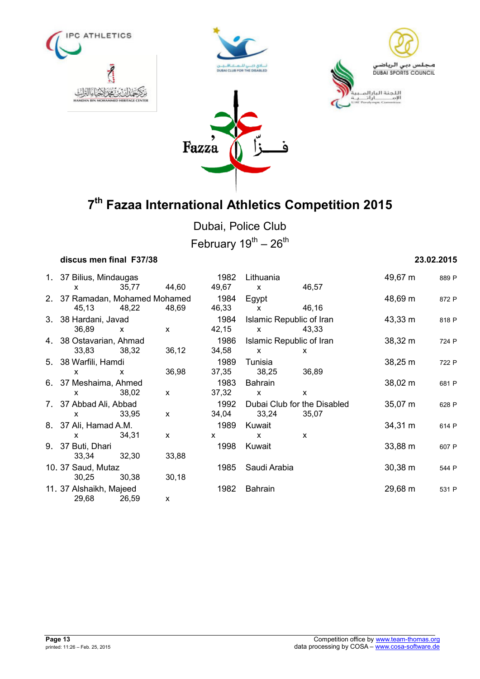







Dubai, Police Club

February  $19^{th} - 26^{th}$ 

## **discus men final F37/38 23.02.2015**

|  | 1. 37 Bilius, Mindaugas        |              | 1982                     | Lithuania                   |              | 49,67 m      | 889 P |
|--|--------------------------------|--------------|--------------------------|-----------------------------|--------------|--------------|-------|
|  | 35,77<br>X                     | 44,60        | 49,67                    | $\mathsf{x}$                | 46,57        |              |       |
|  | 2. 37 Ramadan, Mohamed Mohamed |              | 1984                     | Egypt                       |              | 48,69 m      | 872 P |
|  | 45,13<br>48,22                 | 48,69        | 46,33                    | $\mathsf{x}$                | 46,16        |              |       |
|  | 3. 38 Hardani, Javad           | 1984         |                          | Islamic Republic of Iran    | $43,33 \; m$ | 818 P        |       |
|  | 36,89<br>$\mathsf{x}$          | X            | 42,15                    | $\mathsf{x}$                | 43,33        |              |       |
|  | 4. 38 Ostavarian, Ahmad        | 1986         | Islamic Republic of Iran |                             | 38,32 m      | 724 P        |       |
|  | 33,83<br>38,32                 | 36,12        | 34,58                    | $\mathsf{x}$                | X            |              |       |
|  | 5. 38 Warfili, Hamdi           |              | 1989                     | Tunisia                     |              | 38,25 m      | 722 P |
|  | X<br>X                         | 36,98        | 37,35                    | 38,25                       | 36,89        |              |       |
|  | 6. 37 Meshaima, Ahmed          |              | 1983                     | Bahrain                     | $38,02 \; m$ | 681 P        |       |
|  | 38,02<br>X                     | $\mathsf{x}$ | 37,32                    | $\mathbf{x}$                | $\mathsf{x}$ |              |       |
|  | 7. 37 Abbad Ali, Abbad<br>1992 |              |                          | Dubai Club for the Disabled |              | 35,07 m      | 628 P |
|  | 33,95<br>$\mathsf{x}$          | X            | 34,04                    | 33,24                       | 35,07        |              |       |
|  | 8. 37 Ali, Hamad A.M.          | 1989         | Kuwait                   |                             | $34,31 \; m$ | 614 P        |       |
|  | 34,31<br>X                     | X            | X                        | X                           | X            |              |       |
|  | 9. 37 Buti, Dhari              |              | 1998                     | Kuwait                      |              | 33,88 m      | 607 P |
|  | 32,30<br>33,34                 | 33,88        |                          |                             |              |              |       |
|  | 10. 37 Saud, Mutaz             |              | 1985                     | Saudi Arabia                |              | $30,38 \; m$ | 544 P |
|  | 30,25<br>30,38                 | 30,18        |                          |                             |              |              |       |
|  | 11. 37 Alshaikh, Majeed        |              | 1982                     | Bahrain                     |              | 29,68 m      | 531 P |
|  | 29,68<br>26,59                 | X            |                          |                             |              |              |       |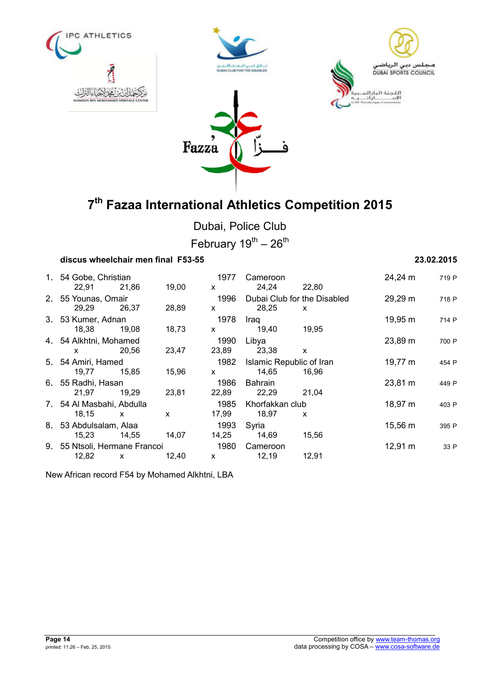







Dubai, Police Club

February  $19^{th} - 26^{th}$ 

## **discus wheelchair men final F53-55 23.02.2015**

| 1. 54 Gobe, Christian<br>22,91              | 21,86          | 19,00          | 1977<br>X.                    | Cameroon<br>24,24                 | 22,80                                       | 24,24 m      | 719 P |
|---------------------------------------------|----------------|----------------|-------------------------------|-----------------------------------|---------------------------------------------|--------------|-------|
| 2. 55 Younas, Omair<br>29.29                | 26,37          | 28,89          | 1996<br>X                     | 28,25                             | Dubai Club for the Disabled<br>$\mathsf{x}$ | 29,29 m      | 718 P |
| 3. 53 Kumer, Adnan                          |                |                | 1978                          | Iraq<br>19,40                     |                                             | 19,95 m      | 714 P |
| 18,38<br>4. 54 Alkhtni, Mohamed             | 19,08<br>20,56 | 18,73<br>23,47 | $\mathsf{x}$<br>1990<br>23,89 | Libya<br>23,38                    | 19,95<br>X                                  | 23,89 m      | 700 P |
| $\mathsf{x}$<br>5. 54 Amiri, Hamed<br>19,77 | 15,85          | 15,96          | 1982<br>$\mathsf{x}$          | Islamic Republic of Iran<br>14,65 | 16.96                                       | 19,77 m      | 454 P |
| 6. 55 Radhi, Hasan                          |                |                | 1986                          | <b>Bahrain</b>                    |                                             | 23,81 m      | 449 P |
| 21,97<br>7. 54 Al Masbahi, Abdulla          | 19,29          | 23,81          | 22,89<br>1985                 | 22,29<br>Khorfakkan club          | 21,04                                       | 18,97 m      | 403 P |
| 18,15<br>8. 53 Abdulsalam, Alaa             | $\mathsf{x}$   | X              | 17,99<br>1993                 | 18,97<br>Syria                    | X                                           | 15,56 m      | 395 P |
| 15,23<br>9. 55 Ntsoli, Hermane Francoi      | 14,55          | 14.07          | 14,25<br>1980                 | 14,69<br>Cameroon                 | 15,56                                       | $12,91 \; m$ | 33 P  |
| 12,82                                       | $\mathsf{x}$   | 12,40          | $\mathsf{x}$                  | 12,19                             | 12,91                                       |              |       |
|                                             |                |                |                               |                                   |                                             |              |       |

New African record F54 by Mohamed Alkhtni, LBA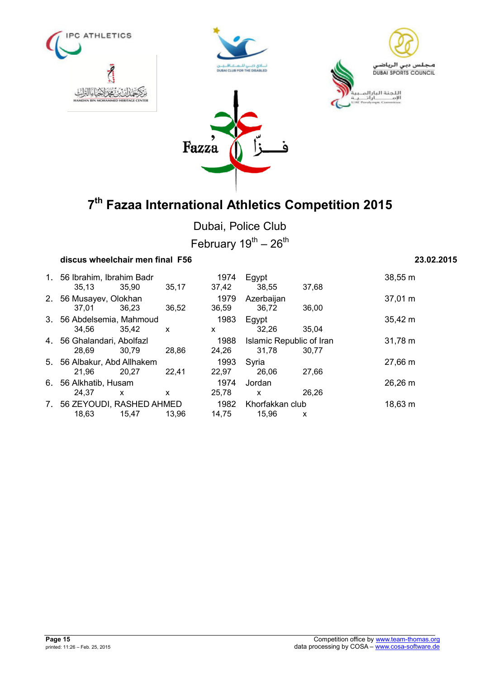







Dubai, Police Club February  $19^{th} - 26^{th}$ 

### **discus wheelchair men final F56 23.02.2015**

1. 56 Ibrahim, Ibrahim Badr 1974 Egypt 38,55 m 35,13 35,90 35,17 37,42 38,55 37,68 2. 56 Musayev, Olokhan 1979 Azerbaijan 37,01 m 37,01 36,23 36,52 36,59 36,72 36,00 3. 56 Abdelsemia, Mahmoud 1983 Egypt 35,42 m 34,56 35,42 x x 32,26 35,04 4. 56 Ghalandari, Abolfazl 1988 Islamic Republic of Iran 31,78 m 28,69 30,79 28,86 24,26 31,78 30,77 5. 56 Albakur, Abd Allhakem 1993 Syria 27,66 m 21,96 20,27 22,41 22,97 26,06 27,66 6. 56 Alkhatib, Husam 1974 Jordan 26,26 m 24,37 x x 25,78 x 26,26 7. 56 ZEYOUDI, RASHED AHMED 1982 Khorfakkan club 18,63 m 18,63 15,47 13,96 14,75 15,96 x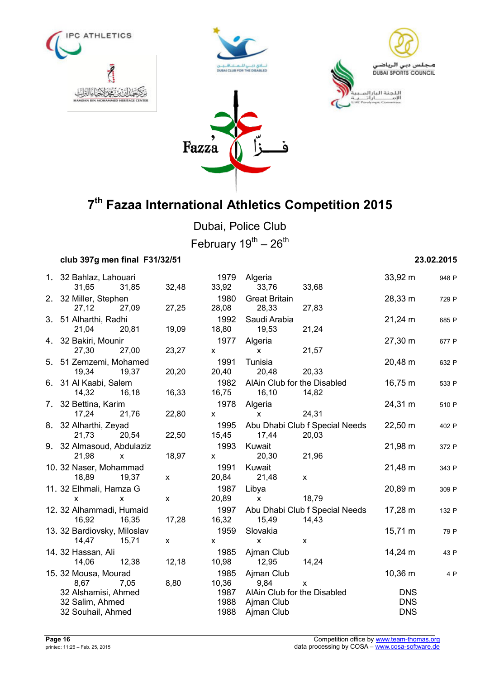







Dubai, Police Club February  $19^{th} - 26^{th}$ 

## **club 397g men final F31/32/51 23.02.2015**

| 1. 32 Bahlaz, Lahouari      |              |              | 1979         | Algeria                     |                                | 33,92 m           | 948 P |
|-----------------------------|--------------|--------------|--------------|-----------------------------|--------------------------------|-------------------|-------|
| 31,65                       | 31,85        | 32,48        | 33,92        | 33,76                       | 33,68                          |                   |       |
| 2. 32 Miller, Stephen       |              |              | 1980         | <b>Great Britain</b>        |                                | 28,33 m           | 729 P |
| 27,12                       | 27,09        | 27,25        | 28,08        | 28,33                       | 27,83                          |                   |       |
| 3. 51 Alharthi, Radhi       |              |              | 1992         | Saudi Arabia                |                                | $21,24 \text{ m}$ | 685 P |
| 21,04                       | 20,81        | 19,09        | 18,80        | 19,53                       | 21,24                          |                   |       |
| 4. 32 Bakiri, Mounir        |              |              | 1977         | Algeria                     |                                | 27,30 m           | 677 P |
| 27,30                       | 27,00        | 23,27        | X            | X.                          | 21,57                          |                   |       |
| 5. 51 Zemzemi, Mohamed      |              |              | 1991         | Tunisia                     |                                | 20,48 m           | 632 P |
| 19,34                       | 19,37        | 20,20        | 20,40        | 20,48                       | 20,33                          |                   |       |
| 6. 31 Al Kaabi, Salem       |              |              | 1982         | AlAin Club for the Disabled |                                | 16,75 m           | 533 F |
| 14,32                       | 16,18        | 16,33        | 16,75        | 16,10                       | 14,82                          |                   |       |
| 7. 32 Bettina, Karim        |              |              | 1978         | Algeria                     |                                | 24,31 m           | 510 P |
| 17,24                       | 21,76        | 22,80        | $\mathsf{x}$ | $\mathsf{x}$                | 24,31                          |                   |       |
| 8. 32 Alharthi, Zeyad       |              |              | 1995         |                             | Abu Dhabi Club f Special Needs | 22,50 m           | 402 P |
| 21,73                       | 20,54        | 22,50        | 15,45        | 17,44                       | 20,03                          |                   |       |
| 9. 32 Almasoud, Abdulaziz   |              |              | 1993         | Kuwait                      |                                | 21,98 m           | 372 P |
| 21,98                       | $\mathsf{x}$ | 18,97        | $\mathsf{x}$ | 20,30                       | 21,96                          |                   |       |
| 10. 32 Naser, Mohammad      |              |              | 1991         | Kuwait                      |                                | 21,48 m           | 343 P |
| 18,89                       | 19.37        | $\mathsf{x}$ | 20,84        | 21,48                       | $\mathsf{x}$                   |                   |       |
| 11. 32 Elhmali, Hamza G     |              |              | 1987         | Libya                       |                                | 20,89 m           | 309 P |
| $\mathsf{x}$                | X            | X            | 20,89        | $\mathsf{x}$                | 18,79                          |                   |       |
| 12. 32 Alhammadi, Humaid    |              |              | 1997         |                             | Abu Dhabi Club f Special Needs | 17,28 m           | 132 P |
| 16,92                       | 16,35        | 17,28        | 16,32        | 15,49                       | 14,43                          |                   |       |
| 13. 32 Bardiovsky, Miloslav |              |              | 1959         | Slovakia                    |                                | $15,71 \; m$      | 79 P  |
| 14,47                       | 15,71        | $\mathsf{x}$ | $\mathsf{x}$ | <b>X</b>                    | $\mathsf{x}$                   |                   |       |
| 14. 32 Hassan, Ali          |              |              | 1985         | Ajman Club                  |                                | 14,24 m           | 43 P  |
| 14,06                       | 12,38        | 12,18        | 10,98        | 12,95                       | 14,24                          |                   |       |
| 15. 32 Mousa, Mourad        |              |              | 1985         | Ajman Club                  |                                | $10,36 \; m$      | 4 P   |
| 8,67                        | 7,05         | 8,80         | 10,36        | 9,84                        | $\mathsf{x}$                   |                   |       |
| 32 Alshamisi, Ahmed         |              |              | 1987         | AlAin Club for the Disabled |                                | <b>DNS</b>        |       |
| 32 Salim, Ahmed             |              |              | 1988         | Ajman Club                  |                                | <b>DNS</b>        |       |
| 32 Souhail, Ahmed           |              |              | 1988         | Ajman Club                  |                                | <b>DNS</b>        |       |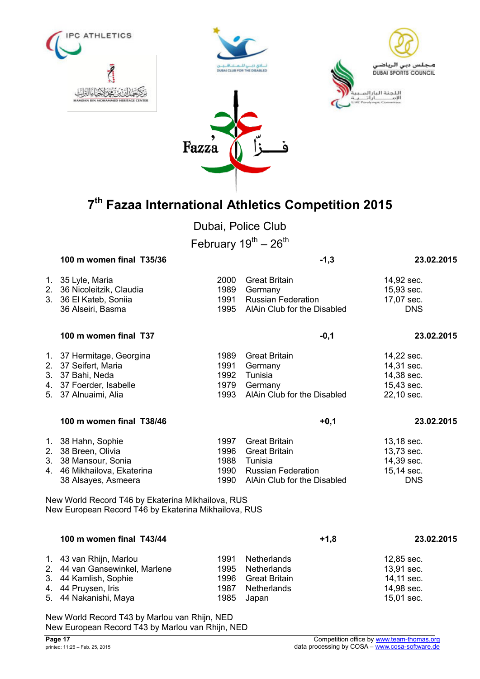







Dubai, Police Club

February  $19^{th} - 26^{th}$ 

|    | 100 m women final T35/36                                                                                                        |                                      | $-1,3$                                                                                                              | 23.02.2015                                                         |
|----|---------------------------------------------------------------------------------------------------------------------------------|--------------------------------------|---------------------------------------------------------------------------------------------------------------------|--------------------------------------------------------------------|
|    | 1. 35 Lyle, Maria<br>2. 36 Nicoleitzik, Claudia<br>3. 36 El Kateb, Soniia<br>36 Alseiri, Basma                                  | 2000<br>1989<br>1991<br>1995         | <b>Great Britain</b><br>Germany<br><b>Russian Federation</b><br>AlAin Club for the Disabled                         | 14,92 sec.<br>15,93 sec.<br>17,07 sec.<br><b>DNS</b>               |
|    | 100 m women final T37                                                                                                           |                                      | $-0,1$                                                                                                              | 23.02.2015                                                         |
|    | 1. 37 Hermitage, Georgina<br>2. 37 Seifert, Maria<br>3. 37 Bahi, Neda<br>4. 37 Foerder, Isabelle<br>5. 37 Alnuaimi, Alia        | 1989<br>1991<br>1992<br>1979<br>1993 | <b>Great Britain</b><br>Germany<br>Tunisia<br>Germany<br>AlAin Club for the Disabled                                | 14,22 sec.<br>14,31 sec.<br>14,38 sec.<br>15,43 sec.<br>22,10 sec. |
|    | 100 m women final T38/46                                                                                                        |                                      | $+0,1$                                                                                                              | 23.02.2015                                                         |
|    | 1. 38 Hahn, Sophie<br>2. 38 Breen, Olivia<br>3. 38 Mansour, Sonia<br>4. 46 Mikhailova, Ekaterina<br>38 Alsayes, Asmeera         | 1997<br>1996<br>1988<br>1990<br>1990 | <b>Great Britain</b><br><b>Great Britain</b><br>Tunisia<br><b>Russian Federation</b><br>AlAin Club for the Disabled | 13,18 sec.<br>13,73 sec.<br>14,39 sec.<br>15,14 sec.<br><b>DNS</b> |
|    | New World Record T46 by Ekaterina Mikhailova, RUS<br>New European Record T46 by Ekaterina Mikhailova, RUS                       |                                      |                                                                                                                     |                                                                    |
|    | 100 m women final T43/44                                                                                                        |                                      | $+1,8$                                                                                                              | 23.02.2015                                                         |
| 5. | 1. 43 van Rhijn, Marlou<br>2. 44 van Gansewinkel, Marlene<br>3. 44 Kamlish, Sophie<br>4. 44 Pruysen, Iris<br>44 Nakanishi, Maya | 1991<br>1995<br>1996<br>1987<br>1985 | <b>Netherlands</b><br>Netherlands<br><b>Great Britain</b><br>Netherlands<br>Japan                                   | 12,85 sec.<br>13,91 sec.<br>14,11 sec.<br>14,98 sec.<br>15,01 sec. |

New World Record T43 by Marlou van Rhijn, NED New European Record T43 by Marlou van Rhijn, NED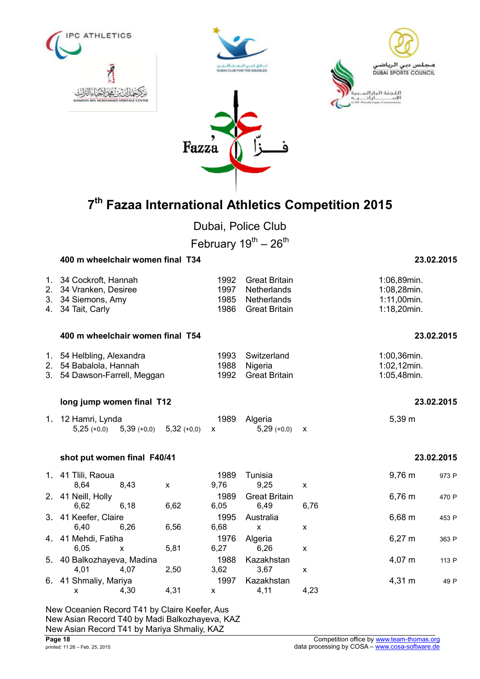

Dubai, Police Club

February  $19^{th} - 26^{th}$ 

|                | 400 m wheelchair women final T34                                                   |              |               |                              |                                                                            |                           |                                                          | 23.02.2015 |
|----------------|------------------------------------------------------------------------------------|--------------|---------------|------------------------------|----------------------------------------------------------------------------|---------------------------|----------------------------------------------------------|------------|
| 2.<br>3.<br>4. | 1. 34 Cockroft, Hannah<br>34 Vranken, Desiree<br>34 Siemons, Amy<br>34 Tait, Carly |              |               | 1992<br>1997<br>1985<br>1986 | <b>Great Britain</b><br>Netherlands<br>Netherlands<br><b>Great Britain</b> |                           | 1:06,89min.<br>1:08,28min.<br>1:11,00min.<br>1:18,20min. |            |
|                | 400 m wheelchair women final T54                                                   |              |               |                              |                                                                            |                           |                                                          | 23.02.2015 |
| 2.             | 1. 54 Helbling, Alexandra<br>54 Babalola, Hannah<br>3. 54 Dawson-Farrell, Meggan   |              |               | 1993<br>1988<br>1992         | Switzerland<br>Nigeria<br><b>Great Britain</b>                             |                           | 1:00,36min.<br>1:02,12min.<br>1:05,48min.                |            |
|                | long jump women final T12                                                          |              |               |                              |                                                                            |                           |                                                          | 23.02.2015 |
|                | 1. 12 Hamri, Lynda<br>$5,25 (+0,0)$                                                | $5,39(+0,0)$ | $5,32 (+0,0)$ | 1989<br>X                    | Algeria<br>$5,29(+0,0)$                                                    | $\boldsymbol{\mathsf{X}}$ | 5,39 m                                                   |            |
|                | shot put women final F40/41                                                        |              |               |                              |                                                                            |                           |                                                          | 23.02.2015 |
|                | 1. 41 Tlili, Raoua<br>8,64                                                         | 8,43         | $\mathsf{x}$  | 1989<br>9,76                 | Tunisia<br>9,25                                                            | X                         | 9,76 m                                                   | 973 P      |
|                | 2. 41 Neill, Holly<br>6,62                                                         | 6,18         | 6,62          | 1989<br>6,05                 | <b>Great Britain</b><br>6,49                                               | 6,76                      | $6,76 \; m$                                              | 470 P      |
|                | 3. 41 Keefer, Claire<br>6,40                                                       | 6,26         | 6,56          | 1995<br>6,68                 | Australia<br>$\mathsf{x}$                                                  | X                         | 6,68 m                                                   | 453 P      |
|                | 4. 41 Mehdi, Fatiha<br>6,05                                                        | X            | 5,81          | 1976<br>6,27                 | Algeria<br>6,26                                                            | X                         | $6,27 \; m$                                              | 363 P      |
|                | 5. 40 Balkozhayeva, Madina<br>4,01                                                 | 4,07         | 2,50          | 1988<br>3,62                 | Kazakhstan<br>3,67                                                         | X                         | 4,07 m                                                   | 113 P      |
|                | 6. 41 Shmaliy, Mariya<br>X                                                         | 4,30         | 4,31          | 1997<br>X                    | Kazakhstan<br>4,11                                                         | 4,23                      | 4,31 m                                                   | 49 P       |

New Oceanien Record T41 by Claire Keefer, Aus New Asian Record T40 by Madi Balkozhayeva, KAZ New Asian Record T41 by Mariya Shmaliy, KAZ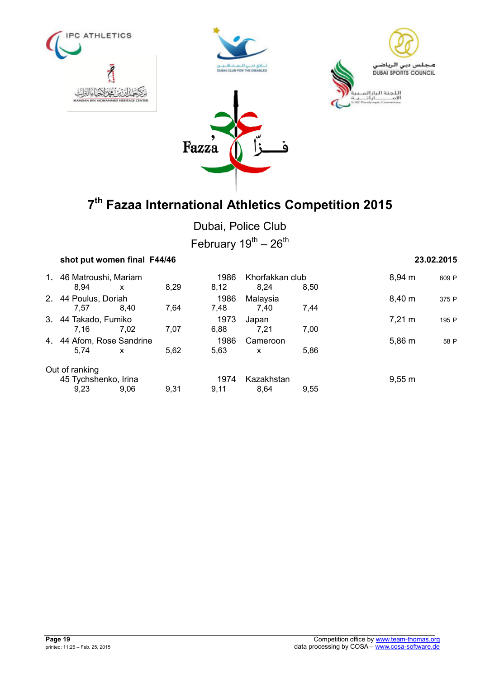







Dubai, Police Club

| February 19 <sup>th</sup> – 26 <sup>th</sup> |  |  |
|----------------------------------------------|--|--|
|----------------------------------------------|--|--|

| shot put women final F44/46 |              |      |      |                 |      |                  | 23.02.2015 |
|-----------------------------|--------------|------|------|-----------------|------|------------------|------------|
| 1. 46 Matroushi, Mariam     |              |      | 1986 | Khorfakkan club |      | $8.94 \; m$      | 609 P      |
| 8.94                        | x            | 8,29 | 8,12 | 8,24            | 8.50 |                  |            |
| 2. 44 Poulus, Doriah        |              |      | 1986 | Malaysia        |      | 8,40 m           | 375 P      |
| 7.57                        | 8.40         | 7,64 | 7,48 | 7.40            | 7,44 |                  |            |
| 3. 44 Takado, Fumiko        |              |      | 1973 | Japan           |      | $7,21 \text{ m}$ | 195 P      |
| 7.16                        | 7.02         | 7,07 | 6,88 | 7,21            | 7,00 |                  |            |
| 4. 44 Afom, Rose Sandrine   |              |      | 1986 | Cameroon        |      | 5,86 m           | 58 P       |
| 5.74                        | $\mathsf{x}$ | 5,62 | 5,63 | $\mathsf{x}$    | 5,86 |                  |            |
| Out of ranking              |              |      |      |                 |      |                  |            |
| 45 Tychshenko, Irina        |              |      | 1974 | Kazakhstan      |      | 9,55 m           |            |
| 9.23                        | 9.06         | 9,31 | 9.11 | 8.64            | 9.55 |                  |            |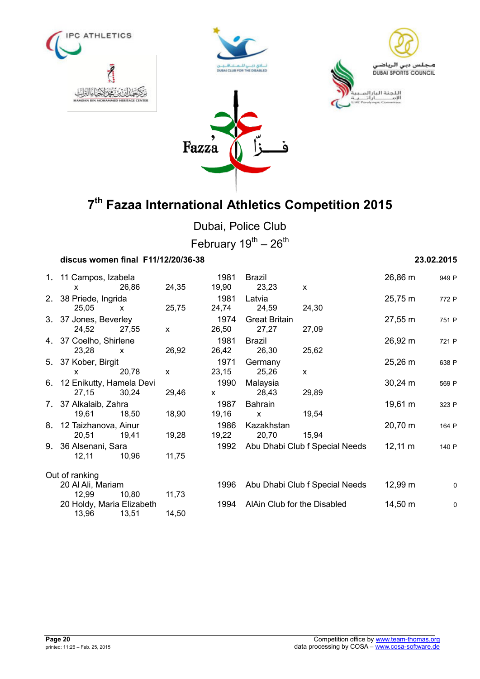







Dubai, Police Club February  $19^{th} - 26^{th}$ 

| discus women final F11/12/20/36-38    |              |              |               |                             |                                |                     | 23.02.2015  |
|---------------------------------------|--------------|--------------|---------------|-----------------------------|--------------------------------|---------------------|-------------|
| 1. 11 Campos, Izabela<br>$\mathsf{x}$ | 26,86        | 24,35        | 1981<br>19,90 | Brazil<br>23,23             | $\mathsf{x}$                   | 26,86 m             | 949 P       |
| 2. 38 Priede, Ingrida                 |              |              | 1981          | Latvia                      |                                | 25,75 m             | 772 P       |
| 25,05                                 | $\mathsf{x}$ | 25,75        | 24,74         | 24,59                       | 24,30                          |                     |             |
| 3. 37 Jones, Beverley                 |              |              | 1974          | <b>Great Britain</b>        |                                | 27,55 m             | 751 P       |
| 24,52                                 | 27,55        | $\mathsf{x}$ | 26,50         | 27,27                       | 27,09                          |                     |             |
| 4. 37 Coelho, Shirlene                |              |              | 1981          | <b>Brazil</b>               |                                | 26,92 m             | 721 P       |
| 23,28                                 | $\mathsf{x}$ | 26,92        | 26,42         | 26,30                       | 25,62                          |                     |             |
| 5. 37 Kober, Birgit                   |              |              | 1971          | Germany                     |                                | $25,26 \; m$        | 638 P       |
| $\mathsf{x}$                          | 20,78        | $\mathsf{x}$ | 23,15         | 25,26                       | $\mathsf{x}$                   |                     |             |
| 6. 12 Enikutty, Hamela Devi           |              |              | 1990          | Malaysia                    |                                | $30,24 \, m$        | 569 P       |
| 27,15                                 | 30,24        | 29,46        | $\mathsf{x}$  | 28,43                       | 29,89                          |                     |             |
| 7. 37 Alkalaib, Zahra                 |              |              | 1987          | <b>Bahrain</b>              |                                | 19,61 m             | 323 P       |
| 19,61                                 | 18.50        | 18,90        | 19,16         | $\mathsf{x}$                | 19,54                          |                     |             |
| 8. 12 Taizhanova, Ainur               |              |              | 1986          | Kazakhstan                  |                                | 20,70 m             | 164 P       |
| 20,51                                 | 19,41        | 19,28        | 19,22         | 20,70                       | 15,94                          |                     |             |
| 9. 36 Alsenani, Sara                  |              |              | 1992          |                             | Abu Dhabi Club f Special Needs | $12,11 \; m$        | 140 P       |
| 12,11                                 | 10,96        | 11,75        |               |                             |                                |                     |             |
| Out of ranking                        |              |              |               |                             |                                |                     |             |
| 20 Al Ali, Mariam                     |              |              | 1996          |                             | Abu Dhabi Club f Special Needs | 12,99 m             | $\mathbf 0$ |
| 12,99                                 | 10,80        | 11,73        |               |                             |                                |                     |             |
| 20 Holdy, Maria Elizabeth             |              |              | 1994          | AlAin Club for the Disabled |                                | $14,50 \; \text{m}$ | $\mathbf 0$ |
| 13,96                                 | 13,51        | 14,50        |               |                             |                                |                     |             |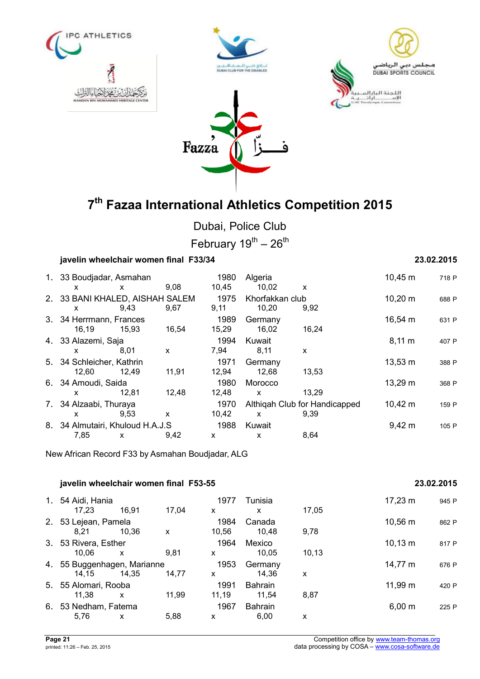







Dubai, Police Club

February  $19^{\text{th}} - 26^{\text{th}}$ 

## **javelin wheelchair women final F33/34 23.02.2015**

|       |       |                                                                                                                              | 1980                                                                                            | Algeria      |                    | $10,45 \; m$                                     | 718 P              |
|-------|-------|------------------------------------------------------------------------------------------------------------------------------|-------------------------------------------------------------------------------------------------|--------------|--------------------|--------------------------------------------------|--------------------|
| X     | X     | 9,08                                                                                                                         | 10,45                                                                                           | 10,02        | X                  |                                                  |                    |
|       |       |                                                                                                                              | 1975                                                                                            |              |                    | $10,20 \; m$                                     | 688 P              |
| X     | 9,43  | 9,67                                                                                                                         | 9,11                                                                                            | 10,20        | 9,92               |                                                  |                    |
|       |       |                                                                                                                              |                                                                                                 |              |                    |                                                  | 631 P              |
| 16,19 | 15,93 | 16,54                                                                                                                        | 15,29                                                                                           | 16,02        | 16,24              |                                                  |                    |
|       |       |                                                                                                                              | 1994                                                                                            | Kuwait       |                    | $8,11 \; m$                                      | 407 P              |
| x     | 8,01  | X                                                                                                                            | 7,94                                                                                            | 8,11         | X                  |                                                  |                    |
|       |       |                                                                                                                              | 1971                                                                                            |              |                    |                                                  | 388 P              |
| 12,60 | 12.49 | 11,91                                                                                                                        | 12,94                                                                                           | 12,68        | 13,53              |                                                  |                    |
|       |       |                                                                                                                              | 1980                                                                                            | Morocco      |                    | 13,29 m                                          | 368 P              |
| X     | 12.81 | 12,48                                                                                                                        | 12,48                                                                                           | $\mathsf{x}$ | 13,29              |                                                  |                    |
|       |       |                                                                                                                              | 1970                                                                                            |              |                    | $10,42 \; m$                                     | 159 P              |
| x     | 9,53  | X                                                                                                                            | 10,42                                                                                           | X            | 9,39               |                                                  |                    |
|       |       |                                                                                                                              | 1988                                                                                            | Kuwait       |                    | $9,42 \, m$                                      | 105 P              |
| 7,85  | X     | 9.42                                                                                                                         | X                                                                                               | X            | 8,64               |                                                  |                    |
|       |       | 3. 34 Herrmann, Frances<br>4. 33 Alazemi, Saja<br>5. 34 Schleicher, Kathrin<br>6. 34 Amoudi, Saida<br>7. 34 Alzaabi, Thuraya | 1. 33 Boudjadar, Asmahan<br>2. 33 BANI KHALED, AISHAH SALEM<br>8. 34 Almutairi, Khuloud H.A.J.S | 1989         | Germany<br>Germany | Khorfakkan club<br>Althigah Club for Handicapped | 16,54 m<br>13,53 m |

New African Record F33 by Asmahan Boudjadar, ALG

# **javelin wheelchair women final F53-55 23.02.2015** 1. 54 Aidi, Hania 1977 Tunisia 17,23 m <sup>945</sup> <sup>P</sup> 17,23 16,91 17,04 x x 17,05 2. 53 Lejean, Pamela 1984 Canada 1984 Canada 10,56 m 862 P 8,21 10,36 x 10,56 10,48 9,78 3. 53 Rivera, Esther 1964 Mexico 10,13 m <sup>817</sup> <sup>P</sup> 10,06 x 9,81 x 10,05 10,13 4. 55 Buggenhagen, Marianne 1953 Germany 14,77 m 676 P<br>14,15 14,35 14,77 x 14,36 x 14,15 14,35 14,77 x 14,36 x 5. 55 Alomari, Rooba 1991 Bahrain 11,99 m <sup>420</sup> <sup>P</sup> 11,38 x 11,99 11,19 11,54 8,87 6. 53 Nedham, Fatema 1967 Bahrain 6,00 m <sup>225</sup> <sup>P</sup> 5,76 x 5,88 x 6,00 x

**Page 21** Competition office by www.team-thomas.org competition office by www.team-thomas.org competition office by www.team-thomas.org competition office by www.team-thomas.org competition office by www.team-thomas.org co data processing by COSA – www.cosa-software.de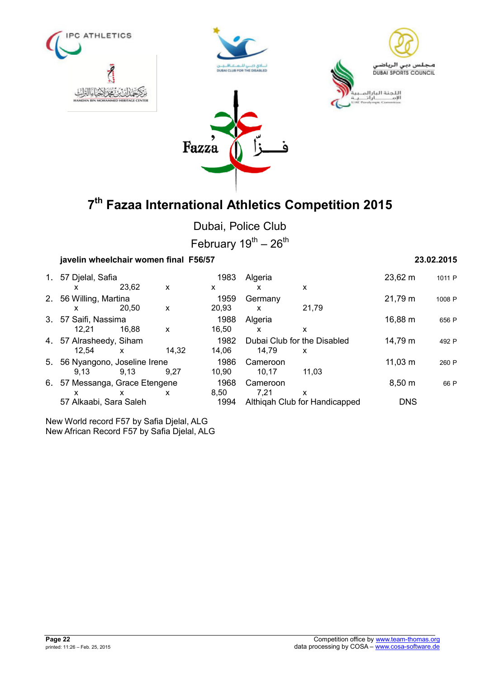







Dubai, Police Club

February  $19^{th} - 26^{th}$ 

# **javelin wheelchair women final F56/57 23.02.2015**

| 1. 57 Djelal, Safia            |       |       | 1983  | Algeria  |                               | 23,62 m      | 1011 P |
|--------------------------------|-------|-------|-------|----------|-------------------------------|--------------|--------|
| x                              | 23.62 | X     | X     | x        | X                             |              |        |
| 2. 56 Willing, Martina         |       |       | 1959  | Germany  |                               | 21,79 m      | 1008 P |
| x                              | 20.50 | X     | 20,93 | X        | 21.79                         |              |        |
| 3. 57 Saifi, Nassima           |       |       | 1988  | Algeria  |                               | 16,88 m      | 656 P  |
| 12.21                          | 16.88 | X     | 16.50 | X        | x                             |              |        |
| 4. 57 Alrasheedy, Siham        |       |       | 1982  |          | Dubai Club for the Disabled   | 14,79 m      | 492 P  |
| 12.54                          | X     | 14.32 | 14.06 | 14.79    | X                             |              |        |
| 5. 56 Nyangono, Joseline Irene |       |       | 1986  | Cameroon |                               | $11,03 \; m$ | 260 P  |
| 9.13                           | 9.13  | 9.27  | 10.90 | 10.17    | 11.03                         |              |        |
| 6. 57 Messanga, Grace Etengene |       |       | 1968  | Cameroon |                               | 8,50 m       | 66 P   |
| х                              | x     | X     | 8.50  | 7.21     | х                             |              |        |
| 57 Alkaabi, Sara Saleh         |       |       | 1994  |          | Althigah Club for Handicapped | <b>DNS</b>   |        |

New World record F57 by Safia Djelal, ALG New African Record F57 by Safia Djelal, ALG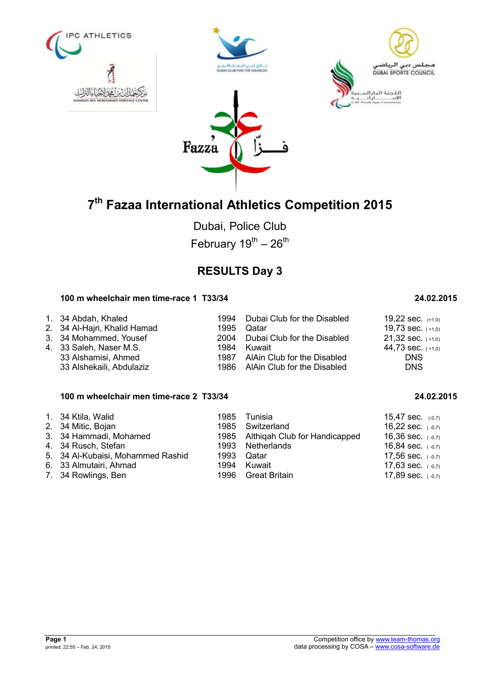







Dubai, Police Club February  $19^{th} - 26^{th}$ 

# **RESULTS Day 3**

## **100 m wheelchair men time-race 1 T33/34 24.02.2015**

| 1. 34 Abdah, Khaled          |      | 1994 Dubai Club for the Disabled | 19,22 sec. $(+1,0)$   |
|------------------------------|------|----------------------------------|-----------------------|
| 2. 34 Al-Hajri, Khalid Hamad |      | 1995 Qatar                       | 19,73 sec. $(+1,0)$   |
| 3. 34 Mohammed, Yousef       |      | 2004 Dubai Club for the Disabled | $21,32$ sec. $(+1,0)$ |
| 4. 33 Saleh, Naser M.S.      | 1984 | Kuwait                           | 44,73 sec. $(+1,0)$   |
| 33 Alshamisi, Ahmed          |      | 1987 AlAin Club for the Disabled | <b>DNS</b>            |
| 33 Alshekaili, Abdulaziz     |      | 1986 AlAin Club for the Disabled | <b>DNS</b>            |

## **100 m wheelchair men time-race 2 T33/34 24.02.2015**

| 1. 34 Ktila, Walid                | 1985 Tunisia                       | 15,47 sec. $(-0,7)$ |
|-----------------------------------|------------------------------------|---------------------|
|                                   |                                    |                     |
| 2. 34 Mitic, Bojan                | 1985 Switzerland                   | 16,22 sec. $(-0,7)$ |
| 3. 34 Hammadi, Mohamed            | 1985 Althigah Club for Handicapped | 16,36 sec. $(-0,7)$ |
| 4. 34 Rusch, Stefan               | 1993 Netherlands                   | 16,84 sec. $(-0,7)$ |
| 5. 34 Al-Kubaisi, Mohammed Rashid | 1993 Qatar                         | 17,56 sec. $(-0,7)$ |
| 6. 33 Almutairi, Ahmad            | 1994 Kuwait                        | 17,63 sec. $(-0,7)$ |
| 7. 34 Rowlings, Ben               | 1996 Great Britain                 | 17,89 sec. $(-0,7)$ |
|                                   |                                    |                     |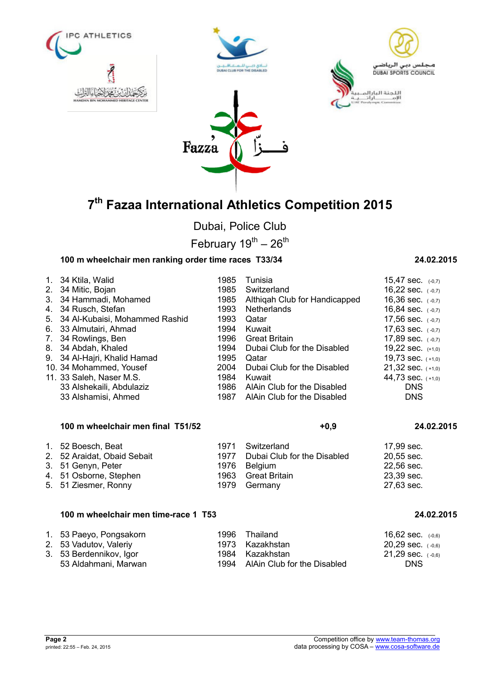







Dubai, Police Club

February  $19^{th} - 26^{th}$ 

# **100 m wheelchair men ranking order time races T33/34 24.02.2015**

| 1. 34 Ktila, Walid                | 1985 | Tunisia                          | 15,47 sec. $(-0,7)$   |
|-----------------------------------|------|----------------------------------|-----------------------|
| 2. 34 Mitic, Bojan                | 1985 | Switzerland                      | 16,22 sec. $(-0,7)$   |
| 3. 34 Hammadi, Mohamed            | 1985 | Althigah Club for Handicapped    | 16,36 sec. $(-0,7)$   |
| 4. 34 Rusch, Stefan               | 1993 | Netherlands                      | 16,84 sec. $(-0,7)$   |
| 5. 34 Al-Kubaisi, Mohammed Rashid | 1993 | Qatar                            | 17,56 sec. $(-0,7)$   |
| 6. 33 Almutairi, Ahmad            | 1994 | Kuwait                           | 17,63 sec. $(-0,7)$   |
| 7. 34 Rowlings, Ben               | 1996 | Great Britain                    | 17,89 sec. $(-0,7)$   |
| 8. 34 Abdah, Khaled               | 1994 | Dubai Club for the Disabled      | 19,22 sec. $(+1,0)$   |
| 9. 34 Al-Hajri, Khalid Hamad      | 1995 | Qatar                            | 19,73 sec. $(+1,0)$   |
| 10. 34 Mohammed, Yousef           | 2004 | Dubai Club for the Disabled      | $21,32$ sec. $(+1,0)$ |
| 11. 33 Saleh, Naser M.S.          | 1984 | Kuwait                           | 44,73 sec. $(+1,0)$   |
| 33 Alshekaili, Abdulaziz          |      | 1986 AlAin Club for the Disabled | <b>DNS</b>            |
| 33 Alshamisi, Ahmed               | 1987 | AlAin Club for the Disabled      | <b>DNS</b>            |

### **100 m wheelchair men final T51/52 +0,9 24.02.2015**

## 1. 52 Boesch, Beat 1971 Switzerland 1. 52 Boesch, Beat 17,99 sec.<br>1977 Dubai Club for the Disabled 20.55 sec. 2. 52 Araidat, Obaid Sebait 1977 Dubai Club for the Disabled 20,55 sec.<br>3. 51 Genyn, Peter 1976 Belgium 1979 1976 22.56 sec. 3. 51 Genyn, Peter 1976 Belgium 22,56 sec. 4. 51 Osborne, Stephen 1963 Great Britain 1963 Creat Britain 23,39 sec.<br>5. 51 Ziesmer, Ronny 1979 Germany 27,63 sec. 5. 51 Ziesmer, Ronny 1979 Germany

### **100 m wheelchair men time-race 1 T53 24.02.2015**

| 1. 53 Paeyo, Pongsakorn | 1996 Thailand                    | 16,62 sec. $(-0.6)$   |
|-------------------------|----------------------------------|-----------------------|
| 2. 53 Vadutov, Valeriy  | 1973 Kazakhstan                  | $20.29$ sec. $(-0.6)$ |
| 3. 53 Berdennikov, Igor | 1984 Kazakhstan                  | $21,29$ sec. $(-0,6)$ |
| 53 Aldahmani, Marwan    | 1994 AlAin Club for the Disabled | <b>DNS</b>            |

| 16.84 Sec.                   | $(-0,7)$ |
|------------------------------|----------|
| 17,56 sec.                   | $(-0,7)$ |
| 17,63 sec. $(-0,7)$          |          |
| 17,89 sec. $(-0,7)$          |          |
| 19,22 sec. $(+1,0)$          |          |
| 19,73 sec. <sub>(+1,0)</sub> |          |
| $21,32$ sec. $(+1,0)$        |          |
| 44,73 sec. (+1,0)            |          |
| DNS                          |          |
| DNS                          |          |
|                              |          |
|                              |          |
|                              |          |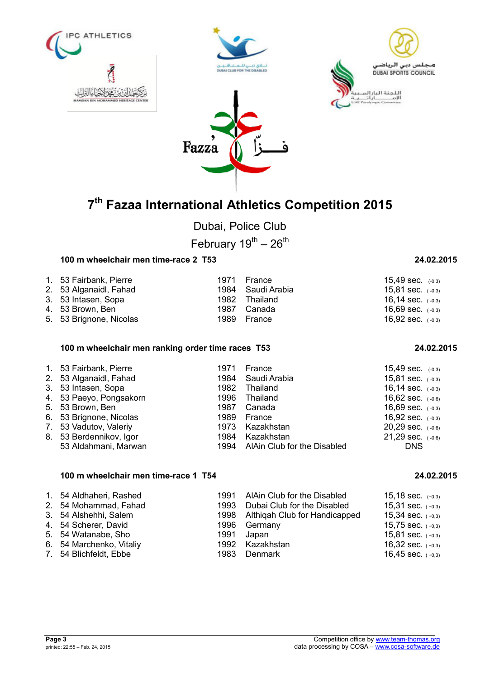

Dubai, Police Club

February  $19^{th} - 26^{th}$ 

# **100 m wheelchair men time-race 2 T53 24.02.2015**

| 1. 53 Fairbank, Pierre  | 1971 France       | 15,49 sec. $(-0,3)$   |
|-------------------------|-------------------|-----------------------|
| 2. 53 Alganaidl, Fahad  | 1984 Saudi Arabia | $15,81$ sec. $(-0,3)$ |
| 3. 53 Intasen, Sopa     | 1982 Thailand     | 16,14 sec. $(-0,3)$   |
| 4. 53 Brown, Ben        | 1987 Canada       | 16,69 sec. $(-0,3)$   |
| 5. 53 Brignone, Nicolas | 1989 France       | 16,92 sec. $(-0,3)$   |

### **100 m wheelchair men ranking order time races T53 24.02.2015**

| 1. 53 Fairbank, Pierre<br>2. 53 Alganaidl, Fahad<br>3. 53 Intasen, Sopa<br>4. 53 Paeyo, Pongsakorn<br>5. 53 Brown, Ben<br>6. 53 Brignone, Nicolas | 1971<br>1982<br>1996<br>1987 | France<br>1984 Saudi Arabia<br>Thailand<br>Thailand<br>Canada<br>1989 France | 15,49 sec. $(-0,3)$<br>15,81 sec. $(-0,3)$<br>16,14 sec. $(-0,3)$<br>16,62 sec. $(-0,6)$<br>16,69 sec. $(-0,3)$<br>16,92 sec. $(-0,3)$ |
|---------------------------------------------------------------------------------------------------------------------------------------------------|------------------------------|------------------------------------------------------------------------------|----------------------------------------------------------------------------------------------------------------------------------------|
|                                                                                                                                                   |                              |                                                                              |                                                                                                                                        |
| 7. 53 Vadutov, Valeriy                                                                                                                            | 1973                         | Kazakhstan                                                                   | $20.29$ sec. $(-0.6)$                                                                                                                  |
| 8. 53 Berdennikov, Igor                                                                                                                           |                              | 1984 Kazakhstan                                                              | $21,29$ sec. $(-0,6)$                                                                                                                  |
| 53 Aldahmani, Marwan                                                                                                                              |                              | 1994 AlAin Club for the Disabled                                             | <b>DNS</b>                                                                                                                             |

### **100 m wheelchair men time-race 1 T54 24.02.2015**

| 1. 54 Aldhaheri, Rashed  | 1991 AlAin Club for the Disabled   | 15,18 sec. $(+0,3)$ |
|--------------------------|------------------------------------|---------------------|
| 2. 54 Mohammad, Fahad    | 1993 Dubai Club for the Disabled   | 15,31 sec. $(+0,3)$ |
| 3. 54 Alshehhi, Salem    | 1998 Althigah Club for Handicapped | 15,34 sec. $(+0,3)$ |
| 4. 54 Scherer, David     | 1996 Germany                       | 15,75 sec. $(+0,3)$ |
| 5. 54 Watanabe, Sho      | 1991 Japan                         | 15,81 sec. $(+0,3)$ |
| 6. 54 Marchenko, Vitaliy | 1992 Kazakhstan                    | 16,32 sec. $(+0,3)$ |
| 7. 54 Blichfeldt, Ebbe   | 1983 Denmark                       | 16,45 sec. $(+0,3)$ |

| 16,14 sec. (-0,3)            |  |
|------------------------------|--|
| 16,62 sec. $(-0,6)$          |  |
| 16,69 sec. $(-0,3)$          |  |
| 16,92 sec. <sub>(-0,3)</sub> |  |
| $20,29$ sec. $(-0,6)$        |  |
| $21,29$ sec. $(-0,6)$        |  |
| DNS                          |  |
|                              |  |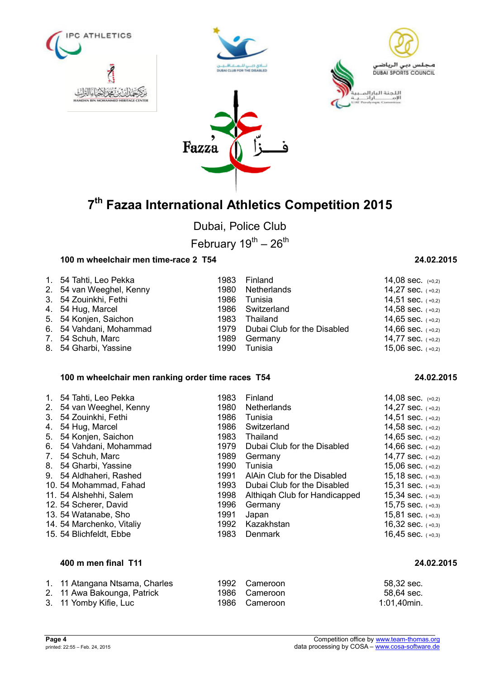







Dubai, Police Club

February  $19^{th} - 26^{th}$ 

## **100 m wheelchair men time-race 2 T54 24.02.2015**

| 1. 54 Tahti, Leo Pekka   |      | 1983 Finland                     | 14,08 sec. $(+0,2)$ |
|--------------------------|------|----------------------------------|---------------------|
| 2. 54 van Weeghel, Kenny |      | 1980 Netherlands                 | 14,27 sec. $(+0,2)$ |
| 3. 54 Zouinkhi, Fethi    |      | 1986 Tunisia                     | 14,51 sec. $(+0,2)$ |
| 4. 54 Hug, Marcel        |      | 1986 Switzerland                 | 14,58 sec. $(+0,2)$ |
| 5. 54 Konjen, Saichon    | 1983 | Thailand                         | 14,65 sec. $(+0,2)$ |
| 6. 54 Vahdani, Mohammad  |      | 1979 Dubai Club for the Disabled | 14,66 sec. $(+0,2)$ |
| 7. 54 Schuh, Marc        |      | 1989 Germany                     | 14,77 sec. $(+0,2)$ |
| 8. 54 Gharbi, Yassine    |      | 1990 Tunisia                     | 15,06 sec. $(+0,2)$ |

## **100 m wheelchair men ranking order time races T54 24.02.2015**

| 4. | 1. 54 Tahti, Leo Pekka    | 1983 | Finland                       | 14,08 sec. $(+0,2)$ |
|----|---------------------------|------|-------------------------------|---------------------|
|    | 2. 54 van Weeghel, Kenny  | 1980 | <b>Netherlands</b>            | 14,27 sec. $(+0,2)$ |
|    | 3. 54 Zouinkhi, Fethi     | 1986 | Tunisia                       | 14,51 sec. $(+0,2)$ |
|    | 54 Hug, Marcel            | 1986 | Switzerland                   | 14,58 sec. $(+0,2)$ |
|    | 5. 54 Konjen, Saichon     | 1983 | Thailand                      | 14,65 sec. $(+0,2)$ |
|    | 6. 54 Vahdani, Mohammad   | 1979 | Dubai Club for the Disabled   | 14,66 sec. $(+0,2)$ |
|    | 7. 54 Schuh, Marc         | 1989 | Germany                       | 14,77 sec. $(+0,2)$ |
|    | 8. 54 Gharbi, Yassine     | 1990 | Tunisia                       | 15,06 sec. $(+0,2)$ |
|    | 9. 54 Aldhaheri, Rashed   | 1991 | AlAin Club for the Disabled   | 15,18 sec. $(+0,3)$ |
|    | 10. 54 Mohammad, Fahad    | 1993 | Dubai Club for the Disabled   | 15,31 sec. $(+0,3)$ |
|    | 11. 54 Alshehhi, Salem    | 1998 | Althigah Club for Handicapped | 15,34 sec. $(+0,3)$ |
|    | 12. 54 Scherer, David     | 1996 | Germany                       | 15,75 sec. $(+0,3)$ |
|    | 13.54 Watanabe, Sho       | 1991 | Japan                         | 15,81 sec. $(+0,3)$ |
|    | 14. 54 Marchenko, Vitaliy | 1992 | Kazakhstan                    | 16,32 sec. $(+0,3)$ |
|    | 15. 54 Blichfeldt, Ebbe   | 1983 | <b>Denmark</b>                | 16,45 sec. $(+0,3)$ |

## **400 m men final T11 24.02.2015**

| 1. 11 Atangana Ntsama, Charles | 1992 Cameroon | 58,32 sec.  |
|--------------------------------|---------------|-------------|
| 2.   11 Awa Bakounga, Patrick  | 1986 Cameroon | 58.64 sec.  |
| 3. 11 Yomby Kifie, Luc         | 1986 Cameroon | 1:01.40min. |

|  | 14,00 SEC. (+0,2)            |
|--|------------------------------|
|  | 14,27 sec. <sub>(+0,2)</sub> |
|  | 14,51 sec. <sub>(+0,2)</sub> |
|  | 14,58 sec. <sub>(+0,2)</sub> |
|  | 14,65 sec. $(+0,2)$          |
|  | 14,66 sec. <sub>(+0,2)</sub> |
|  | 14,77 sec. (+0,2)            |
|  | 15,06 sec. $(+0,2)$          |
|  |                              |

| 24.02.2015 |  |  |
|------------|--|--|
|            |  |  |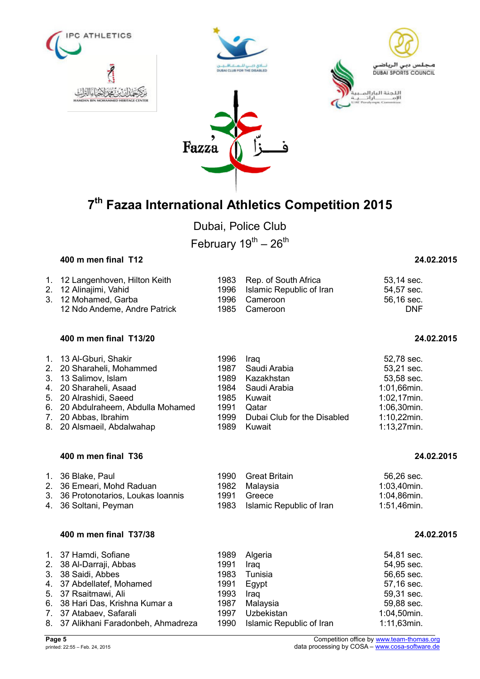







Dubai, Police Club February  $19^{th} - 26^{th}$ 

### **400 m men final T12 24.02.2015**

|  | 1. 12 Langenhoven, Hilton Keith<br>2. 12 Alinajimi, Vahid<br>3. 12 Mohamed, Garba<br>12 Ndo Andeme, Andre Patrick |  | 1983 Rep. of South Africa<br>1996 Islamic Republic of Iran<br>1996 Cameroon<br>1985 Cameroon | 53,14 sec.<br>54,57 sec.<br>56,16 sec.<br>DNF |
|--|-------------------------------------------------------------------------------------------------------------------|--|----------------------------------------------------------------------------------------------|-----------------------------------------------|
|--|-------------------------------------------------------------------------------------------------------------------|--|----------------------------------------------------------------------------------------------|-----------------------------------------------|

## **400 m men final T13/20 24.02.2015**

| 1. 13 Al-Gburi, Shakir             | 1996 | Iraq                        | 52,78 sec.     |
|------------------------------------|------|-----------------------------|----------------|
| 2. 20 Sharaheli, Mohammed          | 1987 | Saudi Arabia                | 53,21 sec.     |
| 3. 13 Salimov, Islam               | 1989 | Kazakhstan                  | 53,58 sec.     |
| 4. 20 Sharaheli, Asaad             | 1984 | Saudi Arabia                | 1:01,66min.    |
| 5. 20 Alrashidi, Saeed             | 1985 | Kuwait                      | $1:02,17$ min. |
| 6. 20 Abdulraheem, Abdulla Mohamed | 1991 | Qatar                       | 1:06,30min.    |
| 7. 20 Abbas, Ibrahim               | 1999 | Dubai Club for the Disabled | $1:10,22$ min. |
| 8. 20 Alsmaeil, Abdalwahap         | 1989 | Kuwait                      | $1:13,27$ min. |

### **400 m men final T36 24.02.2015**

| 1. 36 Blake, Paul                   | 1990 Great Britain            | 56,26 sec.     |
|-------------------------------------|-------------------------------|----------------|
| 2. 36 Emeari, Mohd Raduan           | 1982 Malavsia                 | 1:03,40min.    |
| 3. 36 Protonotarios, Loukas Ioannis | 1991 Greece                   | 1:04,86min.    |
| 4. 36 Soltani, Peyman               | 1983 Islamic Republic of Iran | $1:51,46$ min. |

## **400 m men final T37/38 24.02.2015**

| 1. 37 Hamdi, Sofiane                 | 1989 | Algeria                       | 54,81 sec.  |
|--------------------------------------|------|-------------------------------|-------------|
| 2. 38 Al-Darraji, Abbas              | 1991 | Iraq                          | 54,95 sec.  |
| 3. 38 Saidi, Abbes                   | 1983 | Tunisia                       | 56,65 sec.  |
| 4. 37 Abdellatef, Mohamed            |      | 1991 Egypt                    | 57,16 sec.  |
| 5. 37 Rsaitmawi, Ali                 | 1993 | Iraq                          | 59,31 sec.  |
| 6. 38 Hari Das, Krishna Kumar a      | 1987 | Malaysia                      | 59,88 sec.  |
| 7. 37 Atabaev, Safarali              | 1997 | Uzbekistan                    | 1:04,50min. |
| 8. 37 Alikhani Faradonbeh, Ahmadreza |      | 1990 Islamic Republic of Iran | 1:11,63min. |
|                                      |      |                               |             |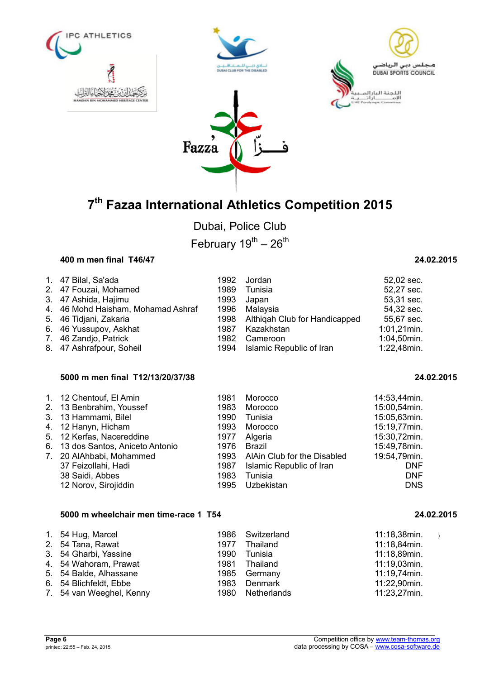







Dubai, Police Club February  $19^{th} - 26^{th}$ 

### **400 m men final T46/47 24.02.2015**

| 1. 47 Bilal, Sa'ada                | 1992 | Jordan                             | 52,02 sec.     |
|------------------------------------|------|------------------------------------|----------------|
| 2. 47 Fouzai, Mohamed              | 1989 | Tunisia                            | 52,27 sec.     |
| 3. 47 Ashida, Hajimu               | 1993 | Japan                              | 53,31 sec.     |
| 4. 46 Mohd Haisham, Mohamad Ashraf |      | 1996 Malaysia                      | 54,32 sec.     |
| 5. 46 Tidjani, Zakaria             |      | 1998 Althiqah Club for Handicapped | 55,67 sec.     |
| 6. 46 Yussupov, Askhat             | 1987 | Kazakhstan                         | $1:01,21$ min. |
| 7. 46 Zandjo, Patrick              | 1982 | Cameroon                           | 1:04,50min.    |
| 8. 47 Ashrafpour, Soheil           |      | 1994 Islamic Republic of Iran      | 1:22,48min.    |

## **5000 m men final T12/13/20/37/38 24.02.2015**

| 1. 12 Chentouf, El Amin           | 1981 | Morocco                       | 14:53,44min. |
|-----------------------------------|------|-------------------------------|--------------|
| 2. 13 Benbrahim, Youssef          | 1983 | Morocco                       | 15:00,54min. |
| 3. 13 Hammami, Bilel              | 1990 | Tunisia                       | 15:05,63min. |
| 4. 12 Hanyn, Hicham               | 1993 | Morocco                       | 15:19,77min. |
| 5. 12 Kerfas, Nacereddine         | 1977 | Algeria                       | 15:30,72min. |
| 6. 13 dos Santos, Aniceto Antonio | 1976 | Brazil                        | 15:49,78min. |
| 7. 20 AlAhbabi, Mohammed          | 1993 | AlAin Club for the Disabled   | 19:54,79min. |
| 37 Feizollahi, Hadi               |      | 1987 Islamic Republic of Iran | <b>DNF</b>   |
| 38 Saidi, Abbes                   | 1983 | Tunisia                       | <b>DNF</b>   |
| 12 Norov, Sirojiddin              | 1995 | Uzbekistan                    | <b>DNS</b>   |

### **5000 m wheelchair men time-race 1 T54 24.02.2015**

| 1. 54 Hug, Marcel        |      | 1986 Switzerland | 11:18,38min. |
|--------------------------|------|------------------|--------------|
| 2. 54 Tana, Rawat        | 1977 | Thailand         | 11:18,84min. |
| 3. 54 Gharbi, Yassine    | 1990 | Tunisia          | 11:18,89min. |
| 4. 54 Wahoram, Prawat    | 1981 | Thailand         | 11:19,03min. |
| 5. 54 Balde, Alhassane   |      | 1985 Germany     | 11:19,74min. |
| 6. 54 Blichfeldt, Ebbe   |      | 1983 Denmark     | 11:22,90min. |
| 7. 54 van Weeghel, Kenny |      | 1980 Netherlands | 11:23,27min. |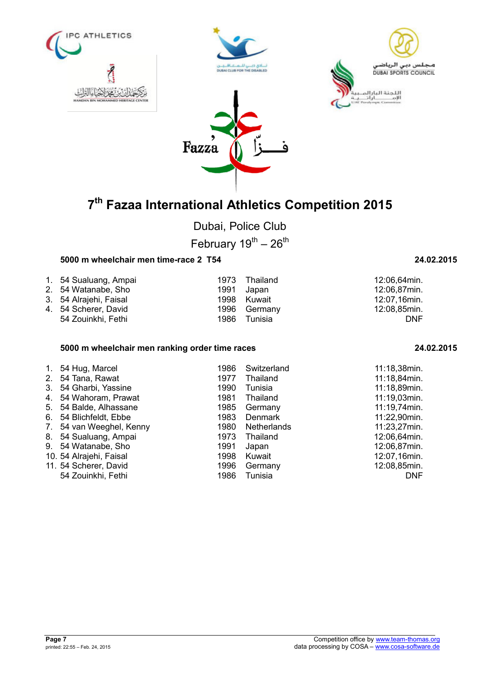







Dubai, Police Club

February  $19^{th} - 26^{th}$ 

## **5000 m wheelchair men time-race 2 T54 24.02.2015**

| 1. 54 Sualuang, Ampai  |      | 1973 Thailand | 12:06,64min. |
|------------------------|------|---------------|--------------|
| 2. 54 Watanabe, Sho    | 1991 | Japan         | 12:06,87min. |
| 3. 54 Alrajehi, Faisal |      | 1998 Kuwait   | 12:07,16min. |
| 4. 54 Scherer, David   |      | 1996 Germany  | 12:08,85min. |
| 54 Zouinkhi, Fethi     | 1986 | Tunisia       | <b>DNF</b>   |

### **5000 m wheelchair men ranking order time races 24.02.2015**

| $\mathbf{1}$ . | 54 Hug, Marcel          | 1986 | Switzerland    | 11:18,38min. |
|----------------|-------------------------|------|----------------|--------------|
| 2 <sub>1</sub> | 54 Tana, Rawat          | 1977 | Thailand       | 11:18,84min. |
| 3.             | 54 Gharbi, Yassine      | 1990 | Tunisia        | 11:18,89min. |
| 4.             | 54 Wahoram, Prawat      | 1981 | Thailand       | 11:19,03min. |
| 5.             | 54 Balde, Alhassane     | 1985 | Germany        | 11:19,74min. |
| 6.             | 54 Blichfeldt, Ebbe     | 1983 | <b>Denmark</b> | 11:22,90min. |
| 7.             | 54 van Weeghel, Kenny   | 1980 | Netherlands    | 11:23,27min. |
| 8.             | 54 Sualuang, Ampai      | 1973 | Thailand       | 12:06,64min. |
| 9.             | 54 Watanabe, Sho        | 1991 | Japan          | 12:06,87min. |
|                | 10. 54 Alrajehi, Faisal | 1998 | Kuwait         | 12:07,16min. |
|                | 11. 54 Scherer, David   | 1996 | Germany        | 12:08,85min. |
|                | 54 Zouinkhi, Fethi      | 1986 | Tunisia        | <b>DNF</b>   |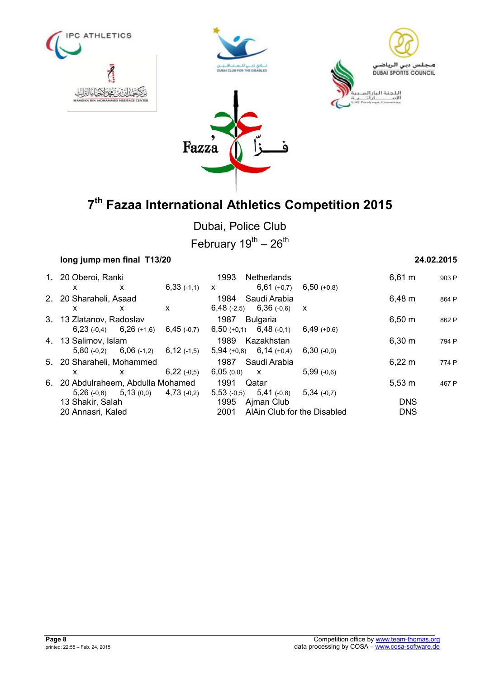







# **7 th Fazaa International Athletics Competition 2015**

Dubai, Police Club

February  $19^{th} - 26^{th}$ 

| long jump men final T13/20         |   |               |               |                             |                           |             | 24.02.2015 |
|------------------------------------|---|---------------|---------------|-----------------------------|---------------------------|-------------|------------|
| 1. 20 Oberoi, Ranki                |   |               | 1993          | Netherlands                 |                           | $6,61 \; m$ | 903 P      |
| X                                  | X | $6,33(-1,1)$  | $\mathsf{x}$  | $6,61 (+0,7)$               | $6,50 (+0,8)$             |             |            |
| 2. 20 Sharaheli, Asaad             |   |               |               | 1984 Saudi Arabia           |                           | $6,48 \; m$ | 864 P      |
| X                                  | X | X             | $6,48$ (-2,5) | $6,36$ (-0,6)               | $\boldsymbol{\mathsf{x}}$ |             |            |
| 3. 13 Zlatanov, Radoslav           |   |               | 1987          | <b>Bulgaria</b>             |                           | $6,50 \; m$ | 862 P      |
| $6,23(-0,4)$ $6,26(+1,6)$          |   | $6,45$ (-0,7) |               | $6,50 (+0,1)$ $6,48 (+0,1)$ | $6,49(+0,6)$              |             |            |
| 4. 13 Salimov, Islam               |   |               | 1989          | Kazakhstan                  |                           | $6,30 \; m$ | 794 P      |
| $5,80(-0,2)$ 6,06 $(-1,2)$         |   | $6,12$ (-1,5) |               | $5,94 (+0,8)$ 6,14 (+0,4)   | 6,30(.0,9)                |             |            |
| 5. 20 Sharaheli, Mohammed          |   |               | 1987          | Saudi Arabia                |                           | $6,22 \, m$ | 774 P      |
| x                                  | X | 6,22(.0,5)    | 6,05(0,0)     | $\mathsf{X}$                | $5,99$ (-0.6)             |             |            |
| 6. 20 Abdulraheem, Abdulla Mohamed |   |               | 1991          | Qatar                       |                           | $5,53 \; m$ | 467 P      |
| $5,26(-0,8)$ $5,13(0,0)$           |   | $4,73$ (-0,2) | $5,53$ (-0,5) | $5,41(-0,8)$                | $5,34$ (-0.7)             |             |            |
| 13 Shakir, Salah                   |   |               | 1995          | Ajman Club                  |                           | <b>DNS</b>  |            |
| 20 Annasri, Kaled                  |   |               | 2001          | AlAin Club for the Disabled |                           | <b>DNS</b>  |            |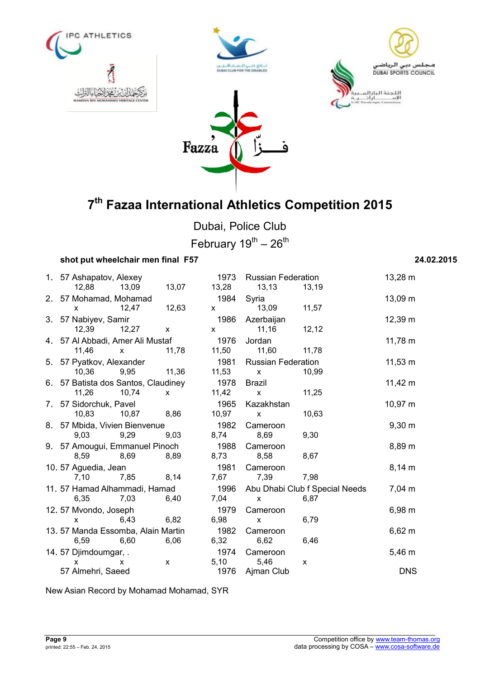







Dubai, Police Club February  $19^{th} - 26^{th}$ 

## **shot put wheelchair men final F57 24.02.2015**

|  | 1. 57 Ashapatov, Alexey  |                                     |                           | 1973         | <b>Russian Federation</b> |                                | 13,28 m      |
|--|--------------------------|-------------------------------------|---------------------------|--------------|---------------------------|--------------------------------|--------------|
|  | 12,88 13,09              |                                     | 13,07                     | 13,28        | 13,13                     | 13,19                          |              |
|  | 2. 57 Mohamad, Mohamad   |                                     |                           | 1984         | Syria                     |                                | 13,09 m      |
|  | X                        | 12,47                               | 12,63                     | $\mathsf{X}$ | 13,09                     | 11,57                          |              |
|  | 3. 57 Nabiyev, Samir     |                                     |                           | 1986         | Azerbaijan                |                                | 12,39 m      |
|  | 12,39                    | 12,27                               | $\mathsf{x}$              | $\mathbf{x}$ | 11,16                     | 12,12                          |              |
|  |                          | 4. 57 Al Abbadi, Amer Ali Mustaf    |                           | 1976         | Jordan                    |                                | $11,78 \; m$ |
|  | 11,46<br>$\mathbf{x}$    |                                     | 11,78                     | 11,50        | 11,60                     | 11,78                          |              |
|  | 5. 57 Pyatkov, Alexander |                                     |                           | 1981         | <b>Russian Federation</b> |                                | $11,53 \; m$ |
|  | 10,36                    | 9,95                                | 11,36                     | 11,53        | $\mathsf{x}$              | 10,99                          |              |
|  |                          | 6. 57 Batista dos Santos, Claudiney |                           | 1978         | <b>Brazil</b>             |                                | $11,42 \; m$ |
|  | 11,26                    | 10,74                               | $\mathsf{x}$              | 11,42        | $\mathsf{x}$              | 11,25                          |              |
|  | 7. 57 Sidorchuk, Pavel   |                                     |                           | 1965         | Kazakhstan                |                                | $10,97 \; m$ |
|  | 10,83                    | 10,87<br>8,86                       |                           | 10,97        | $\mathsf{X}$              | 10,63                          |              |
|  |                          | 8. 57 Mbida, Vivien Bienvenue       |                           | 1982         | Cameroon                  |                                | $9,30 \; m$  |
|  | 9,03                     | 9,29                                | 9,03                      | 8,74         | 8,69                      | 9,30                           |              |
|  |                          | 9. 57 Amougui, Emmanuel Pinoch      |                           | 1988         | Cameroon                  |                                | 8,89 m       |
|  | 8,59<br>8,69             |                                     | 8,89                      | 8,73         | 8,58                      | 8,67                           |              |
|  | 10.57 Aguedia, Jean      |                                     |                           | 1981         | Cameroon                  |                                | $8,14 \; m$  |
|  | 7,10                     | 7,85                                | 8,14                      | 7,67         | 7,39                      | 7,98                           |              |
|  |                          | 11. 57 Hamad Alhammadi, Hamad       |                           | 1996         |                           | Abu Dhabi Club f Special Needs | 7,04 m       |
|  | 6,35                     | 7,03                                | 6,40                      | 7,04         | X                         | 6,87                           |              |
|  | 12.57 Mvondo, Joseph     |                                     |                           | 1979         | Cameroon                  |                                | $6,98 \; m$  |
|  | X                        | 6,43                                | 6,82                      | 6,98         | X                         | 6,79                           |              |
|  |                          | 13.57 Manda Essomba, Alain Martin   |                           | 1982         | Cameroon                  |                                | $6,62 \; m$  |
|  | 6,59                     | 6,60                                | 6,06                      | 6,32         | 6,62                      | 6,46                           |              |
|  | 14.57 Djimdoumgar, .     |                                     |                           | 1974         | Cameroon                  |                                | 5,46 m       |
|  | x                        | x                                   | $\boldsymbol{\mathsf{x}}$ | 5,10         | 5,46                      | $\mathsf{x}$                   |              |
|  | 57 Almehri, Saeed        |                                     |                           | 1976         | Ajman Club                |                                | <b>DNS</b>   |

New Asian Record by Mohamad Mohamad, SYR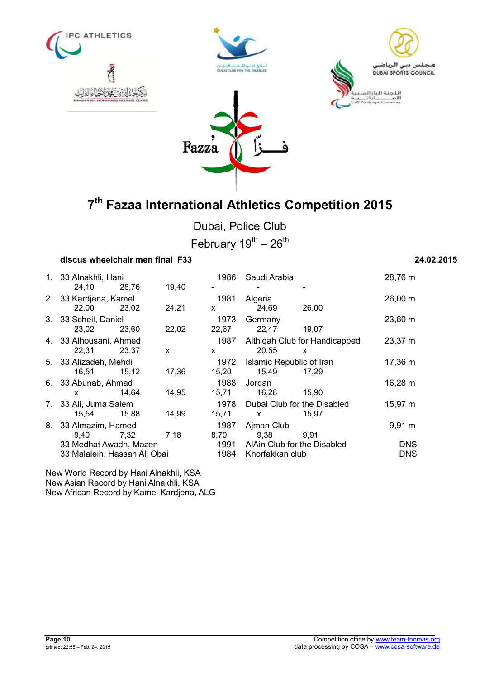







Dubai, Police Club

February  $19^{th} - 26^{th}$ 

# **discus wheelchair men final F33 24.02.2015**

| 1. 33 Alnakhli, Hani<br>24,10 28,76                    |       | 19,40        | 1986                 | Saudi Arabia                                                                                                                                                                                                                                                                                                                    |                                               | 28,76 m                  |
|--------------------------------------------------------|-------|--------------|----------------------|---------------------------------------------------------------------------------------------------------------------------------------------------------------------------------------------------------------------------------------------------------------------------------------------------------------------------------|-----------------------------------------------|--------------------------|
| 2. 33 Kardjena, Kamel<br>22,00 23,02                   |       | 24,21        | 1981<br>X            | Algeria<br>24,69                                                                                                                                                                                                                                                                                                                | 26,00                                         | $26,00 \; m$             |
| 3. 33 Scheil, Daniel<br>23,02                          | 23,60 | 22,02        | 1973<br>22,67        | Germany<br>22,47                                                                                                                                                                                                                                                                                                                | 19,07                                         | 23,60 m                  |
| 4. 33 Alhousani, Ahmed<br>22,31                        | 23,37 | $\mathsf{x}$ | 1987<br>$\mathsf{x}$ | 20,55                                                                                                                                                                                                                                                                                                                           | Althigah Club for Handicapped<br>$\mathsf{x}$ | 23,37 m                  |
| 5. 33 Alizadeh, Mehdi<br>16,51 15,12                   |       | 17,36        | 1972<br>15,20        | Islamic Republic of Iran<br>15,49                                                                                                                                                                                                                                                                                               | 17,29                                         | 17,36 m                  |
| 6. 33 Abunab, Ahmad<br>$\mathsf{x}$                    | 14.64 | 14,95        | 1988<br>15,71        | Jordan<br>16,28 15,90                                                                                                                                                                                                                                                                                                           |                                               | 16,28 m                  |
| 7. 33 Ali, Juma Salem<br>15,54 15,88                   |       | 14,99        | 1978<br>15,71        | Dubai Club for the Disabled<br>$\mathsf{X}$ and $\mathsf{X}$ and $\mathsf{X}$ are $\mathsf{X}$ and $\mathsf{X}$ are $\mathsf{X}$ and $\mathsf{X}$ are $\mathsf{X}$ and $\mathsf{X}$ are $\mathsf{X}$ and $\mathsf{X}$ are $\mathsf{X}$ and $\mathsf{X}$ are $\mathsf{X}$ and $\mathsf{X}$ are $\mathsf{X}$ and $\mathsf{X}$ are | 15,97                                         | 15,97 m                  |
| 8. 33 Almazim, Hamed<br>9.40                           | 7,32  | 7,18         | 1987<br>8,70         | Ajman Club<br>9,38                                                                                                                                                                                                                                                                                                              | 9.91                                          | $9,91 \,\mathrm{m}$      |
| 33 Medhat Awadh, Mazen<br>33 Malaleih, Hassan Ali Obai |       |              | 1991<br>1984         | AlAin Club for the Disabled<br>Khorfakkan club                                                                                                                                                                                                                                                                                  |                                               | <b>DNS</b><br><b>DNS</b> |

New World Record by Hani Alnakhli, KSA New Asian Record by Hani Alnakhli, KSA New African Record by Kamel Kardjena, ALG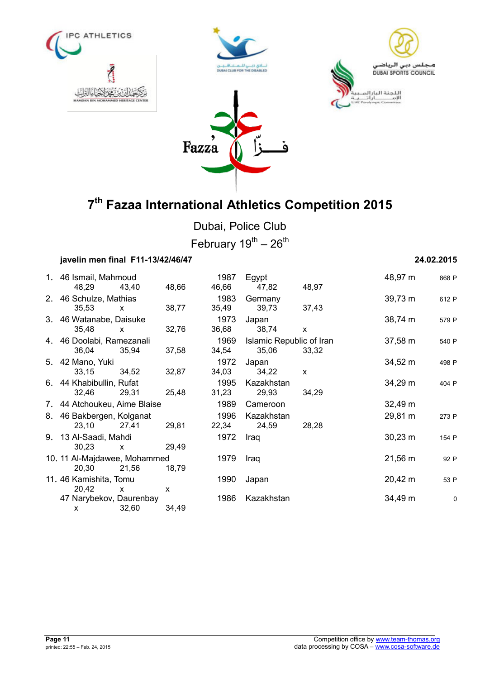







Dubai, Police Club February  $19^{th} - 26^{th}$ 

# **javelin men final F11-13/42/46/47 24.02.2015**

| 1. 46 Ismail, Mahmoud<br>48,29        | 43,40                 | 48,66      | 1987<br>46,66 | Egypt<br>47,82                    | 48,97        | 48,97 m      | 868 F |
|---------------------------------------|-----------------------|------------|---------------|-----------------------------------|--------------|--------------|-------|
| 2. 46 Schulze, Mathias<br>35,53       |                       | 38,77      | 1983<br>35,49 | Germany<br>39,73                  | 37,43        | 39,73 m      | 612 P |
| 3. 46 Watanabe, Daisuke               | $\mathsf{X}$          |            | 1973          |                                   |              | $38,74 \; m$ |       |
| 35,48                                 | $\mathsf{x}$          | 32,76      | 36,68         | Japan<br>38,74                    | $\mathsf{x}$ |              | 579 P |
| 4. 46 Doolabi, Ramezanali<br>36,04    | 35,94                 | 37,58      | 1969<br>34,54 | Islamic Republic of Iran<br>35,06 | 33,32        | $37,58 \; m$ | 540 P |
| 5. 42 Mano, Yuki<br>33,15             | 34,52                 | 32,87      | 1972<br>34,03 | Japan<br>34,22                    | $\mathsf{x}$ | $34,52 \; m$ | 498 P |
| 6. 44 Khabibullin, Rufat<br>32,46     | 29,31                 | 25,48      | 1995<br>31,23 | Kazakhstan<br>29,93               | 34,29        | 34,29 m      | 404 P |
| 7. 44 Atchoukeu, Aime Blaise          |                       |            | 1989          | Cameroon                          |              | $32,49 \; m$ |       |
| 8. 46 Bakbergen, Kolganat<br>23,10    | 27,41                 | 29,81      | 1996<br>22,34 | Kazakhstan<br>24,59               | 28,28        | 29,81 m      | 273 P |
| 9. 13 Al-Saadi, Mahdi<br>30,23        | $\mathsf{x}$          | 29,49      | 1972          | Iraq                              |              | $30,23 \; m$ | 154 P |
| 10. 11 Al-Majdawee, Mohammed<br>20,30 | 21,56                 | 18,79      | 1979          | Iraq                              |              | $21,56 \; m$ | 92 P  |
| 11.46 Kamishita, Tomu                 |                       |            | 1990          | Japan                             |              | $20,42 \; m$ | 53 P  |
| 20,42<br>47 Narybekov, Daurenbay<br>x | $\mathsf{x}$<br>32,60 | X<br>34,49 | 1986          | Kazakhstan                        |              | 34,49 m      | C     |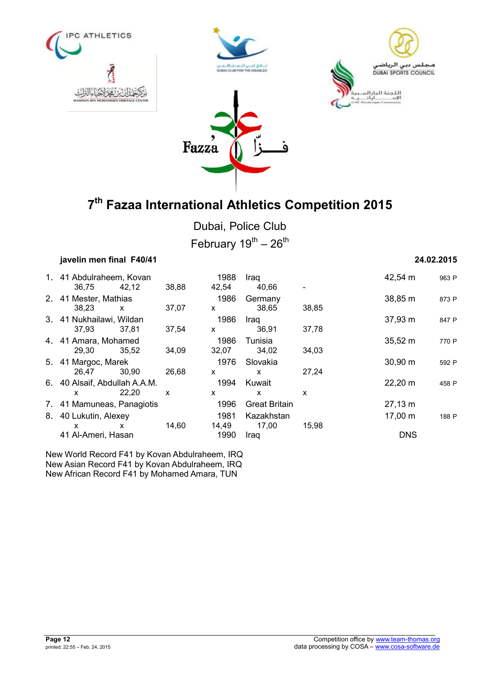







Dubai, Police Club February  $19^{th} - 26^{th}$ 

|       |              |                                                                                                                                                                                                                                                                                 |                       |                      |               | 24.02.2015                 |       |
|-------|--------------|---------------------------------------------------------------------------------------------------------------------------------------------------------------------------------------------------------------------------------------------------------------------------------|-----------------------|----------------------|---------------|----------------------------|-------|
|       |              |                                                                                                                                                                                                                                                                                 | 1988                  | Iraq                 |               | 42,54 m                    | 963 P |
| 38,23 | $\mathsf{x}$ | 37,07                                                                                                                                                                                                                                                                           | 1986<br>X             | Germany<br>38,65     | 38,85         | 38,85 m                    | 873 P |
| 37,93 | 37,81        | 37,54                                                                                                                                                                                                                                                                           | 1986<br>X             | Iraq<br>36,91        | 37,78         | 37,93 m                    | 847 P |
| 29,30 | 35,52        | 34,09                                                                                                                                                                                                                                                                           | 1986<br>32,07         | Tunisia<br>34,02     | 34,03         | $35,52 \; m$               | 770 P |
| 26.47 | 30.90        | 26,68                                                                                                                                                                                                                                                                           | 1976<br>X             | Slovakia<br>X        | 27,24         | $30,90 \; m$               | 592 P |
| x     | 22,20        | X                                                                                                                                                                                                                                                                               | 1994<br>x             | Kuwait<br>X          | X             | 22,20 m                    | 458 P |
|       |              |                                                                                                                                                                                                                                                                                 | 1996                  | <b>Great Britain</b> |               | 27,13 m                    |       |
| X     | X            | 14,60                                                                                                                                                                                                                                                                           | 1981<br>14,49<br>1990 | Kazakhstan<br>17,00  | 15,98         | $17,00 \; m$<br><b>DNS</b> | 188 P |
|       | 36,75        | javelin men final F40/41<br>1. 41 Abdulraheem, Kovan<br>42,12<br>2. 41 Mester, Mathias<br>3. 41 Nukhailawi, Wildan<br>4. 41 Amara, Mohamed<br>5. 41 Margoc, Marek<br>6. 40 Alsaif, Abdullah A.A.M.<br>7. 41 Mamuneas, Panagiotis<br>8. 40 Lukutin, Alexey<br>41 Al-Ameri, Hasan | 38,88                 | 42,54                | 40,66<br>Iraq |                            |       |

New World Record F41 by Kovan Abdulraheem, IRQ New Asian Record F41 by Kovan Abdulraheem, IRQ New African Record F41 by Mohamed Amara, TUN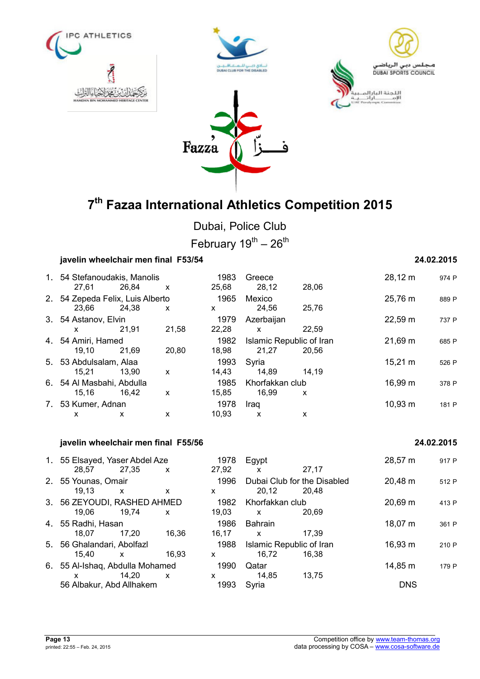







Dubai, Police Club February  $19^{th} - 26^{th}$ 

# **javelin wheelchair men final F53/54 24.02.2015**

| 27.61 | 26,84 | $\mathsf{x}$                                                                                                                 | 1983<br>25,68                                                         | Greece<br>28,12 | 28,06 | 28,12 m                                          | 974 P |
|-------|-------|------------------------------------------------------------------------------------------------------------------------------|-----------------------------------------------------------------------|-----------------|-------|--------------------------------------------------|-------|
| 23,66 | 24,38 | X                                                                                                                            | 1965<br>x                                                             | Mexico<br>24,56 | 25,76 | 25,76 m                                          | 889 P |
| x     | 21.91 | 21,58                                                                                                                        | 1979<br>22,28                                                         | Azerbaijan<br>X | 22.59 | 22,59 m                                          | 737 P |
| 19.10 | 21.69 | 20,80                                                                                                                        | 1982<br>18,98                                                         | 21,27           | 20.56 | 21,69 m                                          | 685 P |
| 15,21 | 13.90 | X                                                                                                                            | 1993<br>14,43                                                         | Syria<br>14,89  | 14.19 | $15,21 \text{ m}$                                | 526 P |
| 15.16 | 16.42 | X                                                                                                                            | 1985<br>15,85                                                         | 16,99           | X     | 16,99 m                                          | 378 P |
|       |       |                                                                                                                              | 1978                                                                  | Iraq            |       | $10,93 \; m$                                     | 181 P |
|       | x     | 3. 54 Astanov, Elvin<br>4. 54 Amiri, Hamed<br>5. 53 Abdulsalam, Alaa<br>6. 54 Al Masbahi, Abdulla<br>7. 53 Kumer, Adnan<br>x | 1. 54 Stefanoudakis, Manolis<br>2. 54 Zepeda Felix, Luis Alberto<br>x | 10.93           | X     | Islamic Republic of Iran<br>Khorfakkan club<br>x |       |

## **javelin wheelchair men final F55/56 24.02.2015**

| 1. 55 Elsayed, Yaser Abdel Aze  |              |                           | 1978  | Egypt                       |       | 28,57 m      | 917 P |
|---------------------------------|--------------|---------------------------|-------|-----------------------------|-------|--------------|-------|
| 28,57 27,35                     |              | X                         | 27,92 | x                           | 27.17 |              |       |
| 2. 55 Younas, Omair             |              |                           | 1996  | Dubai Club for the Disabled |       | 20,48 m      | 512 P |
| 19.13                           | X            | X                         | x     | 20,12                       | 20.48 |              |       |
| 3. 56 ZEYOUDI, RASHED AHMED     |              |                           | 1982  | Khorfakkan club             |       | 20,69 m      | 413 P |
| 19,06                           | 19,74        | X                         | 19,03 | X                           | 20.69 |              |       |
| 4. 55 Radhi, Hasan              |              |                           | 1986  | <b>Bahrain</b>              |       | $18,07 \; m$ | 361 P |
| 18.07                           | 17.20        | 16,36                     | 16,17 | X                           | 17.39 |              |       |
| 5. 56 Ghalandari, Abolfazl      |              |                           | 1988  | Islamic Republic of Iran    |       | $16,93 \; m$ | 210 P |
| 15.40                           | $\mathsf{x}$ | 16.93                     | X     | 16,72                       | 16.38 |              |       |
| 6. 55 Al-Ishaq, Abdulla Mohamed |              |                           | 1990  | Qatar                       |       | 14,85 m      | 179 P |
| <b>X</b>                        | 14.20        | $\boldsymbol{\mathsf{x}}$ | x     | 14,85                       | 13.75 |              |       |
| 56 Albakur, Abd Allhakem        |              |                           | 1993  | Syria                       |       | <b>DNS</b>   |       |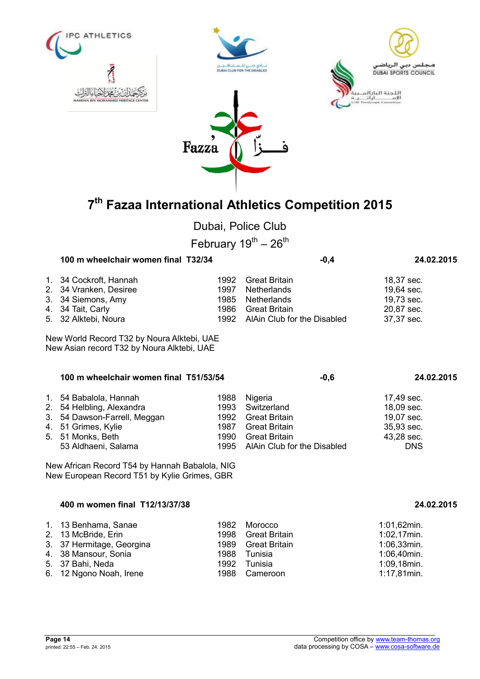

| 1. 34 Cockroft, Hannah |      | 1992 Great Britain               | 18,37 sec. |
|------------------------|------|----------------------------------|------------|
| 2. 34 Vranken, Desiree |      | 1997 Netherlands                 | 19,64 sec. |
| 3. 34 Siemons, Amy     |      | 1985 Netherlands                 | 19,73 sec. |
| 4. 34 Tait, Carly      | 1986 | Great Britain                    | 20,87 sec. |
| 5. 32 Alktebi, Noura   |      | 1992 AlAin Club for the Disabled | 37,37 sec. |

New World Record T32 by Noura Alktebi, UAE New Asian record T32 by Noura Alktebi, UAE

| 100 m wheelchair women final T51/53/54 | $-0,6$ | 24.02.2015                       |            |
|----------------------------------------|--------|----------------------------------|------------|
| 1. 54 Babalola, Hannah                 | 1988   | Nigeria                          | 17,49 sec. |
| 2. 54 Helbling, Alexandra              | 1993   | Switzerland                      | 18,09 sec. |
| 3. 54 Dawson-Farrell, Meggan           |        | 1992 Great Britain               | 19,07 sec. |
| 4. 51 Grimes, Kylie                    | 1987   | Great Britain                    | 35,93 sec. |
| 5. 51 Monks, Beth                      | 1990   | Great Britain                    | 43,28 sec. |
| 53 Aldhaeni, Salama                    |        | 1995 AlAin Club for the Disabled | <b>DNS</b> |

New African Record T54 by Hannah Babalola, NIG New European Record T51 by Kylie Grimes, GBR

### **400 m women final T12/13/37/38 24.02.2015**

| 1. 13 Benhama, Sanae      |      | 1982 Morocco       | 1:01,62min.    |
|---------------------------|------|--------------------|----------------|
| 2. 13 McBride, Erin       | 1998 | Great Britain      | $1:02,17$ min. |
| 3. 37 Hermitage, Georgina |      | 1989 Great Britain | $1:06,33$ min. |
| 4. 38 Mansour, Sonia      |      | 1988 Tunisia       | 1:06,40min.    |
| 5. 37 Bahi, Neda          | 1992 | Tunisia            | 1:09,18min.    |
| 6. 12 Ngono Noah, Irene   |      | 1988 Cameroon      | 1:17,81min.    |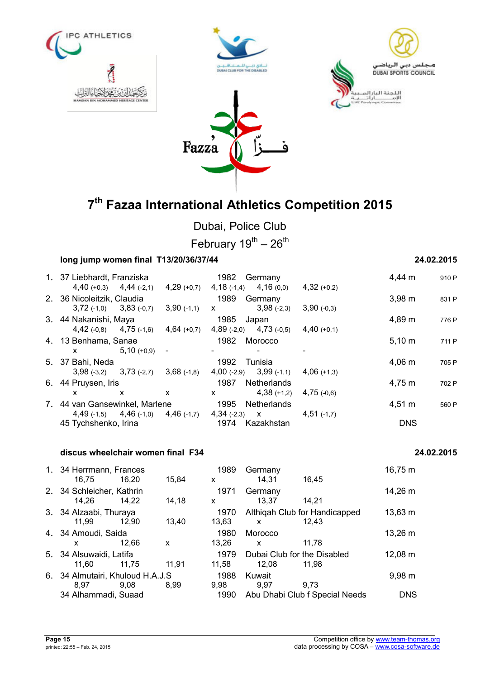







**7 th Fazaa International Athletics Competition 2015** 

Dubai, Police Club

February  $19^{th}$  –  $26^{th}$ 

## **long jump women final T13/20/36/37/44 24.02.2015**

|                      |              |                                                                                                                                                                                                                    |                                                                                                                                         |               |                                                                                                                                                                             |                | 910 P  |
|----------------------|--------------|--------------------------------------------------------------------------------------------------------------------------------------------------------------------------------------------------------------------|-----------------------------------------------------------------------------------------------------------------------------------------|---------------|-----------------------------------------------------------------------------------------------------------------------------------------------------------------------------|----------------|--------|
|                      |              | $4,29$ (+0,7)                                                                                                                                                                                                      |                                                                                                                                         |               | $4,32 (+0,2)$                                                                                                                                                               |                |        |
|                      |              |                                                                                                                                                                                                                    |                                                                                                                                         |               |                                                                                                                                                                             | $3,98 \; m$    | 831 P  |
|                      |              | $3,90$ (-1,1)                                                                                                                                                                                                      | X                                                                                                                                       | $3,98(-2,3)$  | $3,90(-0,3)$                                                                                                                                                                |                |        |
|                      |              |                                                                                                                                                                                                                    |                                                                                                                                         |               |                                                                                                                                                                             | 4,89 m         | 776 P  |
|                      |              | $4,64$ (+0,7)                                                                                                                                                                                                      |                                                                                                                                         |               | $4,40(+0,1)$                                                                                                                                                                |                |        |
|                      |              |                                                                                                                                                                                                                    |                                                                                                                                         |               |                                                                                                                                                                             | $5,10 \; m$    | 711 P  |
| X —                  | $5,10(+0,9)$ | $\blacksquare$                                                                                                                                                                                                     | ٠                                                                                                                                       |               |                                                                                                                                                                             |                |        |
|                      |              |                                                                                                                                                                                                                    | 1992                                                                                                                                    |               |                                                                                                                                                                             | $4,06 \; m$    | 705 P  |
|                      |              | $3,68$ (-1,8)                                                                                                                                                                                                      |                                                                                                                                         |               | $4,06(+1,3)$                                                                                                                                                                |                |        |
|                      |              |                                                                                                                                                                                                                    | 1987<br>Netherlands                                                                                                                     |               |                                                                                                                                                                             | 4,75 m         | 702 P  |
| x                    | X            | $\mathsf{x}$                                                                                                                                                                                                       | X.                                                                                                                                      | $4,38 (+1,2)$ | $4,75$ (-0,6)                                                                                                                                                               |                |        |
|                      |              |                                                                                                                                                                                                                    | 1995                                                                                                                                    |               |                                                                                                                                                                             | $4,51 \; m$    | 560 P  |
|                      |              |                                                                                                                                                                                                                    |                                                                                                                                         |               | $4,51$ (-1,7)                                                                                                                                                               |                |        |
| 45 Tychshenko, Irina |              |                                                                                                                                                                                                                    | 1974<br>Kazakhstan                                                                                                                      |               |                                                                                                                                                                             | <b>DNS</b>     |        |
|                      |              | 1. 37 Liebhardt, Franziska<br>$4,40 (+0,3)$ $4,44 (-2,1)$<br>2. 36 Nicoleitzik, Claudia<br>$3,72$ (-1,0) $3,83$ (-0,7)<br>3. 44 Nakanishi, Maya<br>4. 13 Benhama, Sanae<br>5. 37 Bahi, Neda<br>6. 44 Pruysen, Iris | $4,42$ (-0,8) $4,75$ (-1,6)<br>$3,98(-3,2)$ $3,73(-2,7)$<br>7. 44 van Gansewinkel, Marlene<br>$4,49$ (-1,5) $4,46$ (-1,0) $4,46$ (-1,7) | 1982          | Germany<br>$4,18$ (-1,4) $4,16$ (0,0)<br>1989 Germany<br>1985 Japan<br>$4,89$ (-2,0) $4,73$ (-0,5)<br>1982 Morocco<br>Tunisia<br>$4,00$ (-2,9) $3,99$ (-1,1)<br>Netherlands | $4,34(-2,3)$ X | 4,44 m |

### **discus wheelchair women final F34 24.02.2015**

## 1. 34 Herrmann, Frances 1989 Germany 16,75 m 16,75 16,20 15,84 x 14,31 16,45 2. 34 Schleicher, Kathrin 1971 Germany 14,26 m<br>14,26 14,22 14,18 x 13,37 14,21 14,26 14,22 14,18 x 13,37 14,21 3. 34 Alzaabi, Thuraya 1970 Althiqah Club for Handicapped 13,63 m 11,99 12,90 13,40 13,63 x 12,43 4. 34 Amoudi, Saida 1980 Morocco 13,26 m x 12,66 x 13,26 x 11,78 5. 34 Alsuwaidi, Latifa 1979 Dubai Club for the Disabled 12,08 m 11,60 11,75 11,91 11,58 12,08 11,98 6. 34 Almutairi, Khuloud H.A.J.S 1988 Kuwait 9,98 m 8,97 9,08 8,99 9,98 9,97 9,73 34 Alhammadi, Suaad 1990 Abu Dhabi Club f Special Needs DNS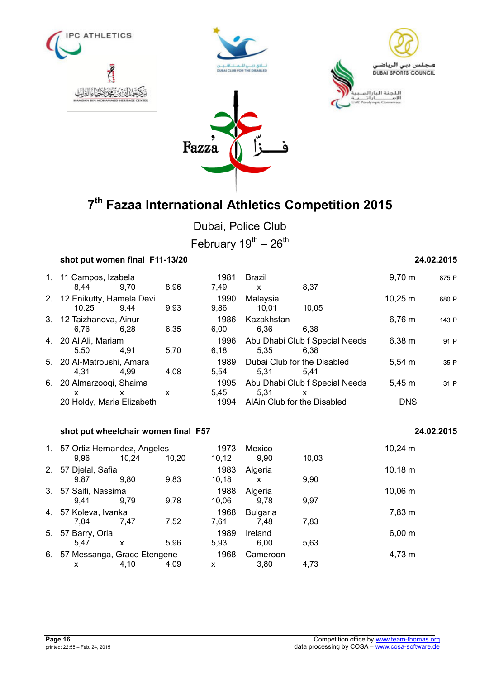







Dubai, Police Club

February  $19^{th} - 26^{th}$ 

| shot put women final F11-13/20       |      |      | 24.02.2015   |                               |                                        |              |            |
|--------------------------------------|------|------|--------------|-------------------------------|----------------------------------------|--------------|------------|
| 1. 11 Campos, Izabela<br>8.44        | 9.70 | 8,96 | 1981<br>7,49 | <b>Brazil</b><br>$\mathsf{x}$ | 8,37                                   | $9,70 \; m$  | 875 P      |
| 2. 12 Enikutty, Hamela Devi<br>10,25 | 9.44 | 9,93 | 1990<br>9,86 | Malaysia<br>10,01             | 10,05                                  | $10,25 \; m$ | 680 P      |
| 3. 12 Taizhanova, Ainur<br>6,76      | 6,28 | 6,35 | 1986<br>6,00 | Kazakhstan<br>6,36            | 6,38                                   | $6,76 \; m$  | 143 P      |
| 4. 20 Al Ali, Mariam<br>5.50         | 4,91 | 5,70 | 1996<br>6,18 | 5,35                          | Abu Dhabi Club f Special Needs<br>6.38 | $6,38 \; m$  | 91 P       |
| 5. 20 Al-Matroushi, Amara<br>4.31    | 4.99 | 4,08 | 1989<br>5.54 | 5.31                          | Dubai Club for the Disabled<br>5,41    | $5,54 \; m$  | 35 P       |
| 6. 20 Almarzooqi, Shaima<br>X.       | X.   | X    | 1995<br>5.45 | 5.31                          | Abu Dhabi Club f Special Needs<br>X    | $5,45 \; m$  | 31 P       |
| 20 Holdy, Maria Elizabeth            |      |      | 1994         |                               | AlAin Club for the Disabled            | <b>DNS</b>   |            |
| shot put wheelchair women final F57  |      |      |              |                               |                                        |              | 24.02.2015 |
|                                      |      |      |              |                               |                                        |              |            |

|    | 1. 57 Ortiz Hernandez, Angeles<br>9,96 | 10.24 | 10,20 | 1973<br>10, 12 | Mexico<br>9.90          | 10,03 | $10,24 \; m$ |
|----|----------------------------------------|-------|-------|----------------|-------------------------|-------|--------------|
| 2. | 57 Djelal, Safia<br>9.87               | 9,80  | 9,83  | 1983<br>10, 18 | Algeria<br>x            | 9,90  | $10,18 \; m$ |
|    | 3. 57 Saifi, Nassima<br>9.41           | 9.79  | 9,78  | 1988<br>10.06  | Algeria<br>9,78         | 9,97  | 10,06 m      |
|    | 4. 57 Koleva, Ivanka<br>7.04           | 7.47  | 7,52  | 1968<br>7,61   | <b>Bulgaria</b><br>7.48 | 7,83  | 7,83 m       |
|    | 5. 57 Barry, Orla<br>5.47              | X     | 5.96  | 1989<br>5,93   | Ireland<br>6.00         | 5,63  | $6,00 \; m$  |
|    | 6. 57 Messanga, Grace Etengene<br>х    | 4,10  | 4.09  | 1968<br>x      | Cameroon<br>3.80        | 4,73  | 4,73 m       |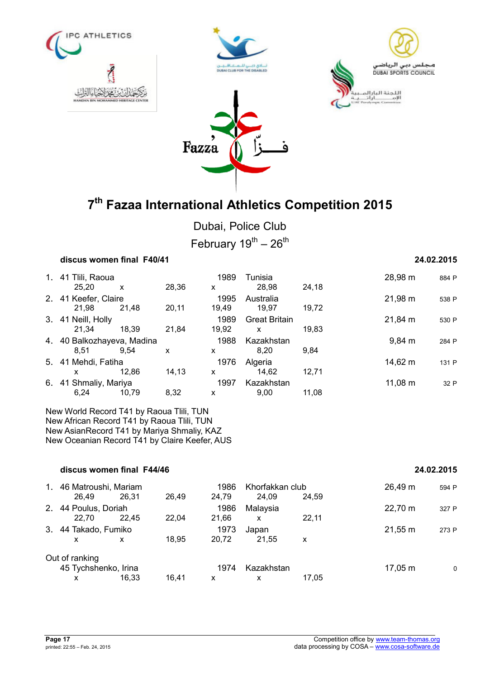







Dubai, Police Club

February  $19^{th} - 26^{th}$ 

|    | discus women final F40/41          |                    |       | 24.02.2015 |                      |       |                    |       |
|----|------------------------------------|--------------------|-------|------------|----------------------|-------|--------------------|-------|
|    | 1. 41 Tiili, Raoua                 |                    |       | 1989       | Tunisia              |       | 28,98 m            | 884 P |
|    | 25.20                              | X                  | 28,36 | X          | 28,98                | 24,18 |                    |       |
|    | 2. 41 Keefer, Claire               |                    |       | 1995       | Australia            |       | 21,98 m            | 538 P |
|    | 21.98                              | 21.48              | 20,11 | 19.49      | 19.97                | 19.72 |                    |       |
|    | 3. 41 Neill, Holly                 |                    |       | 1989       | <b>Great Britain</b> |       | 21,84 m            | 530 P |
|    | 21.34                              | 18.39              | 21.84 | 19,92      | X                    | 19.83 |                    |       |
|    | 4. 40 Balkozhayeva, Madina<br>1988 |                    |       |            | Kazakhstan           |       | $9,84 \, \text{m}$ | 284 P |
|    | 8.51                               | 9.54               | X     | X          | 8.20                 | 9.84  |                    |       |
|    | 5. 41 Mehdi, Fatiha                |                    |       | 1976       | Algeria              |       | 14,62 m            | 131 P |
|    | X                                  | 12.86              | 14,13 | x          | 14.62                | 12,71 |                    |       |
| 6. |                                    | 41 Shmaliy, Mariya |       |            | Kazakhstan           |       | $11,08 \; m$       | 32 P  |
|    | 6,24                               | 10,79              | 8,32  | X          | 9.00                 | 11.08 |                    |       |

New World Record T41 by Raoua Tlili, TUN New African Record T41 by Raoua Tlili, TUN New AsianRecord T41 by Mariya Shmaliy, KAZ New Oceanian Record T41 by Claire Keefer, AUS

|                | discus women final F44/46 |                      |       | 24.02.2015 |                 |       |              |       |
|----------------|---------------------------|----------------------|-------|------------|-----------------|-------|--------------|-------|
| $\mathbf{1}$ . | 46 Matroushi, Mariam      |                      |       | 1986       | Khorfakkan club |       | 26,49 m      | 594 P |
|                | 26.49                     | 26.31                | 26,49 | 24,79      | 24.09           | 24.59 |              |       |
|                |                           | 2. 44 Poulus, Doriah |       | 1986       | Malaysia        |       | 22,70 m      | 327 P |
|                | 22.70                     | 22.45                | 22.04 | 21,66      | X               | 22.11 |              |       |
|                | 3. 44 Takado, Fumiko      |                      |       | 1973       | Japan           |       | $21,55 \; m$ | 273 P |
|                | x                         | x                    | 18,95 | 20,72      | 21.55           | X     |              |       |
|                | Out of ranking            |                      |       |            |                 |       |              |       |
|                | 45 Tychshenko, Irina      |                      |       | 1974       | Kazakhstan      |       | $17,05 \; m$ | 0     |
|                | x                         | 16.33                | 16.41 | x          | X               | 17.05 |              |       |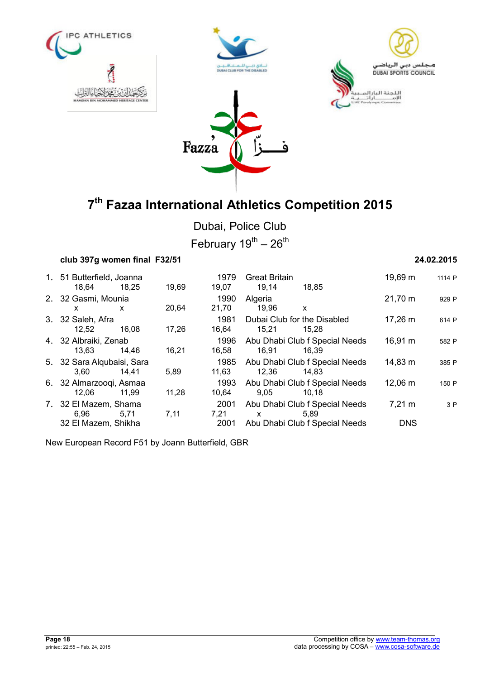







Dubai, Police Club

February  $19^{th} - 26^{th}$ 

| club 397g women final F32/51 |       |       |               |                                | 24.02.2015       |        |  |
|------------------------------|-------|-------|---------------|--------------------------------|------------------|--------|--|
| 1. 51 Butterfield, Joanna    |       |       | 1979          | <b>Great Britain</b>           | 19,69 m          | 1114 P |  |
| 18,64<br>2. 32 Gasmi, Mounia | 18.25 | 19,69 | 19,07<br>1990 | 19,14<br>18,85<br>Algeria      | 21,70 m          | 929 P  |  |
| X.                           | x     | 20,64 | 21,70         | 19,96<br>X                     |                  |        |  |
| 3. 32 Saleh, Afra            |       |       | 1981          | Dubai Club for the Disabled    | 17,26 m          | 614 P  |  |
| 12,52                        | 16.08 | 17,26 | 16,64         | 15,21<br>15.28                 |                  |        |  |
| 4. 32 Albraiki, Zenab        |       |       | 1996          | Abu Dhabi Club f Special Needs | 16,91 m          | 582 P  |  |
| 13.63                        | 14.46 | 16,21 | 16,58         | 16.91<br>16.39                 |                  |        |  |
| 5. 32 Sara Alqubaisi, Sara   |       |       | 1985          | Abu Dhabi Club f Special Needs | 14,83 m          | 385 P  |  |
| 3.60                         | 14.41 | 5,89  | 11,63         | 12,36<br>14.83                 |                  |        |  |
| 6. 32 Almarzooqi, Asmaa      |       |       | 1993          | Abu Dhabi Club f Special Needs | 12,06 m          | 150 P  |  |
| 12,06                        | 11.99 | 11,28 | 10,64         | 9,05<br>10.18                  |                  |        |  |
| 7. 32 El Mazem, Shama        |       |       | 2001          | Abu Dhabi Club f Special Needs | $7,21 \text{ m}$ | 3P     |  |
| 6.96                         | 5.71  | 7,11  | 7,21          | 5.89<br>$\mathsf{x}$           |                  |        |  |
| 32 El Mazem, Shikha          |       |       | 2001          | Abu Dhabi Club f Special Needs | <b>DNS</b>       |        |  |

New European Record F51 by Joann Butterfield, GBR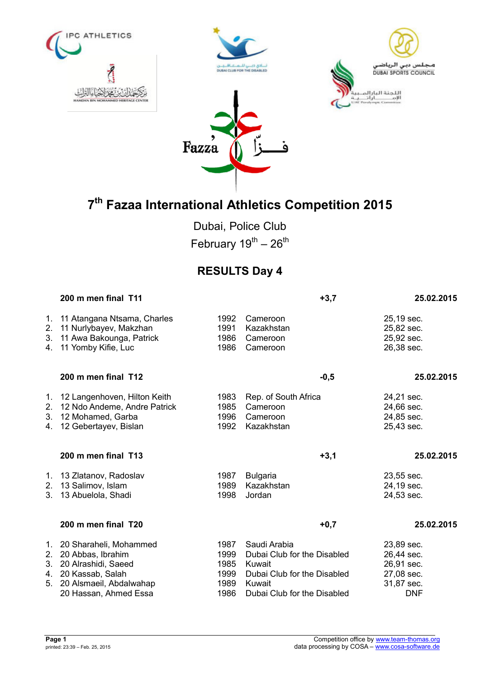







Dubai, Police Club February  $19^{th} - 26^{th}$ 

# **RESULTS Day 4**

|                      | 200 m men final T11                                                                                                                           |                                              | $+3,7$                                                                                                                        | 25.02.2015                                                                       |
|----------------------|-----------------------------------------------------------------------------------------------------------------------------------------------|----------------------------------------------|-------------------------------------------------------------------------------------------------------------------------------|----------------------------------------------------------------------------------|
| 1.<br>2.<br>3.<br>4. | 11 Atangana Ntsama, Charles<br>11 Nurlybayev, Makzhan<br>11 Awa Bakounga, Patrick<br>11 Yomby Kifie, Luc                                      | 1992<br>1991<br>1986<br>1986                 | Cameroon<br>Kazakhstan<br>Cameroon<br>Cameroon                                                                                | 25,19 sec.<br>25,82 sec.<br>25,92 sec.<br>26,38 sec.                             |
|                      | 200 m men final T12                                                                                                                           |                                              | $-0,5$                                                                                                                        | 25.02.2015                                                                       |
| 1.<br>2.<br>3.<br>4. | 12 Langenhoven, Hilton Keith<br>12 Ndo Andeme, Andre Patrick<br>12 Mohamed, Garba<br>12 Gebertayev, Bislan                                    | 1983<br>1985<br>1996<br>1992                 | Rep. of South Africa<br>Cameroon<br>Cameroon<br>Kazakhstan                                                                    | 24,21 sec.<br>24,66 sec.<br>24,85 sec.<br>25,43 sec.                             |
|                      | 200 m men final T13                                                                                                                           |                                              | $+3,1$                                                                                                                        | 25.02.2015                                                                       |
| 1.<br>2.<br>3.       | 13 Zlatanov, Radoslav<br>13 Salimov, Islam<br>13 Abuelola, Shadi                                                                              | 1987<br>1989<br>1998                         | <b>Bulgaria</b><br>Kazakhstan<br>Jordan                                                                                       | 23,55 sec.<br>24,19 sec.<br>24,53 sec.                                           |
|                      | 200 m men final T20                                                                                                                           |                                              | $+0,7$                                                                                                                        | 25.02.2015                                                                       |
| 1.<br>2.<br>3.<br>5. | 20 Sharaheli, Mohammed<br>20 Abbas, Ibrahim<br>20 Alrashidi, Saeed<br>4. 20 Kassab, Salah<br>20 Alsmaeil, Abdalwahap<br>20 Hassan, Ahmed Essa | 1987<br>1999<br>1985<br>1999<br>1989<br>1986 | Saudi Arabia<br>Dubai Club for the Disabled<br>Kuwait<br>Dubai Club for the Disabled<br>Kuwait<br>Dubai Club for the Disabled | 23,89 sec.<br>26,44 sec.<br>26,91 sec.<br>27,08 sec.<br>31,87 sec.<br><b>DNF</b> |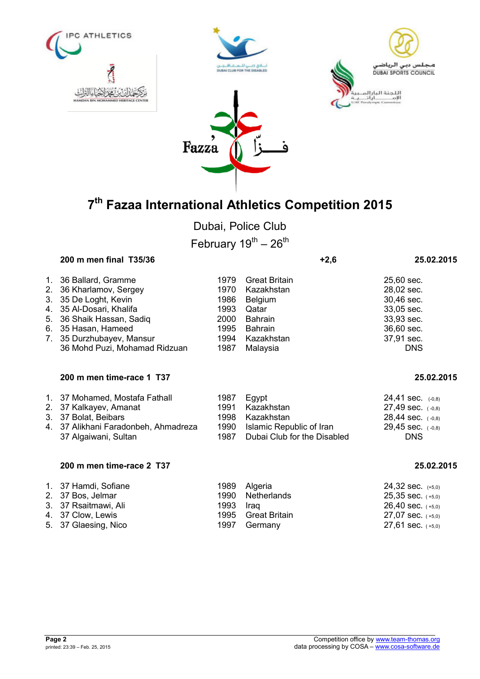







Dubai, Police Club February  $19^{th} - 26^{th}$ 

## **200 m men final T35/36 +2,6 25.02.2015**

| 3. 35 De Loght, Kevin<br>30,46 sec.<br>1986<br>Belgium<br>4. 35 Al-Dosari, Khalifa<br>33,05 sec.<br>1993<br>Qatar<br>5. 36 Shaik Hassan, Sadiq<br>33,93 sec.<br>Bahrain<br>2000<br>6. 35 Hasan, Hameed<br>1995 Bahrain<br>36,60 sec.<br>7. 35 Durzhubayev, Mansur<br>37,91 sec.<br>1994 Kazakhstan | 28,02 sec. |
|----------------------------------------------------------------------------------------------------------------------------------------------------------------------------------------------------------------------------------------------------------------------------------------------------|------------|
| 36 Mohd Puzi, Mohamad Ridzuan<br>Malaysia<br><b>DNS</b><br>1987                                                                                                                                                                                                                                    |            |

## **200 m men time-race 1 T37 25.02.2015**

| 1. 37 Mohamed, Mostafa Fathall<br>1987 Egypt<br>24,41 sec. (-0,8)<br>2. 37 Kalkayev, Amanat<br>1991 Kazakhstan<br>$27,49$ sec. $(-0,8)$<br>3. 37 Bolat, Beibars<br>1998 Kazakhstan<br>$28,44$ sec. $(-0,8)$<br>4. 37 Alikhani Faradonbeh, Ahmadreza<br>1990 Islamic Republic of Iran<br>$29,45$ sec. $(-0,8)$<br>1987 Dubai Club for the Disabled<br>37 Algaiwani, Sultan<br><b>DNS</b> |  |
|-----------------------------------------------------------------------------------------------------------------------------------------------------------------------------------------------------------------------------------------------------------------------------------------------------------------------------------------------------------------------------------------|--|
|-----------------------------------------------------------------------------------------------------------------------------------------------------------------------------------------------------------------------------------------------------------------------------------------------------------------------------------------------------------------------------------------|--|

## **200 m men time-race 2 T37 25.02.2015**

| 1. 37 Hamdi, Sofiane |           | 1989 Algeria       | $24,32$ sec. $(+5,0)$ |
|----------------------|-----------|--------------------|-----------------------|
| 2. 37 Bos, Jelmar    |           | 1990 Netherlands   | $25,35$ sec. $(+5,0)$ |
| 3. 37 Rsaitmawi, Ali | 1993 Iraq |                    | $26,40$ sec. $(+5,0)$ |
| 4. 37 Clow, Lewis    |           | 1995 Great Britain | $27,07$ sec. $(+5,0)$ |
| 5. 37 Glaesing, Nico |           | 1997 Germany       | $27,61$ sec. $(+5,0)$ |

| 25.02.2 |
|---------|
|         |

| Page 2 |                                |  |
|--------|--------------------------------|--|
|        | printed: 23:39 - Feb. 25, 2015 |  |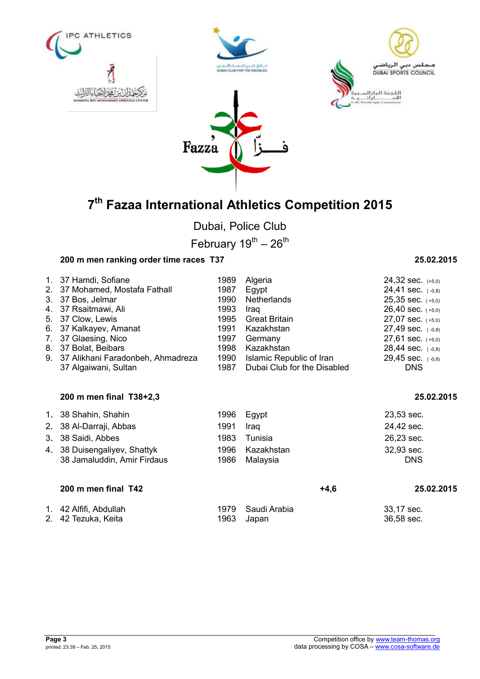







Dubai, Police Club

February  $19^{th} - 26^{th}$ 

# **200 m men ranking order time races T37 25.02.2015**

| 1. 37 Hamdi, Sofiane                 | 1989 | Algeria                     | $24,32$ sec. $(+5,0)$ |
|--------------------------------------|------|-----------------------------|-----------------------|
| 2. 37 Mohamed, Mostafa Fathall       | 1987 | Egypt                       | 24,41 sec. $(-0,8)$   |
| 3. 37 Bos, Jelmar                    | 1990 | Netherlands                 | $25,35$ sec. $(+5,0)$ |
| 4. 37 Rsaitmawi, Ali                 | 1993 | Iraq                        | $26,40$ sec. $(+5,0)$ |
| 5. 37 Clow, Lewis                    | 1995 | Great Britain               | $27,07$ sec. $(+5,0)$ |
| 6. 37 Kalkayev, Amanat               | 1991 | Kazakhstan                  | $27,49$ sec. $(-0,8)$ |
| 7. 37 Glaesing, Nico                 | 1997 | Germany                     | $27,61$ sec. $(+5,0)$ |
| 8. 37 Bolat, Beibars                 | 1998 | Kazakhstan                  | $28,44$ sec. $(-0,8)$ |
| 9. 37 Alikhani Faradonbeh, Ahmadreza | 1990 | Islamic Republic of Iran    | $29,45$ sec. $(-0,8)$ |
| 37 Algaiwani, Sultan                 | 1987 | Dubai Club for the Disabled | <b>DNS</b>            |

## **200 m men final T38+2,3 25.02.2015**

| 1. 38 Shahin, Shahin         |      | 1996 Egypt      | $23,53$ sec. |
|------------------------------|------|-----------------|--------------|
| 2. 38 Al-Darraji, Abbas      | 1991 | Iraq            | 24,42 sec.   |
| 3. 38 Saidi, Abbes           | 1983 | Tunisia         | 26,23 sec.   |
| 4. 38 Duisengaliyev, Shattyk |      | 1996 Kazakhstan | 32,93 sec.   |
| 38 Jamaluddin, Amir Firdaus  |      | 1986 Malaysia   | <b>DNS</b>   |
|                              |      |                 |              |

| 200 m men final T42                               |                      | +4.6 | 25.02.2015  |
|---------------------------------------------------|----------------------|------|-------------|
|                                                   |                      |      |             |
| $\lambda$ and $\Lambda$ is the state of $\Lambda$ | $1070$ $0.13$ $1.12$ |      | $00.47 - 1$ |

| 1. 42 Alfifi, Abdullah | 1979 Saudi Arabia | 33,17 sec. |
|------------------------|-------------------|------------|
| 2. 42 Tezuka, Keita    | 1963 Japan        | 36,58 sec. |

| Page 3 |                                |
|--------|--------------------------------|
|        | printed: 23:39 - Feb. 25, 2015 |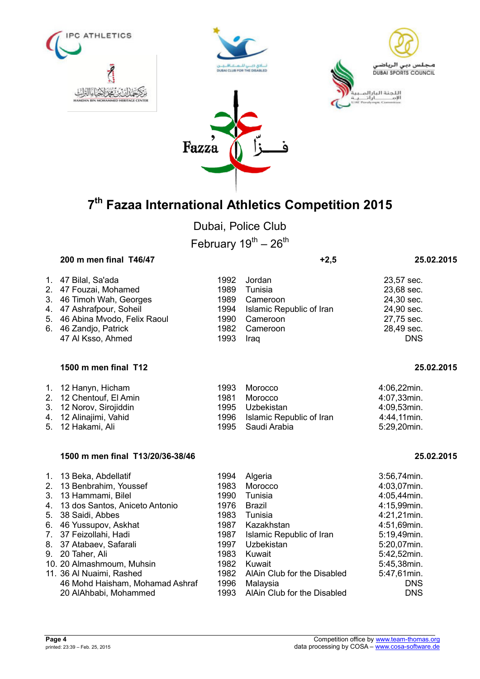







Dubai, Police Club February  $19^{th} - 26^{th}$ 

## **200 m men final T46/47 +2,5 25.02.2015**

| 1. 47 Bilal, Sa'ada<br>2. 47 Fouzai, Mohamed<br>3. 46 Timoh Wah, Georges<br>4. 47 Ashrafpour, Soheil<br>5. 46 Abina Mvodo, Felix Raoul<br>6. 46 Zandjo, Patrick | 1989      | 1992 Jordan<br>Tunisia<br>1989 Cameroon<br>1994 Islamic Republic of Iran<br>1990 Cameroon<br>1982 Cameroon | 23,57 sec.<br>23,68 sec.<br>24,30 sec.<br>24,90 sec.<br>27,75 sec.<br>28,49 sec. |
|-----------------------------------------------------------------------------------------------------------------------------------------------------------------|-----------|------------------------------------------------------------------------------------------------------------|----------------------------------------------------------------------------------|
| 47 Al Ksso, Ahmed                                                                                                                                               | 1993 Iraq |                                                                                                            | <b>DNS</b>                                                                       |

### **1500 m men final T12 25.02.2015**

| 1. 12 Hanyn, Hicham     | 1993 | Morocco                       | 4:06,22min. |
|-------------------------|------|-------------------------------|-------------|
|                         |      |                               |             |
| 2. 12 Chentouf, El Amin | 1981 | Morocco                       | 4:07,33min. |
| 3. 12 Norov, Sirojiddin |      | 1995 Uzbekistan               | 4:09,53min. |
| 4. 12 Alinajimi, Vahid  |      | 1996 Islamic Republic of Iran | 4:44,11min. |
| 5. 12 Hakami, Ali       |      | 1995 Saudi Arabia             | 5:29,20min. |

## **1500 m men final T13/20/36-38/46 25.02.2015**

| 1. 13 Beka, Abdellatif            | 1994 | Algeria                     | $3:56,74$ min. |
|-----------------------------------|------|-----------------------------|----------------|
| 2. 13 Benbrahim, Youssef          | 1983 | Morocco                     | 4:03,07min.    |
| 3. 13 Hammami, Bilel              | 1990 | Tunisia                     | 4:05,44min.    |
| 4. 13 dos Santos, Aniceto Antonio | 1976 | Brazil                      | 4:15,99min.    |
| 5. 38 Saidi, Abbes                | 1983 | Tunisia                     | 4:21,21min.    |
| 6. 46 Yussupov, Askhat            | 1987 | Kazakhstan                  | 4:51,69min.    |
| 7. 37 Feizollahi, Hadi            | 1987 | Islamic Republic of Iran    | 5:19,49min.    |
| 8. 37 Atabaev, Safarali           | 1997 | Uzbekistan                  | 5:20,07min.    |
| 9. 20 Taher, Ali                  | 1983 | Kuwait                      | 5:42,52min.    |
| 10. 20 Almashmoum, Muhsin         | 1982 | Kuwait                      | 5:45,38min.    |
| 11. 36 Al Nuaimi, Rashed          | 1982 | AlAin Club for the Disabled | 5:47,61min.    |
| 46 Mohd Haisham, Mohamad Ashraf   | 1996 | Malaysia                    | <b>DNS</b>     |
| 20 AlAhbabi, Mohammed             | 1993 | AlAin Club for the Disabled | <b>DNS</b>     |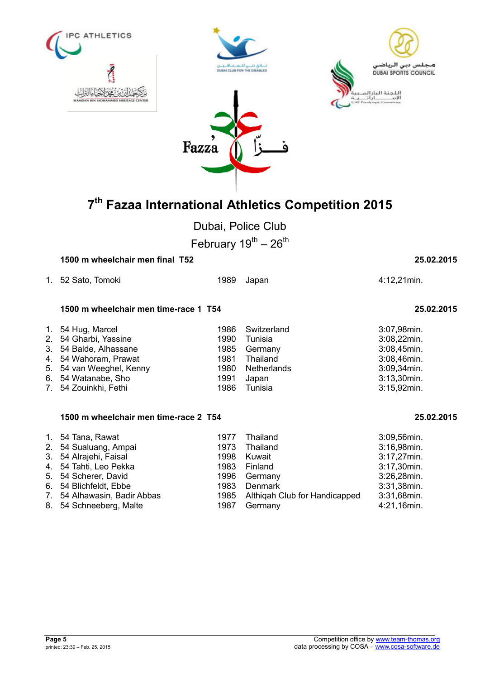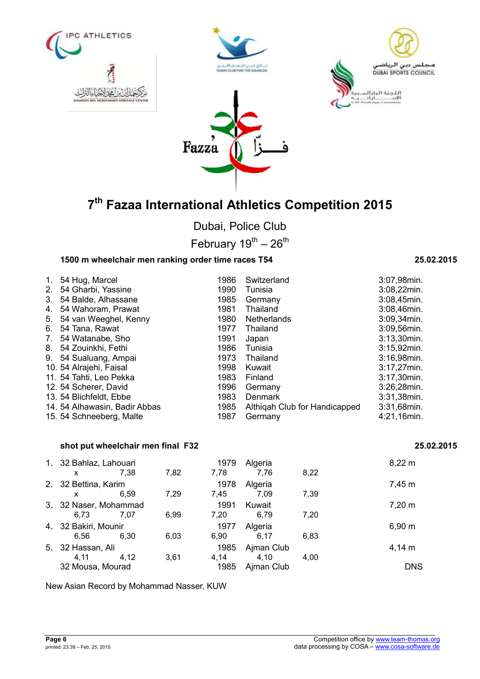







Dubai, Police Club

February  $19^{th} - 26^{th}$ 

## **1500 m wheelchair men ranking order time races T54 25.02.2015**

| $1_{-}$ | 54 Hug, Marcel                | 1986 | Switzerland                   | 3:07,98min.    |
|---------|-------------------------------|------|-------------------------------|----------------|
| 2.      | 54 Gharbi, Yassine            | 1990 | Tunisia                       | 3:08,22min.    |
| 3.      | 54 Balde, Alhassane           | 1985 | Germany                       | 3:08,45min.    |
| 4.      | 54 Wahoram, Prawat            | 1981 | Thailand                      | 3:08,46min.    |
| 5.      | 54 van Weeghel, Kenny         | 1980 | Netherlands                   | $3:09,34$ min. |
| 6.      | 54 Tana, Rawat                | 1977 | Thailand                      | 3:09,56min.    |
| 7.      | 54 Watanabe, Sho              | 1991 | Japan                         | $3:13,30$ min. |
| 8.      | 54 Zouinkhi, Fethi            | 1986 | Tunisia                       | 3:15,92min.    |
| 9.      | 54 Sualuang, Ampai            | 1973 | Thailand                      | $3:16,98$ min. |
|         | 10. 54 Alrajehi, Faisal       | 1998 | Kuwait                        | $3:17,27$ min. |
|         | 11. 54 Tahti, Leo Pekka       | 1983 | Finland                       | 3:17,30min.    |
|         | 12. 54 Scherer, David         | 1996 | Germany                       | 3:26,28min.    |
|         | 13. 54 Blichfeldt, Ebbe       | 1983 | Denmark                       | 3:31,38min.    |
|         | 14. 54 Alhawasin, Badir Abbas | 1985 | Althigah Club for Handicapped | 3:31,68min.    |
|         | 15. 54 Schneeberg, Malte      | 1987 | Germany                       | 4:21,16min.    |

## **shot put wheelchair men final F32 25.02.2015**

| 1. 32 Bahlaz, Lahouari<br>X                   | 7.38 | 7,82 | 1979<br>7,78         | Algeria<br>7,76                  | 8,22 | $8,22 \, m$               |
|-----------------------------------------------|------|------|----------------------|----------------------------------|------|---------------------------|
| 2. 32 Bettina, Karim<br>x                     | 6.59 | 7,29 | 1978<br>7.45         | Algeria<br>7.09                  | 7,39 | 7,45 m                    |
| 3. 32 Naser, Mohammad<br>6.73                 | 7.07 | 6.99 | 1991<br>7.20         | Kuwait<br>6,79                   | 7.20 | $7,20 \; m$               |
| 4. 32 Bakiri, Mounir<br>6.56                  | 6.30 | 6,03 | 1977<br>6,90         | Algeria<br>6.17                  | 6.83 | 6,90 m                    |
| 5. 32 Hassan, Ali<br>4.11<br>32 Mousa, Mourad | 4,12 | 3,61 | 1985<br>4,14<br>1985 | Ajman Club<br>4,10<br>Ajman Club | 4.00 | $4,14 \; m$<br><b>DNS</b> |

New Asian Record by Mohammad Nasser, KUW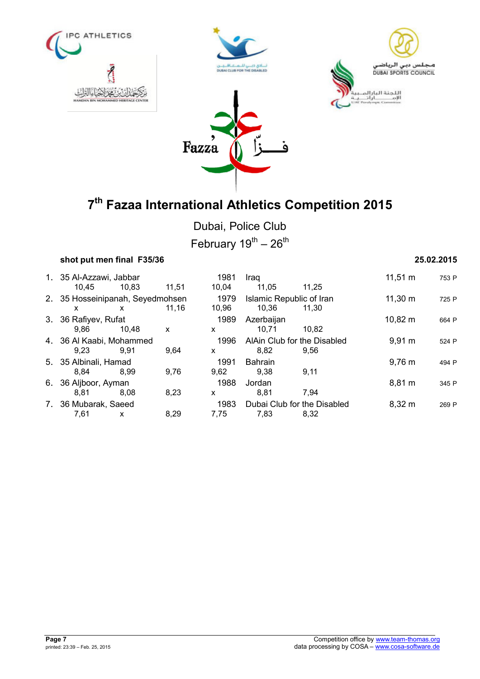







Dubai, Police Club February  $19^{\text{th}} - 26^{\text{th}}$ 

### **shot put men final F35/36 25.02.2015**

1. 35 Al-Azzawi, Jabbar 1981 Iraq 11,51 m <sup>753</sup> <sup>P</sup> 10,45 10,83 11,51 10,04 11,05 11,25 2. 35 Hosseinipanah, Seyedmohsen 1979 Islamic Republic of Iran 11,30 m 725 P<br>x x 11,16 10,96 10.36 11,30 x x 11,16 10,96 10,36 11,30 3. 36 Rafiyev, Rufat 1989 Azerbaijan 10,82 m <sup>664</sup> <sup>P</sup> 9,86 10,48 x x 10,71 10,82 4. 36 Al Kaabi, Mohammed 1996 AlAin Club for the Disabled 9,91 m 524 P<br>9.23 9.91 9.64 x 8.82 9.56 9,23 9,91 9,64 x 8,82 9,56 5. 35 Albinali, Hamad 1991 Bahrain 9,76 m <sup>494</sup> <sup>P</sup> 8,84 8,99 9,76 9,62 9,38 9,11 6. 36 Aljboor, Ayman 1988 Jordan 8,81 m <sup>345</sup> <sup>P</sup> 8,81 8,08 8,23 x 8,81 7,94 7. 36 Mubarak, Saeed 1983 Dubai Club for the Disabled 8,32 m 269 P 7,61 x 8,29 7,75 7,83 8,32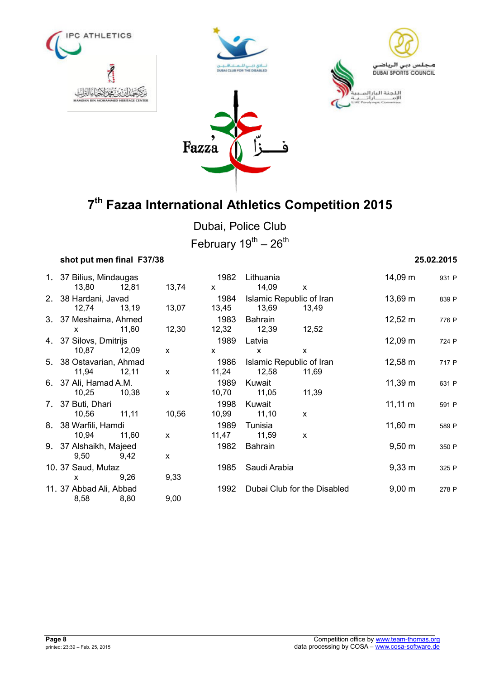







Dubai, Police Club

February  $19^{th}$  –  $26^{th}$ 

## **shot put men final F37/38 25.02.2015**

1. 37 Bilius, Mindaugas 1982 Lithuania 14,09 m <sup>931</sup> <sup>P</sup> 13,80 12,81 13,74 x 14,09 x 2. 38 Hardani, Javad 1984 Islamic Republic of Iran 13,69 m <sup>839</sup> <sup>P</sup> 12,74 13,19 13,07 13,45 13,69 13,49 3. 37 Meshaima, Ahmed 1983 Bahrain 12,52 m <sup>776</sup> <sup>P</sup> x 11,60 12,30 12,32 12,39 12,52 4. 37 Silovs, Dmitrijs 1989 Latvia 12,09 m <sup>724</sup> <sup>P</sup> 10,87 12,09 x x x x 5. 38 Ostavarian, Ahmad 1986 Islamic Republic of Iran 12,58 m 717 P 11,94 12,11 x 11,24 12,58 11,69 6. 37 Ali, Hamad A.M. 1989 Kuwait 11,39 m <sup>631</sup> <sup>P</sup> 10,25 10,38 x 10,70 11,05 11,39 7. 37 Buti, Dhari 1998 Kuwait 1998 Kuwait 11,11 m 591 P 10,56 11,11 10,56 10,99 11,10 x 8. 38 Warfili, Hamdi 1989 Tunisia 11,60 m <sup>589</sup> <sup>P</sup> 10,94 11,60 x 11,47 11,59 x 9. 37 Alshaikh, Majeed 1982 Bahrain 1982 Bahrain 9.50 m 350 P 9,50 9,42 x 10. 37 Saud, Mutaz 1985 Saudi Arabia 1985 Saudi Arabia 10. 37 Saudi Arabia 325 P x 9,26 9,33 11. 37 Abbad Ali, Abbad 1992 Dubai Club for the Disabled 9,00 m 278 P 8,58 8,80 9,00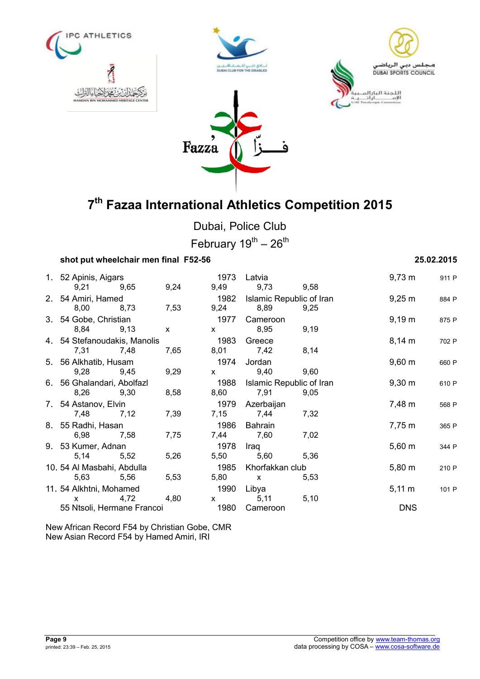







Dubai, Police Club

February  $19^{th}$  –  $26^{th}$ 

## **shot put wheelchair men final F52-56 25.02.2015**

1. 52 Apinis, Aigars 1973 Latvia 9,73 m <sup>911</sup> <sup>P</sup> 9,21 9,65 9,24 9,49 9,73 9,58 2. 54 Amiri, Hamed 1982 Islamic Republic of Iran 9,25 m <sup>884</sup> <sup>P</sup> 8,00 8,73 7,53 9,24 8,89 9,25 3. 54 Gobe, Christian 1977 Cameroon 9,19 m <sup>875</sup> <sup>P</sup> 8,84 9,13 x x 8,95 9,19 4. 54 Stefanoudakis, Manolis 1983 Greece 8,14 m <sup>702</sup> <sup>P</sup> 7,31 7,48 7,65 8,01 7,42 8,14 5. 56 Alkhatib, Husam 1974 Jordan 9,60 m <sup>660</sup> <sup>P</sup> 9,28 9,45 9,29 x 9,40 9,60 6. 56 Ghalandari, Abolfazl 1988 Islamic Republic of Iran 9,30 m <sup>610</sup> <sup>P</sup> 8,26 9,30 8,58 8,60 7,91 9,05 7. 54 Astanov, Elvin and the same server of the 1979 Azerbaijan and the server of the 1979 Azerbaijan and the  $7,48 \text{ m}$  568 P 7,48 7,12 7,39 7,15 7,44 7,32 8. 55 Radhi, Hasan 1986 Bahrain 7,75 m <sup>365</sup> <sup>P</sup> 6,98 7,58 7,75 7,44 7,60 7,02 9. 53 Kumer, Adnan 1978 Iraq 5,60 m <sup>344</sup> <sup>P</sup> 5,14 5,52 5,26 5,50 5,60 5,36 10. 54 Al Masbahi, Abdulla 1985 Khorfakkan club 5,80 m <sup>210</sup> <sup>P</sup> 5,63 5,56 5,53 5,80 x 5,53 11. 54 Alkhtni, Mohamed<br>
x
4,72
4,80
<br>
5,11
55,10
<br>
5,10
5 x 4,72 4,80 x 5,11 5,10 55 Ntsoli, Hermane Francoi 1980 Cameroon DNS

New African Record F54 by Christian Gobe, CMR New Asian Record F54 by Hamed Amiri, IRI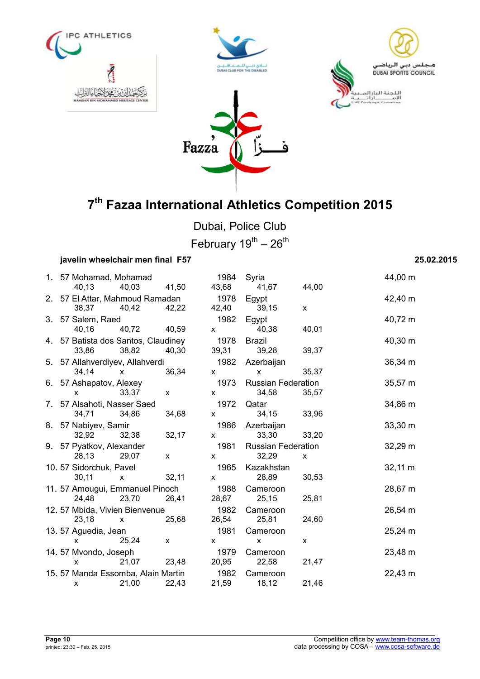







Dubai, Police Club February  $19^{th} - 26^{th}$ 

## **javelin wheelchair men final F57 25.02.2015**

| 1. 57 Mohamad, Mohamad                     |              | 1984                                                                                                                                                                                                                                                                                             | Syria                                                                                                                                                                                                                                                                                            |              | 44,00 m |
|--------------------------------------------|--------------|--------------------------------------------------------------------------------------------------------------------------------------------------------------------------------------------------------------------------------------------------------------------------------------------------|--------------------------------------------------------------------------------------------------------------------------------------------------------------------------------------------------------------------------------------------------------------------------------------------------|--------------|---------|
| 40,13<br>40,03 41,50                       |              | 43,68                                                                                                                                                                                                                                                                                            | 41,67 44,00                                                                                                                                                                                                                                                                                      |              |         |
| 2. 57 El Attar, Mahmoud Ramadan            |              | 1978 Egypt                                                                                                                                                                                                                                                                                       |                                                                                                                                                                                                                                                                                                  |              | 42,40 m |
| 38,37 40,42 42,22                          |              |                                                                                                                                                                                                                                                                                                  | 42,40 39,15                                                                                                                                                                                                                                                                                      | X            |         |
| 3. 57 Salem, Raed                          |              | 1982                                                                                                                                                                                                                                                                                             | Egypt                                                                                                                                                                                                                                                                                            |              | 40,72 m |
| 40,16<br>40,72 40,59                       |              | $\mathsf{X}$ and $\mathsf{X}$ and $\mathsf{X}$ are the set of $\mathsf{X}$                                                                                                                                                                                                                       | 40,38                                                                                                                                                                                                                                                                                            | 40,01        |         |
| 4. 57 Batista dos Santos, Claudiney        |              | 1978 Brazil                                                                                                                                                                                                                                                                                      |                                                                                                                                                                                                                                                                                                  |              | 40,30 m |
| 33,86 38,82                                | 40,30        |                                                                                                                                                                                                                                                                                                  | 39,31 39,28                                                                                                                                                                                                                                                                                      | 39,37        |         |
| 5. 57 Allahverdiyev, Allahverdi            |              |                                                                                                                                                                                                                                                                                                  | 1982 Azerbaijan                                                                                                                                                                                                                                                                                  |              | 36,34 m |
| $34,14 \times$                             | 36,34        | $\mathsf{X}$                                                                                                                                                                                                                                                                                     | $\mathsf{X}$ and $\mathsf{X}$ and $\mathsf{X}$ are $\mathsf{X}$ and $\mathsf{X}$ are $\mathsf{X}$ and $\mathsf{X}$ are $\mathsf{X}$ and $\mathsf{X}$ are $\mathsf{X}$ and $\mathsf{X}$ are $\mathsf{X}$ and $\mathsf{X}$ are $\mathsf{X}$ and $\mathsf{X}$ are $\mathsf{X}$ and $\mathsf{X}$ are | 35,37        |         |
| 6. 57 Ashapatov, Alexey                    |              |                                                                                                                                                                                                                                                                                                  | 1973 Russian Federation                                                                                                                                                                                                                                                                          |              | 35,57 m |
| 33,37<br>X.                                | $\mathsf{X}$ | $\mathsf{X}$                                                                                                                                                                                                                                                                                     | 34,58                                                                                                                                                                                                                                                                                            | 35,57        |         |
| 7. 57 Alsahoti, Nasser Saed                |              | 1972                                                                                                                                                                                                                                                                                             | Qatar                                                                                                                                                                                                                                                                                            |              | 34,86 m |
| 34,71 34,86                                | 34,68        | $\mathsf{X}$ and $\mathsf{X}$ and $\mathsf{X}$ are $\mathsf{X}$ and $\mathsf{X}$ are $\mathsf{X}$ and $\mathsf{X}$ are $\mathsf{X}$ and $\mathsf{X}$ are $\mathsf{X}$ and $\mathsf{X}$ are $\mathsf{X}$ and $\mathsf{X}$ are $\mathsf{X}$ and $\mathsf{X}$ are $\mathsf{X}$ and $\mathsf{X}$ are | 34,15                                                                                                                                                                                                                                                                                            | 33,96        |         |
| 8. 57 Nabiyev, Samir                       |              |                                                                                                                                                                                                                                                                                                  | 1986 Azerbaijan                                                                                                                                                                                                                                                                                  |              | 33,30 m |
| 32,92 32,38                                | 32,17        | $\mathsf{X}$                                                                                                                                                                                                                                                                                     | 33,30                                                                                                                                                                                                                                                                                            | 33,20        |         |
| 9. 57 Pyatkov, Alexander                   |              | 1981                                                                                                                                                                                                                                                                                             | <b>Russian Federation</b>                                                                                                                                                                                                                                                                        |              | 32,29 m |
| 28,13 29,07                                | $\mathsf{X}$ | $\mathsf{X}$                                                                                                                                                                                                                                                                                     | 32,29                                                                                                                                                                                                                                                                                            | $\mathsf{x}$ |         |
| 10. 57 Sidorchuk, Pavel                    |              | 1965                                                                                                                                                                                                                                                                                             | Kazakhstan                                                                                                                                                                                                                                                                                       |              | 32,11 m |
| 30,11<br>$\mathsf{x}$                      | 32,11        | $\mathsf{X}$                                                                                                                                                                                                                                                                                     | 28,89                                                                                                                                                                                                                                                                                            | 30,53        |         |
| 11. 57 Amougui, Emmanuel Pinoch            |              | 1988                                                                                                                                                                                                                                                                                             | Cameroon                                                                                                                                                                                                                                                                                         |              | 28,67 m |
| 24,48 23,70                                | 26,41        | 28,67                                                                                                                                                                                                                                                                                            | 25,15                                                                                                                                                                                                                                                                                            | 25,81        |         |
| 1982<br>12. 57 Mbida, Vivien Bienvenue     |              |                                                                                                                                                                                                                                                                                                  | Cameroon                                                                                                                                                                                                                                                                                         |              | 26,54 m |
| 23,18<br>$\mathsf{X}$                      | 25,68        | 26,54                                                                                                                                                                                                                                                                                            | 25,81                                                                                                                                                                                                                                                                                            | 24,60        |         |
| 13.57 Aguedia, Jean                        |              | 1981                                                                                                                                                                                                                                                                                             | Cameroon                                                                                                                                                                                                                                                                                         |              | 25,24 m |
| 25,24<br>X                                 | $\mathsf{x}$ | X                                                                                                                                                                                                                                                                                                | X                                                                                                                                                                                                                                                                                                | x            |         |
| 14.57 Mvondo, Joseph                       |              | 1979                                                                                                                                                                                                                                                                                             | Cameroon                                                                                                                                                                                                                                                                                         |              | 23,48 m |
| 21,07<br>X                                 | 23,48        | 20,95                                                                                                                                                                                                                                                                                            | 22,58                                                                                                                                                                                                                                                                                            | 21,47        |         |
| 15. 57 Manda Essomba, Alain Martin<br>1982 |              |                                                                                                                                                                                                                                                                                                  | Cameroon                                                                                                                                                                                                                                                                                         |              | 22,43 m |
| 21,00<br>X                                 | 22,43        | 21,59                                                                                                                                                                                                                                                                                            | 18,12                                                                                                                                                                                                                                                                                            | 21,46        |         |
|                                            |              |                                                                                                                                                                                                                                                                                                  |                                                                                                                                                                                                                                                                                                  |              |         |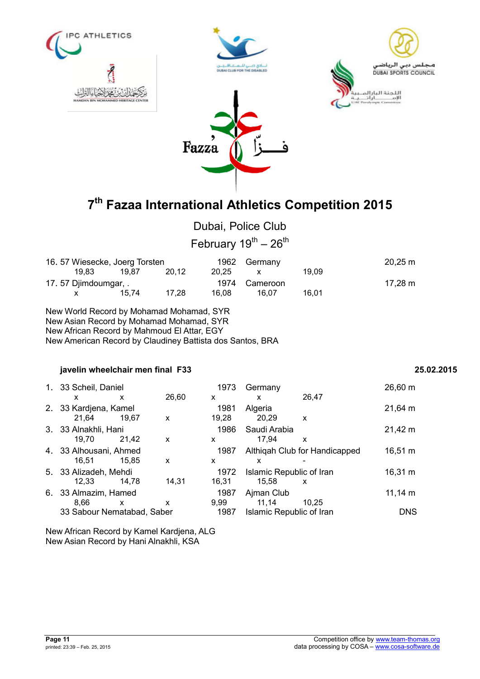

# Dubai, Police Club

February  $19^{th} - 26^{th}$ 

| 16. 57 Wiesecke, Joerg Torsten |       |       |       | 1962 Germany  |       | $20,25 \; m$      |
|--------------------------------|-------|-------|-------|---------------|-------|-------------------|
| 19.83                          | 19.87 | 20.12 | 20.25 |               | 19.09 |                   |
| 17.57 Djimdoumgar, .           |       |       |       | 1974 Cameroon |       | $17,28 \text{ m}$ |
|                                | 15.74 | 17.28 | 16.08 | 16.07         | 16.01 |                   |

New World Record by Mohamad Mohamad, SYR New Asian Record by Mohamad Mohamad, SYR New African Record by Mahmoud El Attar, EGY New American Record by Claudiney Battista dos Santos, BRA

### **javelin wheelchair men final F33 25.02.2015**

|    | 1. 33 Scheil, Daniel       |       |       | 1973  | Germany                       |                           | $26,60 \; m$      |
|----|----------------------------|-------|-------|-------|-------------------------------|---------------------------|-------------------|
|    | x                          | x     | 26.60 | x     | x                             | 26.47                     |                   |
|    | 2. 33 Kardjena, Kamel      |       |       | 1981  | Algeria                       |                           | $21,64 \text{ m}$ |
|    | 21.64                      | 19.67 | X     | 19.28 | 20,29                         | x                         |                   |
|    | 3. 33 Alnakhli, Hani       |       |       | 1986  | Saudi Arabia                  |                           | $21,42 \; m$      |
|    | 19.70                      | 21.42 | X     | x     | 17,94                         | X                         |                   |
|    | 4. 33 Alhousani, Ahmed     |       | 1987  |       | Althigah Club for Handicapped | 16,51 m                   |                   |
|    | 16.51                      | 15.85 | x     | x     | x                             |                           |                   |
|    | 5. 33 Alizadeh, Mehdi      |       |       | 1972  | Islamic Republic of Iran      |                           | 16,31 m           |
|    | 12.33                      | 14.78 | 14.31 | 16,31 | 15.58                         | $\boldsymbol{\mathsf{x}}$ |                   |
| 6. | 33 Almazim, Hamed          |       |       | 1987  | Ajman Club                    |                           | $11,14 \; m$      |
|    | 8.66                       | x     | x     | 9.99  | 11,14                         | 10.25                     |                   |
|    | 33 Sabour Nematabad, Saber |       |       |       | Islamic Republic of Iran      |                           | <b>DNS</b>        |

New African Record by Kamel Kardjena, ALG New Asian Record by Hani Alnakhli, KSA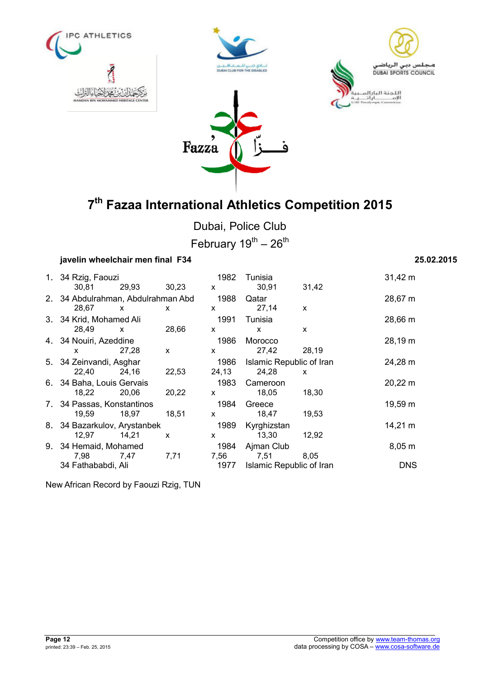







Dubai, Police Club February  $19^{th} - 26^{th}$ 

### **javelin wheelchair men final F34 25.02.2015**

| 1. 34 Rzig, Faouzi                 |              |              | 1982         | Tunisia                  |              | $31,42 \; m$ |
|------------------------------------|--------------|--------------|--------------|--------------------------|--------------|--------------|
| 30.81                              | 29,93 30,23  |              | $\mathsf{x}$ | 30,91                    | 31,42        |              |
| 2. 34 Abdulrahman, Abdulrahman Abd |              |              | 1988         | Qatar                    |              | 28,67 m      |
| 28,67                              | $\mathsf{X}$ | X            | $\mathsf{x}$ | 27,14                    | $\mathsf{x}$ |              |
| 3. 34 Krid, Mohamed Ali            |              |              | 1991         | Tunisia                  |              | 28,66 m      |
| 28,49                              | $\mathbf{x}$ | 28,66        | $\mathsf{x}$ | $\mathsf{x}$             | X            |              |
| 4. 34 Nouiri, Azeddine             |              |              | 1986         | Morocco                  |              | 28,19 m      |
| X                                  | 27,28        | $\mathsf{x}$ | $\mathsf{x}$ | 27,42                    | 28,19        |              |
| 5. 34 Zeinvandi, Asghar            |              |              | 1986         | Islamic Republic of Iran |              | 24,28 m      |
| 22,40                              | 24,16        | 22,53        | 24,13        | 24,28                    | X            |              |
| 6. 34 Baha, Louis Gervais          |              |              | 1983         | Cameroon                 |              | 20,22 m      |
| 18,22                              | 20,06        | 20,22        | $\mathsf{x}$ | 18,05                    | 18,30        |              |
| 7. 34 Passas, Konstantinos         |              |              | 1984         | Greece                   |              | 19,59 m      |
| 19,59                              | 18,97        | 18,51        | $\mathsf{x}$ | 18,47                    | 19,53        |              |
| 8. 34 Bazarkulov, Arystanbek       |              |              | 1989         | Kyrghizstan              |              | 14,21 m      |
| 12,97                              | 14,21        | X            | X            | 13,30                    | 12,92        |              |
| 9. 34 Hemaid, Mohamed              |              |              | 1984         | Ajman Club               |              | $8,05 \; m$  |
| 7,98                               | 7,47         | 7,71         | 7,56         | 7,51                     | 8,05         |              |
| 34 Fathababdi, Ali                 |              |              | 1977         | Islamic Republic of Iran |              | <b>DNS</b>   |

New African Record by Faouzi Rzig, TUN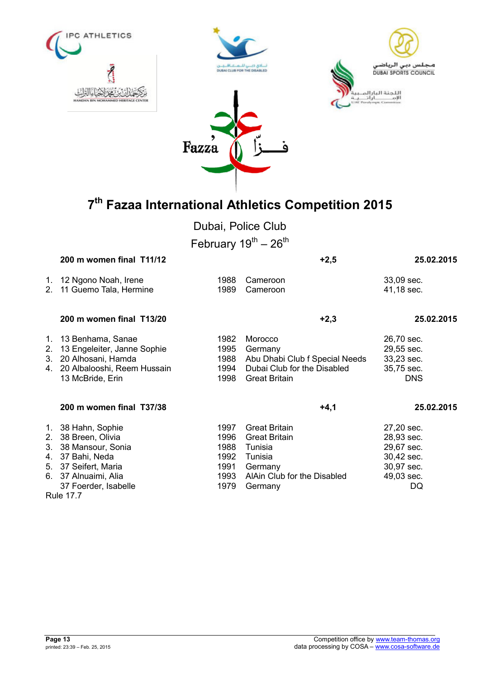







Dubai, Police Club

February  $19^{th} - 26^{th}$ 

|                      | 200 m women final T11/12                                                                                                                          |                                                      | $+2,5$                                                                                                                  | 25.02.2015                                                                             |
|----------------------|---------------------------------------------------------------------------------------------------------------------------------------------------|------------------------------------------------------|-------------------------------------------------------------------------------------------------------------------------|----------------------------------------------------------------------------------------|
| 1.<br>2 <sub>1</sub> | 12 Ngono Noah, Irene<br>11 Guemo Tala, Hermine                                                                                                    | 1988<br>1989                                         | Cameroon<br>Cameroon                                                                                                    | 33,09 sec.<br>41,18 sec.                                                               |
|                      | 200 m women final T13/20                                                                                                                          |                                                      | $+2,3$                                                                                                                  | 25.02.2015                                                                             |
| 2.<br>3.<br>4.       | 1. 13 Benhama, Sanae<br>13 Engeleiter, Janne Sophie<br>20 Alhosani, Hamda<br>20 Albalooshi, Reem Hussain<br>13 McBride, Erin                      | 1982<br>1995<br>1988<br>1994<br>1998                 | Morocco<br>Germany<br>Abu Dhabi Club f Special Needs<br>Dubai Club for the Disabled<br><b>Great Britain</b>             | 26,70 sec.<br>29,55 sec.<br>33,23 sec.<br>35,75 sec.<br><b>DNS</b>                     |
|                      | 200 m women final T37/38                                                                                                                          |                                                      | $+4,1$                                                                                                                  | 25.02.2015                                                                             |
| 2.<br>3.<br>4.<br>5. | 1. 38 Hahn, Sophie<br>38 Breen, Olivia<br>38 Mansour, Sonia<br>37 Bahi, Neda<br>37 Seifert, Maria<br>6. 37 Alnuaimi, Alia<br>37 Foerder, Isabelle | 1997<br>1996<br>1988<br>1992<br>1991<br>1993<br>1979 | <b>Great Britain</b><br><b>Great Britain</b><br>Tunisia<br>Tunisia<br>Germany<br>AlAin Club for the Disabled<br>Germany | 27,20 sec.<br>28,93 sec.<br>29,67 sec.<br>30,42 sec.<br>30,97 sec.<br>49,03 sec.<br>DQ |

Rule 17.7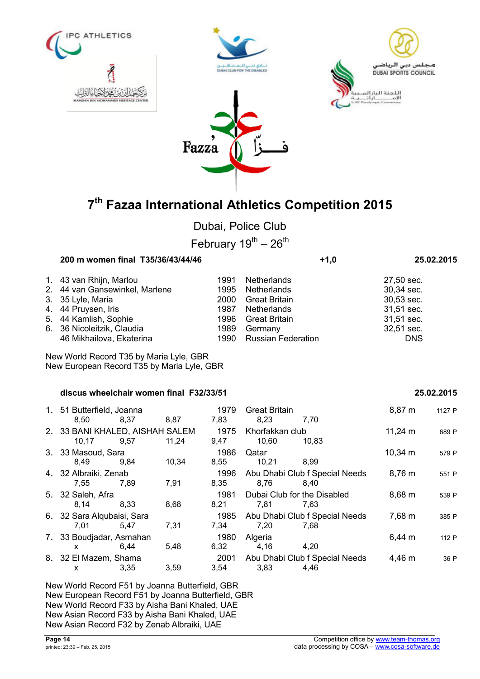

Dubai, Police Club

February  $19^{th} - 26^{th}$ 

| 200 m women final T35/36/43/44/46 |                                                                                                                                                              |                    | $+1,0$                         |                         |            |
|-----------------------------------|--------------------------------------------------------------------------------------------------------------------------------------------------------------|--------------------|--------------------------------|-------------------------|------------|
|                                   | 1991                                                                                                                                                         | <b>Netherlands</b> |                                | 27,50 sec.              |            |
|                                   | 1995                                                                                                                                                         | Netherlands        |                                | 30,34 sec.              |            |
|                                   | 2000                                                                                                                                                         |                    |                                | 30,53 sec.              |            |
|                                   | 1987                                                                                                                                                         | Netherlands        |                                | 31,51 sec.              |            |
|                                   | 1996                                                                                                                                                         |                    |                                | 31,51 sec.              |            |
|                                   | 1989                                                                                                                                                         | Germany            |                                | 32,51 sec.              |            |
| 46 Mikhailova, Ekaterina          |                                                                                                                                                              |                    |                                | <b>DNS</b>              |            |
|                                   | 1. 43 van Rhijn, Marlou<br>2. 44 van Gansewinkel, Marlene<br>3. 35 Lyle, Maria<br>4. 44 Pruysen, Iris<br>5. 44 Kamlish, Sophie<br>6. 36 Nicoleitzik, Claudia |                    | Great Britain<br>Great Britain | 1990 Russian Federation | 25.02.2015 |

New World Record T35 by Maria Lyle, GBR New European Record T35 by Maria Lyle, GBR

#### **discus wheelchair women final F32/33/51 25.02.2015**

| 1. 51 Butterfield, Joanna<br>8,50 | 8.37 |       | 1979         | <b>Great Britain</b><br>8,23   | 7.70                           | 8,87 m       | 1127 P |
|-----------------------------------|------|-------|--------------|--------------------------------|--------------------------------|--------------|--------|
| 2. 33 BANI KHALED, AISHAH SALEM   |      | 8,87  | 7,83<br>1975 | Khorfakkan club                |                                | $11,24 \; m$ | 689 P  |
| 10,17                             | 9,57 | 11,24 | 9,47         | 10,60                          | 10.83                          |              |        |
| 3. 33 Masoud, Sara                |      |       | 1986         | Qatar                          |                                | $10,34 \; m$ | 579 P  |
| 8.49                              | 9.84 | 10,34 | 8,55         | 10,21                          | 8.99                           |              |        |
| 4. 32 Albraiki, Zenab             |      |       | 1996         |                                | Abu Dhabi Club f Special Needs | 8,76 m       | 551 P  |
| 7,55                              | 7,89 | 7,91  | 8,35         | 8,76                           | 8.40                           |              |        |
| 5. 32 Saleh, Afra                 |      |       | 1981         | Dubai Club for the Disabled    |                                | $8,68 \; m$  | 539 P  |
| 8.14                              | 8.33 | 8,68  | 8,21         | 7.81                           | 7.63                           |              |        |
| 6. 32 Sara Alqubaisi, Sara        |      |       | 1985         | Abu Dhabi Club f Special Needs |                                | 7,68 m       | 385 P  |
| 7,01                              | 5.47 | 7,31  | 7,34         | 7,20                           | 7,68                           |              |        |
| 7. 33 Boudjadar, Asmahan          |      |       | 1980         | Algeria                        |                                | $6,44 \; m$  | 112 P  |
| x                                 | 6,44 | 5,48  | 6,32         | 4,16                           | 4,20                           |              |        |
| 8. 32 El Mazem, Shama             |      |       | 2001         |                                | Abu Dhabi Club f Special Needs | 4,46 m       | 36 P   |
| X.                                | 3,35 | 3,59  | 3,54         | 3,83                           | 4,46                           |              |        |

New World Record F51 by Joanna Butterfield, GBR New European Record F51 by Joanna Butterfield, GBR New World Record F33 by Aisha Bani Khaled, UAE New Asian Record F33 by Aisha Bani Khaled, UAE New Asian Record F32 by Zenab Albraiki, UAE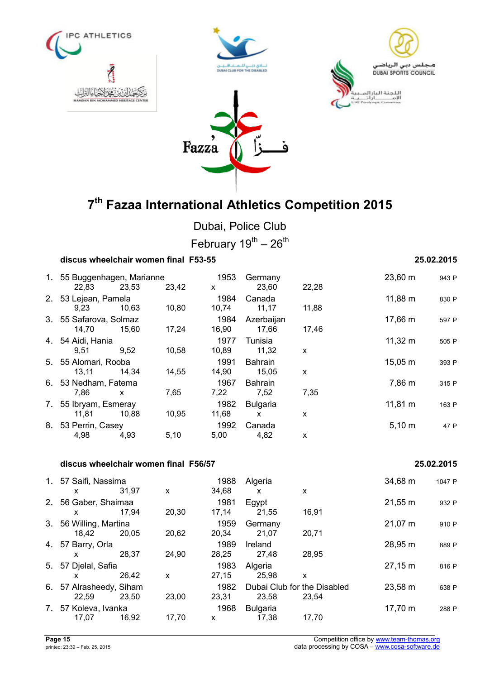







Fazza

Dubai, Police Club February  $19^{\text{th}} - 26^{\text{th}}$ 

### **discus wheelchair women final F53-55 25.02.2015**

| 1. 55 Buggenhagen, Marianne |       | 1953  | Germany |                | 23,60 m     | 943 P        |       |
|-----------------------------|-------|-------|---------|----------------|-------------|--------------|-------|
| 22,83                       | 23,53 | 23,42 | X       | 23,60          | 22,28       |              |       |
| 2. 53 Lejean, Pamela        |       |       | 1984    | Canada         |             | 11,88 m      | 830 P |
| 9.23                        | 10,63 | 10,80 | 10,74   | 11,17          | 11,88       |              |       |
| 3. 55 Safarova, Solmaz      |       |       | 1984    | Azerbaijan     |             | 17,66 m      | 597 P |
| 14,70                       | 15.60 | 17,24 | 16,90   | 17,66          | 17,46       |              |       |
| 4. 54 Aidi, Hania           |       |       | 1977    | Tunisia        |             | $11,32 \; m$ | 505 P |
| 9,51                        | 9,52  | 10,58 | 10,89   | 11,32          | X           |              |       |
| 5. 55 Alomari, Rooba        |       |       | 1991    | <b>Bahrain</b> |             | $15,05 \; m$ | 393 F |
| 13,11                       | 14,34 | 14,55 | 14,90   | 15,05          | X           |              |       |
| 6. 53 Nedham, Fatema        |       |       | 1967    | <b>Bahrain</b> |             | 7,86 m       | 315 P |
| 7,86                        | X     | 7,65  | 7,22    | 7,52           | 7,35        |              |       |
| 7. 55 Ibryam, Esmeray       |       |       | 1982    | Bulgaria       |             | $11,81 \; m$ | 163 P |
| 11,81                       | 10,88 | 10,95 | 11,68   | X              | X           |              |       |
| 8. 53 Perrin, Casey         |       | 1992  | Canada  |                | $5,10 \; m$ | 47 P         |       |
| 4,98                        | 4,93  | 5,10  | 5,00    | 4,82           | X           |              |       |

#### **discus wheelchair women final F56/57 25.02.2015**

|    | 1. 57 Saifi, Nassima    |       |       | 1988  | Algeria                     |       | 34,68 m | 1047 P |
|----|-------------------------|-------|-------|-------|-----------------------------|-------|---------|--------|
|    | X.                      | 31,97 | X     | 34,68 | x                           | X     |         |        |
| 2. | 56 Gaber, Shaimaa       |       |       | 1981  | Egypt                       |       | 21,55 m | 932 P  |
|    | X.                      | 17.94 | 20,30 | 17,14 | 21,55                       | 16,91 |         |        |
| 3. | 56 Willing, Martina     |       |       | 1959  | Germany                     |       | 21,07 m | 910 P  |
|    | 18,42                   | 20,05 | 20,62 | 20.34 | 21,07                       | 20,71 |         |        |
|    | 4. 57 Barry, Orla       |       |       | 1989  | <b>Ireland</b>              |       | 28,95 m | 889 P  |
|    | x.                      | 28.37 | 24,90 | 28,25 | 27,48                       | 28,95 |         |        |
| 5. | 57 Djelal, Safia        |       |       | 1983  | Algeria                     |       | 27,15 m | 816 P  |
|    | x                       | 26.42 | X     | 27,15 | 25,98                       | X     |         |        |
|    | 6. 57 Alrasheedy, Siham |       |       | 1982  | Dubai Club for the Disabled |       | 23,58 m | 638 P  |
|    | 22,59                   | 23.50 | 23,00 | 23,31 | 23.58                       | 23.54 |         |        |
| 7. | 57 Koleva, Ivanka       |       |       | 1968  | <b>Bulgaria</b>             |       | 17,70 m | 288 P  |
|    | 17,07                   | 16,92 | 17,70 | X     | 17,38                       | 17.70 |         |        |